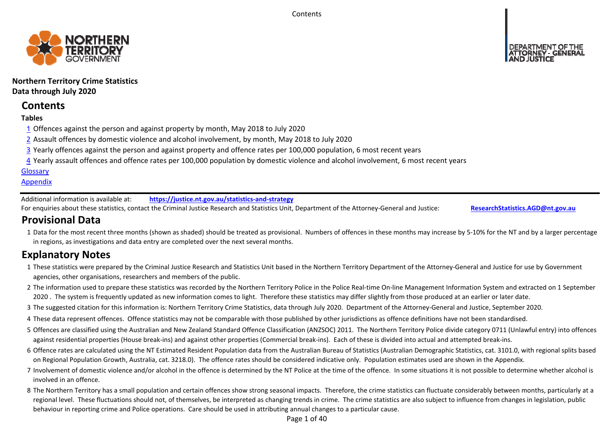**Contents** 



# **Northern Territory Crime Statistics Data through July 2020**

# **Contents**

# **Tables**

- 1 Offences against the person and against property by month, May 2018 to July 2020
- 2 Assault offences by domestic violence and alcohol involvement, by month, May 2018 to July 2020
- 3 Yearly offences against the person and against property and offence rates per 100,000 population, 6 most recent years
- 4 Yearly assault offences and offence rates per 100,000 population by domestic violence and alcohol involvement, 6 most recent years

# **Glossary**

# **Appendix**

Additional information is available at:**https://justice.nt.gov.au/statistics‐and‐strategy**

For enquiries about these statistics, contact the Criminal Justice Research and Statistics Unit, Department of the Attorney‐General and Justice: **ResearchStatistics.AGD@nt.gov.au**

# **Provisional Data**

1 Data for the most recent three months (shown as shaded) should be treated as provisional. Numbers of offences in these months may increase by 5‐10% for the NT and by a larger percentage in regions, as investigations and data entry are completed over the next several months.

# **Explanatory Notes**

- 1These statistics were prepared by the Criminal Justice Research and Statistics Unit based in the Northern Territory Department of the Attorney‐General and Justice for use by Government agencies, other organisations, researchers and members of the public.
- 2 The information used to prepare these statistics was recorded by the Northern Territory Police in the Police Real‐time On‐line Management Information System and extracted on 1 September 2020. The system is frequently updated as new information comes to light. Therefore these statistics may differ slightly from those produced at an earlier or later date.
- 3 The suggested citation for this information is: Northern Territory Crime Statistics, data through July 2020. Department of the Attorney-General and Justice, September 2020.
- 4These data represent offences. Offence statistics may not be comparable with those published by other jurisdictions as offence definitions have not been standardised.
- 5 Offences are classified using the Australian and New Zealand Standard Offence Classification (ANZSOC) 2011. The Northern Territory Police divide category 0711 (Unlawful entry) into offences against residential properties (House break‐ins) and against other properties (Commercial break‐ins). Each of these is divided into actual and attempted break‐ins.
- 6 Offence rates are calculated using the NT Estimated Resident Population data from the Australian Bureau of Statistics (Australian Demographic Statistics, cat. 3101.0, with regional splits based on Regional Population Growth, Australia, cat. 3218.0). The offence rates should be considered indicative only. Population estimates used are shown in the Appendix.
- 7 Involvement of domestic violence and/or alcohol in the offence is determined by the NT Police at the time of the offence. In some situations it is not possible to determine whether alcohol is involved in an offence.
- 8 The Northern Territory has a small population and certain offences show strong seasonal impacts. Therefore, the crime statistics can fluctuate considerably between months, particularly at a regional level. These fluctuations should not, of themselves, be interpreted as changing trends in crime. The crime statistics are also subject to influence from changes in legislation, public behaviour in reporting crime and Police operations. Care should be used in attributing annual changes to a particular cause.

Page 1 of 40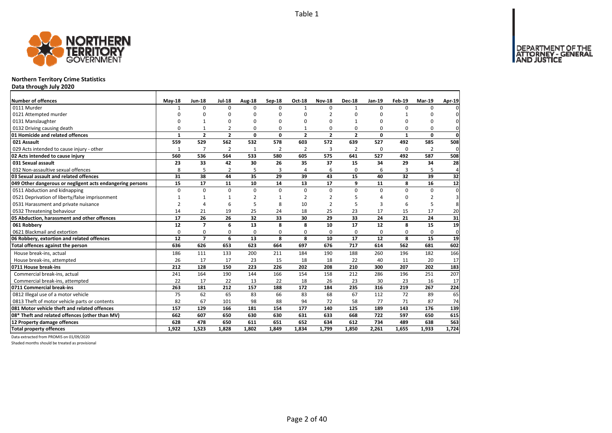DEPARTMENT OF THE<br>ATTORNEY - GENERAL



# **Northern Territory Crime Statistics**

**Data through July 2020**

| Number of offences                                        | $May-18$       | <b>Jun-18</b>  | <b>Jul-18</b>  | Aug-18         | Sep-18         | Oct-18         | <b>Nov-18</b>  | <b>Dec-18</b>  | Jan-19      | Feb-19       | <b>Mar-19</b>  | Apr-19         |
|-----------------------------------------------------------|----------------|----------------|----------------|----------------|----------------|----------------|----------------|----------------|-------------|--------------|----------------|----------------|
| 0111 Murder                                               | $\mathbf{1}$   | 0              | $\Omega$       | $\Omega$       | $\Omega$       | $\mathbf{1}$   | $\Omega$       | $\mathbf{1}$   | $\Omega$    | $\Omega$     | 0              | $\Omega$       |
| 0121 Attempted murder                                     | $\Omega$       | O              | $\Omega$       | $\Omega$       | ŋ              | U              | $\mathcal{P}$  | $\Omega$       | $\Omega$    | $\mathbf{1}$ | ŋ              |                |
| 0131 Manslaughter                                         | 0              | $\mathbf{1}$   | 0              | $\Omega$       | $\Omega$       | 0              | $\Omega$       |                | $\Omega$    | $\Omega$     | 0              | $\Omega$       |
| 0132 Driving causing death                                | $\Omega$       | 1              | $\overline{2}$ | $\Omega$       | O              | 1              | $\Omega$       | $\Omega$       | $\Omega$    | $\Omega$     | 0              | 0              |
| 01 Homicide and related offences                          | $\mathbf{1}$   | $\overline{2}$ | $\overline{2}$ | $\mathbf 0$    | 0              | $\overline{2}$ | $\overline{2}$ | $\overline{2}$ | $\mathbf 0$ | $\mathbf{1}$ | 0              | $\mathbf 0$    |
| 021 Assault                                               | 559            | 529            | 562            | 532            | 578            | 603            | 572            | 639            | 527         | 492          | 585            | 508            |
| 029 Acts intended to cause injury - other                 | $\mathbf{1}$   | $\overline{7}$ | $\overline{2}$ | $\mathbf{1}$   | $\overline{2}$ | $\overline{2}$ | 3              | $\overline{2}$ | $\Omega$    | $\Omega$     | $\overline{2}$ | $\mathbf 0$    |
| 02 Acts intended to cause injury                          | 560            | 536            | 564            | 533            | 580            | 605            | 575            | 641            | 527         | 492          | 587            | 508            |
| 031 Sexual assault                                        | 23             | 33             | 42             | 30             | 26             | 35             | 37             | 15             | 34          | 29           | 34             | 28             |
| 032 Non-assaultive sexual offences                        | 8              | 5              | $\overline{2}$ | 5              | 3              | 4              | 6              | $\mathbf 0$    | 6           | 3            | 5              | $\overline{4}$ |
| 03 Sexual assault and related offences                    | 31             | 38             | 44             | 35             | 29             | 39             | 43             | 15             | 40          | 32           | 39             | 32             |
| 049 Other dangerous or negligent acts endangering persons | 15             | 17             | 11             | 10             | 14             | 13             | 17             | 9              | 11          | 8            | 16             | 12             |
| 0511 Abduction and kidnapping                             | $\Omega$       | $\Omega$       | 0              | $\Omega$       | $\Omega$       | 0              | $\Omega$       | $\Omega$       | $\Omega$    | $\Omega$     | $\Omega$       | $\mathbf 0$    |
| 0521 Deprivation of liberty/false imprisonment            | 1              | $\mathbf{1}$   | $\mathbf{1}$   | $\overline{2}$ |                | 2              | $\overline{2}$ |                | $\Lambda$   | 0            | 2              | 3              |
| 0531 Harassment and private nuisance                      | $\overline{2}$ | 4              | 6              | 5              | 8              | 10             | $\overline{2}$ |                | 3           | 6            | 5              | 8              |
| 0532 Threatening behaviour                                | 14             | 21             | 19             | 25             | 24             | 18             | 25             | 23             | 17          | 15           | 17             | 20             |
| 05 Abduction, harassment and other offences               | 17             | 26             | 26             | 32             | 33             | 30             | 29             | 33             | 24          | 21           | 24             | 31             |
| 061 Robberv                                               | 12             | $\overline{7}$ | 6              | 13             | 8              | 8              | 10             | 17             | 12          | 8            | 15             | 19             |
| 0621 Blackmail and extortion                              | 0              | 0              | 0              | $\mathbf 0$    | $\Omega$       | 0              | 0              | $\mathbf 0$    | $\Omega$    | 0            | 0              | 0              |
| 06 Robbery, extortion and related offences                | 12             | $\overline{7}$ | 6              | 13             | 8              | 8              | 10             | 17             | 12          | 8            | 15             | 19             |
| Total offences against the person                         | 636            | 626            | 653            | 623            | 664            | 697            | 676            | 717            | 614         | 562          | 681            | 602            |
| House break-ins, actual                                   | 186            | 111            | 133            | 200            | 211            | 184            | 190            | 188            | 260         | 196          | 182            | 166            |
| House break-ins, attempted                                | 26             | 17             | 17             | 23             | 15             | 18             | 18             | 22             | 40          | 11           | 20             | 17             |
| 0711 House break-ins                                      | 212            | 128            | 150            | 223            | 226            | 202            | 208            | 210            | 300         | 207          | 202            | 183            |
| Commercial break-ins, actual                              | 241            | 164            | 190            | 144            | 166            | 154            | 158            | 212            | 286         | 196          | 251            | 207            |
| Commercial break-ins, attempted                           | 22             | 17             | 22             | 13             | 22             | 18             | 26             | 23             | 30          | 23           | 16             | 17             |
| 0711 Commercial break-ins                                 | 263            | 181            | 212            | 157            | 188            | 172            | 184            | 235            | 316         | 219          | 267            | 224            |
| 0812 Illegal use of a motor vehicle                       | 75             | 62             | 65             | 83             | 66             | 83             | 68             | 67             | 112         | 72           | 89             | 65             |
| 0813 Theft of motor vehicle parts or contents             | 82             | 67             | 101            | 98             | 88             | 94             | 72             | 58             | 77          | 71           | 87             | 74             |
| 081 Motor vehicle theft and related offences              | 157            | 129            | 166            | 181            | 154            | 177            | 140            | 125            | 189         | 143          | 176            | 139            |
| 08* Theft and related offences (other than MV)            | 662            | 607            | 650            | 630            | 630            | 631            | 633            | 668            | 722         | 597          | 650            | 615            |
| 12 Property damage offences                               | 628            | 478            | 650            | 611            | 651            | 652            | 634            | 612            | 734         | 489          | 638            | 563            |
| <b>Total property offences</b>                            | 1.922          | 1.523          | 1.828          | 1.802          | 1.849          | 1.834          | 1,799          | 1.850          | 2.261       | 1.655        | 1.933          | 1.724          |

Data extracted from PROMIS on 01/09/2020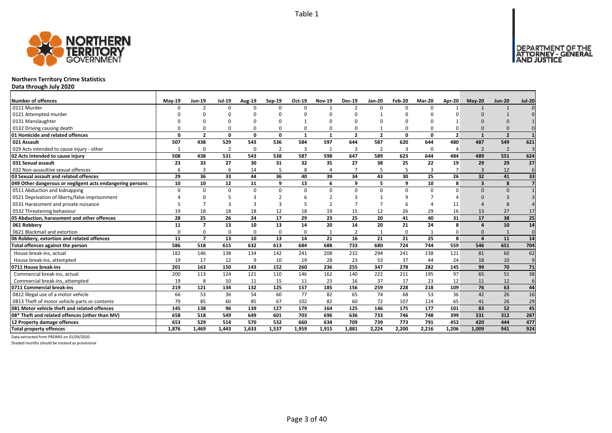DEPARTMENT OF THE<br>ATTORNEY - GENERAL



# **Northern Territory Crime Statistics**

**Data through July 2020**

| <b>Number of offences</b>                                 | $May-19$ | Jun-19         | <b>Jul-19</b>  | Aug-19       | Sep-19         | Oct-19       | <b>Nov-19</b>            | <b>Dec-19</b>  | <b>Jan-20</b>  | Feb-20   | <b>Mar-20</b> | Apr-20                  | $May-20$       | <b>Jun-20</b>            | <b>Jul-20</b>  |
|-----------------------------------------------------------|----------|----------------|----------------|--------------|----------------|--------------|--------------------------|----------------|----------------|----------|---------------|-------------------------|----------------|--------------------------|----------------|
| 0111 Murder                                               | n        | $\mathcal{P}$  | $\Omega$       | $\Omega$     | $\Omega$       | $\Omega$     | $\overline{\phantom{a}}$ | $\mathcal{P}$  | $\Omega$       | $\Omega$ | $\Omega$      |                         |                | $\mathbf{1}$             |                |
| 0121 Attempted murder                                     |          |                |                |              | $\Omega$       |              |                          |                |                | ŋ        |               |                         |                |                          |                |
| 0131 Manslaughter                                         |          |                |                |              | <sup>n</sup>   |              |                          |                |                | ŋ        |               |                         |                |                          |                |
| 0132 Driving causing death                                |          |                |                | O            | $\Omega$       | $\Omega$     |                          |                |                | $\Omega$ |               |                         |                |                          |                |
| 01 Homicide and related offences                          | n        | $\overline{2}$ | $\Omega$       | $\mathbf{0}$ | 0              | $\mathbf{1}$ | $\mathbf{1}$             | $\overline{2}$ | $\overline{2}$ | 0        | $\mathbf{0}$  | $\overline{\mathbf{z}}$ |                | $\overline{\phantom{a}}$ |                |
| 021 Assault                                               | 507      | 438            | 529            | 543          | 536            | 584          | 597                      | 644            | 587            | 620      | 644           | 480                     | 487            | 549                      | 621            |
| 029 Acts intended to cause injury - other                 | 1        | $\Omega$       | $\overline{2}$ | 0            | $\overline{2}$ | 3            | $\mathbf{1}$             | 3              | $\overline{2}$ | 3        | 0             | 4                       | $\overline{2}$ | $\overline{2}$           | $\overline{3}$ |
| 02 Acts intended to cause injury                          | 508      | 438            | 531            | 543          | 538            | 587          | 598                      | 647            | 589            | 623      | 644           | 484                     | 489            | 551                      | 624            |
| 031 Sexual assault                                        | 23       | 33             | 27             | 30           | 31             | 32           | 35                       | 27             | 38             | 25       | 22            | 19                      | 29             | 29                       | 27             |
| 032 Non-assaultive sexual offences                        | 6        | 3              | 6              | 14           | 5              | 8            | 4                        | $\overline{7}$ | 5              | 5        | $\mathbf{R}$  | 7                       | $\mathbf{3}$   | 12                       | 6              |
| 03 Sexual assault and related offences                    | 29       | 36             | 33             | 44           | 36             | 40           | 39                       | 34             | 43             | 30       | 25            | 26                      | 32             | 41                       | 33             |
| 049 Other dangerous or negligent acts endangering persons | 10       | 10             | 12             | 11           | 9              | 13           | 6                        | q              | 5              | 9        | 10            | 8                       | $\mathbf{3}$   | 8                        |                |
| 0511 Abduction and kidnapping                             | $\Omega$ | $\Omega$       | $\Omega$       | $\Omega$     | $\Omega$       | $\Omega$     | U                        | $\Omega$       | $\Omega$       | $\Omega$ | $\Omega$      |                         | $\Omega$       | $\Omega$                 |                |
| 0521 Deprivation of liberty/false imprisonment            |          |                |                |              |                |              |                          |                |                | q        |               |                         |                |                          |                |
| 0531 Harassment and private nuisance                      |          |                | ર              | в            |                |              |                          |                |                | 6        |               | 11                      |                |                          |                |
| 0532 Threatening behaviour                                | 19       | 18             | 18             | 18           | 12             | 18           | 19                       | 15             | 12             | 26       | 29            | 16                      | 13             | 27                       | 17             |
| 05 Abduction, harassment and other offences               | 28       | 25             | 26             | 24           | 17             | 29           | 23                       | 25             | 20             | 41       | 40            | 31                      | 17             | 38                       | 25             |
| 061 Robbery                                               | 11       | $\overline{7}$ | 13             | 10           | 13             | 14           | 20                       | 14             | 20             | 21       | 24            | 8                       | $\sqrt{ }$     | 10                       | 14             |
| 0621 Blackmail and extortion                              | $\Omega$ | $\Omega$       | $\Omega$       | 0            | 0              | $\Omega$     |                          |                | $\mathbf{1}$   | 0        |               |                         | $\Omega$       | $\mathbf{1}$             | $\mathbf 0$    |
| 06 Robbery, extortion and related offences                | 11       | $\overline{7}$ | 13             | 10           | 13             | 14           | 21                       | 16             | 21             | 21       | 25            | 8                       | $\mathbf{A}$   | 11                       | 14             |
| Total offences against the person                         | 586      | 518            | 615            | 632          | 613            | 684          | 688                      | 733            | 680            | 724      | 744           | 559                     | 546            | 651                      | 704            |
| House break-ins, actual                                   | 182      | 146            | 138            | 134          | 142            | 241          | 208                      | 232            | 294            | 241      | 238           | 121                     | 81             | 60                       | 62             |
| House break-ins, attempted                                | 19       | 17             | 12             | 9            | 10             | 19           | 28                       | 23             | 53             | 37       | 44            | 24                      | 18             | 10                       | 9              |
| 0711 House break-ins                                      | 201      | 163            | 150            | 143          | 152            | 260          | 236                      | 255            | 347            | 278      | 282           | 145                     | 99             | 70                       | 71             |
| Commercial break-ins, actual                              | 200      | 113            | 124            | 121          | 110            | 146          | 162                      | 140            | 222            | 211      | 195           | 97                      | 65             | 51                       | 38             |
| Commercial break-ins, attempted                           | 19       | 8              | 10             | 11           | 15             | 11           | 23                       | 16             | 37             | 17       | 23            | 12                      | 11             | 12                       | 6              |
| 0711 Commercial break-ins                                 | 219      | 121            | 134            | 132          | 125            | 157          | 185                      | 156            | 259            | 228      | 218           | 109                     | 76             | 63                       | 44             |
| 0812 Illegal use of a motor vehicle                       | 66       | 53             | 36             | 54           | 60             | 77           | 82                       | 65             | 74             | 68       | 53            | 36                      | 42             | 26                       | 16             |
| 0813 Theft of motor vehicle parts or contents             | 79       | 85             | 60             | 85           | 67             | 102          | 82                       | 60             | 72             | 107      | 124           | 65                      | 41             | 26                       | 29             |
| 081 Motor vehicle theft and related offences              | 145      | 138            | 96             | 139          | 127            | 179          | 164                      | 125            | 146            | 175      | 177           | 101                     | 83             | 52                       | 45             |
| 08* Theft and related offences (other than MV)            | 658      | 518            | 549            | 649          | 601            | 703          | 696                      | 636            | 733            | 746      | 748           | 399                     | 331            | 312                      | 287            |
| 12 Property damage offences                               | 653      | 529            | 514            | 570          | 532            | 660          | 634                      | 709            | 739            | 773      | 791           | 452                     | 420            | 444                      | 477            |
| <b>Total property offences</b>                            | 1.876    | 1.469          | 1.443          | 1.633        | 1,537          | 1,959        | 1,915                    | 1.881          | 2.224          | 2,200    | 2.216         | 1.206                   | 1.009          | 941                      | 924            |

Data extracted from PROMIS on 01/09/2020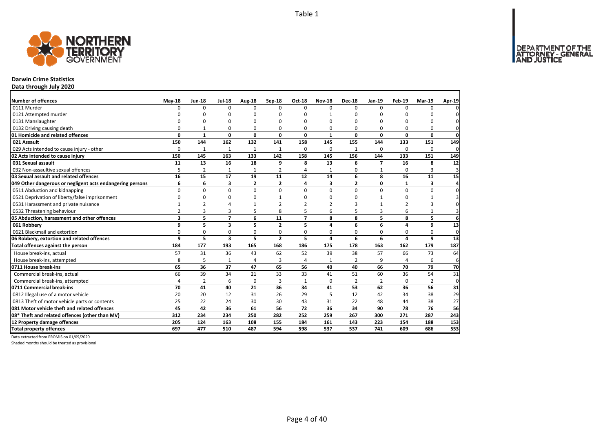

### **Darwin Crime Statistics**

**Data through July 2020**

| <b>Number of offences</b>                                 | $May-18$                | <b>Jun-18</b>  | <b>Jul-18</b>           | Aug-18         | Sep-18         | Oct-18         | <b>Nov-18</b> | <b>Dec-18</b>  | Jan-19                   | Feb-19       | <b>Mar-19</b> | Apr-19       |
|-----------------------------------------------------------|-------------------------|----------------|-------------------------|----------------|----------------|----------------|---------------|----------------|--------------------------|--------------|---------------|--------------|
| 0111 Murder                                               | $\Omega$                | 0              | $\Omega$                | $\Omega$       | $\Omega$       | $\Omega$       | $\Omega$      | $\Omega$       | $\Omega$                 | $\Omega$     | $\Omega$      |              |
| 0121 Attempted murder                                     | U                       | 0              | 0                       | $\Omega$       |                | $\Omega$       | 1             | ŋ              | $\Omega$                 |              | ŋ             |              |
| 0131 Manslaughter                                         | $\Omega$                | 0              | O                       | $\Omega$       |                | $\Omega$       | O             | O              | $\Omega$                 |              | O             | 0            |
| 0132 Driving causing death                                | $\Omega$                | $\mathbf{1}$   | 0                       | $\Omega$       | $\Omega$       | 0              | 0             | O              | $\Omega$                 | $\Omega$     | 0             | 0            |
| 01 Homicide and related offences                          | 0                       | $\mathbf{1}$   | 0                       | $\mathbf{0}$   | 0              | 0              | $\mathbf{1}$  | 0              | $\mathbf 0$              | 0            | 0             | $\mathbf{0}$ |
| 021 Assault                                               | 150                     | 144            | 162                     | 132            | 141            | 158            | 145           | 155            | 144                      | 133          | 151           | 149          |
| 029 Acts intended to cause injury - other                 | $\Omega$                | $\mathbf{1}$   | 1                       | $\mathbf{1}$   | $\mathbf{1}$   | $\Omega$       | 0             | 1              | $\Omega$                 | $\Omega$     | $\Omega$      | 0            |
| 02 Acts intended to cause injury                          | 150                     | 145            | 163                     | 133            | 142            | 158            | 145           | 156            | 144                      | 133          | 151           | 149          |
| 031 Sexual assault                                        | 11                      | 13             | 16                      | 18             | 9              | 8              | 13            | 6              | $\overline{\phantom{a}}$ | 16           | 8             | 12           |
| 032 Non-assaultive sexual offences                        | 5                       | $\overline{2}$ | $\mathbf{1}$            | $\mathbf{1}$   | $\overline{2}$ | $\overline{a}$ | $\mathbf{1}$  | 0              | $\mathbf{1}$             | $\Omega$     | 3             | 3            |
| 03 Sexual assault and related offences                    | 16                      | 15             | 17                      | 19             | 11             | 12             | 14            | 6              | 8                        | 16           | 11            | 15           |
| 049 Other dangerous or negligent acts endangering persons | 6                       | 6              | 3                       | $\overline{2}$ | $\mathbf{2}$   | 4              | 3             | $\overline{2}$ | 0                        | $\mathbf{1}$ | 3             | 4            |
| 0511 Abduction and kidnapping                             | $\Omega$                | $\Omega$       | $\mathbf 0$             | $\mathbf 0$    | $\Omega$       | $\Omega$       | $\Omega$      | $\Omega$       | $\Omega$                 | $\Omega$     | 0             | $\Omega$     |
| 0521 Deprivation of liberty/false imprisonment            | $\Omega$                | <sup>0</sup>   | $\Omega$                | $\Omega$       |                | ŋ              | ŋ             | ŋ              | $\mathbf{1}$             | $\Omega$     | 1             |              |
| 0531 Harassment and private nuisance                      |                         | $\overline{2}$ | Δ                       |                |                |                |               | 3              |                          |              | 3             | 0            |
| 0532 Threatening behaviour                                | $\overline{2}$          | 3              | 3                       | 5              | 8              | 5              | 6             | 5              | 3                        | 6            | $\mathbf{1}$  | 3            |
| 05 Abduction, harassment and other offences               | $\overline{\mathbf{3}}$ | 5              | $\overline{7}$          | 6              | 11             | $\overline{ }$ | 8             | 8              | 5                        | 8            | 5             | 6            |
| 061 Robbery                                               | 9                       | 5              | $\overline{\mathbf{3}}$ | 5              | $\overline{2}$ | 5              | 4             | 6              | 6                        | 4            | 9             | 13           |
| 0621 Blackmail and extortion                              | 0                       | 0              | 0                       | 0              | $\Omega$       | 0              | 0             | 0              | 0                        | $\Omega$     | 0             | 0            |
| 06 Robbery, extortion and related offences                | 9                       | 5              | 3                       | 5              | $\mathbf{2}$   | 5              | 4             | 6              | 6                        | 4            | 9             | 13           |
| Total offences against the person                         | 184                     | 177            | 193                     | 165            | 168            | 186            | 175           | 178            | 163                      | 162          | 179           | 187          |
| House break-ins, actual                                   | 57                      | 31             | 36                      | 43             | 62             | 52             | 39            | 38             | 57                       | 66           | 73            | 64           |
| House break-ins, attempted                                | 8                       | 5              | 1                       | $\overline{4}$ | 3              | $\overline{a}$ | 1             | $\overline{2}$ | 9                        | $\Delta$     | 6             | 6            |
| 0711 House break-ins                                      | 65                      | 36             | 37                      | 47             | 65             | 56             | 40            | 40             | 66                       | 70           | 79            | 70           |
| Commercial break-ins, actual                              | 66                      | 39             | 34                      | 21             | 33             | 33             | 41            | 51             | 60                       | 36           | 54            | 31           |
| Commercial break-ins, attempted                           | 4                       | 2              | 6                       | 0              | 3              | $\mathbf{1}$   | 0             | 2              | $\overline{2}$           | $\Omega$     | 2             | 0            |
| 0711 Commercial break-ins                                 | 70                      | 41             | 40                      | 21             | 36             | 34             | 41            | 53             | 62                       | 36           | 56            | 31           |
| 0812 Illegal use of a motor vehicle                       | 20                      | 20             | 12                      | 31             | 26             | 29             | 5             | 12             | 42                       | 34           | 38            | 29           |
| 0813 Theft of motor vehicle parts or contents             | 25                      | 22             | 24                      | 30             | 30             | 43             | 31            | 22             | 48                       | 44           | 38            | 27           |
| 081 Motor vehicle theft and related offences              | 45                      | 42             | 36                      | 61             | 56             | 72             | 36            | 34             | 90                       | 78           | 76            | 56           |
| 08* Theft and related offences (other than MV)            | 312                     | 234            | 234                     | 250            | 282            | 252            | 259           | 267            | 300                      | 271          | 287           | 243          |
| 12 Property damage offences                               | 205                     | 124            | 163                     | 108            | 155            | 184            | 161           | 143            | 223                      | 154          | 188           | 153          |
| <b>Total property offences</b>                            | 697                     | 477            | 510                     | 487            | 594            | 598            | 537           | 537            | 741                      | 609          | 686           | 553          |

Data extracted from PROMIS on 01/09/2020

Shaded months should be treated as provisional

DEPARTMENT OF THE<br>ATTORNEY - GENERAL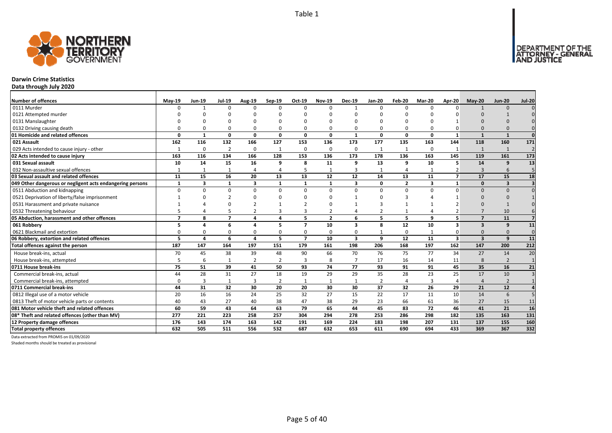

### **Darwin Crime Statistics**

**Data through July 2020**

| <b>Number of offences</b>                                 | $May-19$                 | <b>Jun-19</b> | <b>Jul-19</b>  | <b>Aug-19</b>  | Sep-19         | Oct-19         | <b>Nov-19</b>  | <b>Dec-19</b>           | <b>Jan-20</b>  | Feb-20         | <b>Mar-20</b> | Apr-20                   | May-20                  | <b>Jun-20</b>           | <b>Jul-20</b>  |
|-----------------------------------------------------------|--------------------------|---------------|----------------|----------------|----------------|----------------|----------------|-------------------------|----------------|----------------|---------------|--------------------------|-------------------------|-------------------------|----------------|
| 0111 Murder                                               | n                        | -1            | $\Omega$       | $\Omega$       | $\Omega$       | O              | $\Omega$       |                         | $\Omega$       | $\Omega$       | $\Omega$      |                          |                         | $\Omega$                |                |
| 0121 Attempted murder                                     |                          |               |                |                |                |                |                |                         |                |                |               |                          |                         |                         |                |
| 0131 Manslaughter                                         |                          |               |                |                |                |                |                |                         |                |                |               |                          |                         |                         |                |
| 0132 Driving causing death                                |                          |               | $\Omega$       | O              | $\Omega$       | 0              | O              |                         | O              | $\Omega$       |               |                          |                         |                         |                |
| 01 Homicide and related offences                          | n                        | $\mathbf{1}$  | 0              | 0              | $\mathbf{0}$   | 0              | 0              | $\mathbf{1}$            | 0              | 0              | $\Omega$      | 1                        | -1                      | $\overline{\mathbf{1}}$ | $\mathbf{0}$   |
| 021 Assault                                               | 162                      | 116           | 132            | 166            | 127            | 153            | 136            | 173                     | 177            | 135            | 163           | 144                      | 118                     | 160                     | 171            |
| 029 Acts intended to cause injury - other                 | $\mathbf{1}$             | $\Omega$      | $\overline{2}$ | 0              | $\mathbf{1}$   | 0              | $\Omega$       | $\Omega$                | 1              | $\mathbf{1}$   | $\Omega$      | $\mathbf{1}$             |                         | $\overline{1}$          | $\overline{2}$ |
| 02 Acts intended to cause injury                          | 163                      | 116           | 134            | 166            | 128            | 153            | 136            | 173                     | 178            | 136            | 163           | 145                      | 119                     | 161                     | 173            |
| 031 Sexual assault                                        | 10                       | 14            | 15             | 16             | 9              | 8              | 11             | 9                       | 13             | 9              | 10            | 5                        | 14                      | 9                       | 13             |
| 032 Non-assaultive sexual offences                        |                          |               | 1              | 4              | $\overline{4}$ | 5              | $\mathbf{1}$   | 3                       |                | $\overline{4}$ |               |                          | $\mathbf{3}$            | 6                       |                |
| 03 Sexual assault and related offences                    | 11                       | 15            | 16             | 20             | 13             | 13             | 12             | 12                      | 14             | 13             | 11            | $\overline{\phantom{a}}$ | 17                      | 15                      | 18             |
| 049 Other dangerous or negligent acts endangering persons |                          | 3             | $\mathbf{1}$   | 3              | 1              | 1              | $\mathbf{1}$   | 3                       | 0              | $\overline{2}$ | 3             | $\mathbf{1}$             | $\Omega$                | $\overline{\mathbf{3}}$ |                |
| 0511 Abduction and kidnapping                             | $\Omega$                 | $\Omega$      | $\Omega$       | $\Omega$       | $\Omega$       | 0              | $\Omega$       | $\Omega$                | $\Omega$       | $\Omega$       | $\Omega$      | U                        | $\Omega$                | $\Omega$                |                |
| 0521 Deprivation of liberty/false imprisonment            |                          |               |                |                |                | ŋ              |                |                         |                |                |               |                          |                         |                         |                |
| 0531 Harassment and private nuisance                      |                          |               |                |                |                |                |                |                         |                |                |               |                          |                         |                         |                |
| 0532 Threatening behaviour                                |                          |               |                | $\mathfrak{p}$ | $\overline{3}$ | 3              | $\overline{2}$ |                         | $\overline{2}$ | $\mathbf{1}$   |               |                          |                         | 10                      |                |
| 05 Abduction, harassment and other offences               | $\overline{\phantom{a}}$ | 8             | $\overline{ }$ | 4              | 4              | 5              | $\overline{2}$ | 6                       | 5              | 5              | 9             | 5                        | $\overline{ }$          | 11                      |                |
| 061 Robbery                                               | 5                        | Δ             | 6              | 4              | 5              | $\overline{7}$ | 10             | $\overline{\mathbf{3}}$ | 8              | 12             | 10            | $\mathbf{3}$             | $\overline{\mathbf{3}}$ | 9                       | 11             |
| 0621 Blackmail and extortion                              |                          | $\Omega$      | 0              | $\Omega$       | $\Omega$       | 0              | 0              | $\Omega$                |                | 0              |               |                          | $\Omega$                | $\Omega$                | $\Omega$       |
| 06 Robbery, extortion and related offences                | 5                        | 4             | 6              | 4              | 5              | $\overline{ }$ | 10             | $\overline{\mathbf{3}}$ | 9              | 12             | 11            | $\overline{\mathbf{3}}$  | $\overline{\mathbf{3}}$ | 9                       | 11             |
| Total offences against the person                         | 187                      | 147           | 164            | 197            | 151            | 179            | 161            | 198                     | 206            | 168            | 197           | 162                      | 147                     | 200                     | 212            |
| House break-ins, actual                                   | 70                       | 45            | 38             | 39             | 48             | 90             | 66             | 70                      | 76             | 75             | 77            | 34                       | 27                      | 14                      | 20             |
| House break-ins, attempted                                | 5                        | 6             | 1              | $\overline{2}$ | 2              | 3              | 8              | $\overline{7}$          | 17             | 16             | 14            | 11                       | 8                       | $\overline{2}$          | $\mathbf{1}$   |
| 0711 House break-ins                                      | 75                       | 51            | 39             | 41             | 50             | 93             | 74             | 77                      | 93             | 91             | 91            | 45                       | 35                      | 16                      | 21             |
| Commercial break-ins, actual                              | 44                       | 28            | 31             | 27             | 18             | 19             | 29             | 29                      | 35             | 28             | 23            | 25                       | 17                      | 10                      |                |
| Commercial break-ins, attempted                           | ŋ                        | 3             | 1              | 3              | 2              | $\mathbf{1}$   | -1             | 1                       | $\overline{2}$ | 4              | 3             |                          | $\Delta$                | $\overline{2}$          |                |
| 0711 Commercial break-ins                                 | 44                       | 31            | 32             | 30             | 20             | 20             | 30             | 30                      | 37             | 32             | 26            | 29                       | 21                      | 12                      |                |
| 0812 Illegal use of a motor vehicle                       | 20                       | 16            | 16             | 24             | 25             | 32             | 27             | 15                      | 22             | 17             | 11            | 10                       | 14                      | 6                       |                |
| 0813 Theft of motor vehicle parts or contents             | 40                       | 43            | 27             | 40             | 38             | 47             | 38             | 29                      | 23             | 66             | 61            | 36                       | 27                      | 15                      | 11             |
| 081 Motor vehicle theft and related offences              | 60                       | 59            | 43             | 64             | 63             | 79             | 65             | 44                      | 45             | 83             | 72            | 46                       | 41                      | 21                      | 16             |
| 08* Theft and related offences (other than MV)            | 277                      | 221           | 223            | 258            | 257            | 304            | 294            | 278                     | 253            | 286            | 298           | 182                      | 135                     | 163                     | 131            |
| 12 Property damage offences                               | 176                      | 143           | 174            | 163            | 142            | 191            | 169            | 224                     | 183            | 198            | 207           | 131                      | 137                     | 155                     | 160            |
| <b>Total property offences</b>                            | 632                      | 505           | 511            | 556            | 532            | 687            | 632            | 653                     | 611            | 690            | 694           | 433                      | 369                     | 367                     | 332            |

Data extracted from PROMIS on 01/09/2020

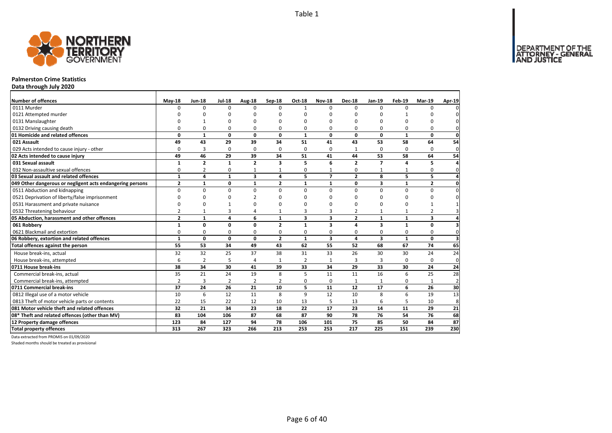

### **Palmerston Crime Statistics**

**Data through July 2020**

| Number of offences                                        | $May-18$       | <b>Jun-18</b>  | <b>Jul-18</b>  | Aug-18         | Sep-18         | Oct-18         | <b>Nov-18</b>  | <b>Dec-18</b>  | Jan-19                  | Feb-19       | <b>Mar-19</b>  | Apr-19                  |
|-----------------------------------------------------------|----------------|----------------|----------------|----------------|----------------|----------------|----------------|----------------|-------------------------|--------------|----------------|-------------------------|
| 0111 Murder                                               | $\Omega$       | $\Omega$       | $\Omega$       | $\Omega$       | $\Omega$       | $\mathbf{1}$   | <sup>0</sup>   | $\Omega$       | $\Omega$                | $\Omega$     | $\Omega$       | 0                       |
| 0121 Attempted murder                                     |                |                | U              | O              | ŋ              |                | O              | O              | ŋ                       |              |                | 0                       |
| 0131 Manslaughter                                         |                |                | U              | O              | ŋ              | n              | O              | 0              | 0                       | 0            | n              | $\mathbf 0$             |
| 0132 Driving causing death                                | 0              | 0              | 0              | 0              | 0              | $\Omega$       | 0              | 0              | 0                       | 0            | 0              | $\mathbf{0}$            |
| 01 Homicide and related offences                          | 0              | $\mathbf{1}$   | $\mathbf 0$    | $\mathbf{0}$   | 0              | $\mathbf{1}$   | 0              | 0              | 0                       | $\mathbf{1}$ | 0              | $\mathbf{0}$            |
| 021 Assault                                               | 49             | 43             | 29             | 39             | 34             | 51             | 41             | 43             | 53                      | 58           | 64             | 54                      |
| 029 Acts intended to cause injury - other                 | 0              | 3              | 0              | 0              | $\Omega$       | $\Omega$       | 0              | 1              | 0                       | 0            | 0              | $\mathbf 0$             |
| 02 Acts intended to cause injury                          | 49             | 46             | 29             | 39             | 34             | 51             | 41             | 44             | 53                      | 58           | 64             | 54                      |
| 031 Sexual assault                                        | $\mathbf{1}$   | $\overline{2}$ | $\mathbf{1}$   | $\overline{2}$ | 3              | 5              | 6              | $\overline{2}$ | $\overline{7}$          | 4            | 5              | 4                       |
| 032 Non-assaultive sexual offences                        | 0              | $\overline{2}$ | 0              |                |                | $\Omega$       |                | 0              |                         |              | $\mathbf 0$    | $\mathbf{0}$            |
| 03 Sexual assault and related offences                    | $\mathbf{1}$   | 4              | $\mathbf{1}$   | 3              | 4              | 5              | $\overline{7}$ | $\overline{2}$ | 8                       | 5            | 5              | 4                       |
| 049 Other dangerous or negligent acts endangering persons | $\mathbf{2}$   | $\mathbf{1}$   | $\mathbf 0$    | $\mathbf{1}$   | $\overline{2}$ | $\mathbf{1}$   | $\mathbf{1}$   | 0              | 3                       | $\mathbf{1}$ | $\mathbf{2}$   | $\mathbf 0$             |
| 0511 Abduction and kidnapping                             | 0              | $\mathbf 0$    | 0              | 0              | $\Omega$       | 0              | $\Omega$       | 0              | 0                       | 0            | 0              | $\pmb{0}$               |
| 0521 Deprivation of liberty/false imprisonment            | $\Omega$       | 0              | $\Omega$       | 2              | ŋ              | $\Omega$       | O              | $\Omega$       | 0                       | $\Omega$     | $\Omega$       | $\mathbf 0$             |
| 0531 Harassment and private nuisance                      | O              | 0              | $\mathbf{1}$   | ŋ              | ŋ              | n              | O              | 0              | 0                       | 0            | 1              | $\mathbf{1}$            |
| 0532 Threatening behaviour                                | $\overline{2}$ | $\mathbf{1}$   | 3              | 4              |                | 3              | 3              | $\overline{2}$ | $\mathbf{1}$            | $\mathbf{1}$ | $\overline{2}$ | $\overline{\mathbf{3}}$ |
| 05 Abduction, harassment and other offences               | $\mathbf{2}$   | $\mathbf{1}$   | 4              | 6              | $\mathbf{1}$   | 3              | 3              | $\overline{2}$ | $\mathbf{1}$            | $\mathbf{1}$ | 3              | $\overline{a}$          |
| 061 Robbery                                               | $\mathbf{1}$   | $\mathbf 0$    | $\mathbf{0}$   | 0              | $\overline{2}$ | $\mathbf{1}$   | 3              | 4              | $\overline{\mathbf{3}}$ | $\mathbf{1}$ | 0              | 3                       |
| 0621 Blackmail and extortion                              | 0              | $\mathbf 0$    | 0              | $\mathbf 0$    | 0              | 0              | 0              | 0              | 0                       | 0            | $\mathbf 0$    | $\mathbf{0}$            |
| 06 Robbery, extortion and related offences                | $\mathbf{1}$   | 0              | $\mathbf{0}$   | $\mathbf{0}$   | $\overline{2}$ | $\mathbf{1}$   | 3              | 4              | $\overline{\mathbf{3}}$ | $\mathbf{1}$ | 0              | $\overline{\mathbf{3}}$ |
| Total offences against the person                         | 55             | 53             | 34             | 49             | 43             | 62             | 55             | 52             | 68                      | 67           | 74             | 65                      |
| House break-ins, actual                                   | 32             | 32             | 25             | 37             | 38             | 31             | 33             | 26             | 30                      | 30           | 24             | 24                      |
| House break-ins, attempted                                | 6              | $\overline{2}$ | 5              | 4              |                | $\overline{2}$ | $\mathbf{1}$   | 3              | 3                       | $\Omega$     | $\mathbf 0$    | $\mathbf 0$             |
| 0711 House break-ins                                      | 38             | 34             | 30             | 41             | 39             | 33             | 34             | 29             | 33                      | 30           | 24             | 24                      |
| Commercial break-ins, actual                              | 35             | 21             | 24             | 19             | 8              | 5              | 11             | 11             | 16                      | 6            | 25             | 28                      |
| Commercial break-ins, attempted                           | 2              | 3              | $\overline{2}$ | 2              | 2              | 0              | 0              | 1              | $\mathbf{1}$            | 0            | $\mathbf{1}$   | $\overline{2}$          |
| 0711 Commercial break-ins                                 | 37             | 24             | 26             | 21             | 10             | 5              | 11             | 12             | 17                      | 6            | 26             | 30                      |
| 0812 Illegal use of a motor vehicle                       | 10             | 6              | 12             | 11             | 8              | $\mathsf q$    | 12             | 10             | 8                       | 6            | 19             | 13                      |
| 0813 Theft of motor vehicle parts or contents             | 22             | 15             | 22             | 12             | 10             | 13             | 5              | 13             | 6                       | 5            | 10             | 8                       |
| 081 Motor vehicle theft and related offences              | 32             | 21             | 34             | 23             | 18             | 22             | 17             | 23             | 14                      | 11           | 29             | 21                      |
| 08* Theft and related offences (other than MV)            | 83             | 104            | 106            | 87             | 68             | 87             | 90             | 78             | 76                      | 54           | 76             | 68                      |
| 12 Property damage offences                               | 123            | 84             | 127            | 94             | 78             | 106            | 101            | 75             | 85                      | 50           | 84             | 87                      |
| <b>Total property offences</b>                            | 313            | 267            | 323            | 266            | 213            | 253            | 253            | 217            | 225                     | 151          | 239            | 230                     |

Data extracted from PROMIS on 01/09/2020

Shaded months should be treated as provisional

DEPARTMENT OF THE<br>ATTORNEY - GENERAL

Page 6 of 40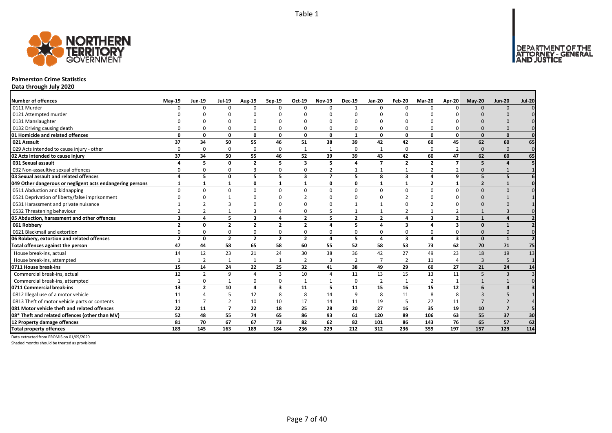

### **Palmerston Crime Statistics**

**Data through July 2020**

| <b>Number of offences</b>                                 | $May-19$                | <b>Jun-19</b>  | <b>Jul-19</b>  | Aug-19         | Sep-19                  | Oct-19                  | <b>Nov-19</b>  | <b>Dec-19</b>  | <b>Jan-20</b>  | Feb-20                  | <b>Mar-20</b>           | <b>Apr-20</b>            | $May-20$       | <b>Jun-20</b>           | <b>Jul-20</b>  |
|-----------------------------------------------------------|-------------------------|----------------|----------------|----------------|-------------------------|-------------------------|----------------|----------------|----------------|-------------------------|-------------------------|--------------------------|----------------|-------------------------|----------------|
| 0111 Murder                                               | n                       | $\Omega$       | $\Omega$       | ŋ              | $\Omega$                | $\Omega$                | $\Omega$       |                | $\Omega$       | $\Omega$                | $\Omega$                |                          | $\Omega$       | $\Omega$                |                |
| 0121 Attempted murder                                     |                         |                |                |                |                         |                         |                |                |                |                         |                         |                          |                |                         |                |
| 0131 Manslaughter                                         |                         |                |                |                |                         |                         |                |                |                |                         |                         |                          |                |                         |                |
| 0132 Driving causing death                                |                         |                |                |                | 0                       |                         |                |                |                | <sup>0</sup>            |                         |                          |                |                         |                |
| 01 Homicide and related offences                          | 0                       | O              | $\Omega$       | 0              | $\mathbf 0$             | 0                       | 0              | $\mathbf{1}$   | $\mathbf{0}$   | 0                       | $\mathbf{0}$            | $\Omega$                 | $\Omega$       | $\Omega$                | $\Omega$       |
| 021 Assault                                               | 37                      | 34             | 50             | 55             | 46                      | 51                      | 38             | 39             | 42             | 42                      | 60                      | 45                       | 62             | 60                      | 65             |
| 029 Acts intended to cause injury - other                 | 0                       | $\Omega$       | $\Omega$       | $\Omega$       | 0                       | $\mathbf{1}$            | -1             | $\Omega$       | -1             | 0                       | $\Omega$                |                          | $\Omega$       | $\Omega$                | $\mathbf{0}$   |
| 02 Acts intended to cause injury                          | 37                      | 34             | 50             | 55             | 46                      | 52                      | 39             | 39             | 43             | 42                      | 60                      | 47                       | 62             | 60                      | 65             |
| 031 Sexual assault                                        |                         | 5              | $\Omega$       | $\overline{2}$ | 5                       | $\mathbf{3}$            | 5              | $\mathbf{A}$   | $\overline{7}$ | $\overline{2}$          | $\overline{2}$          | $\overline{\phantom{a}}$ | 5              |                         |                |
| 032 Non-assaultive sexual offences                        | ۵                       | $\Omega$       | $\Omega$       | 3              | 0                       | 0                       |                |                |                | 1                       | $\overline{2}$          |                          | $\Omega$       |                         |                |
| 03 Sexual assault and related offences                    | Δ                       | 5              | $\Omega$       | 5              | 5                       | $\overline{\mathbf{3}}$ | $\overline{7}$ | 5              | 8              | $\overline{\mathbf{3}}$ | 4                       | 9                        | 5              | 5                       |                |
| 049 Other dangerous or negligent acts endangering persons | $\mathbf{1}$            | $\mathbf{1}$   | $\mathbf{1}$   | 0              | $\mathbf{1}$            | $\mathbf{1}$            | 0              | $\Omega$       | $\mathbf{1}$   | $\mathbf{1}$            | $\overline{2}$          | $\mathbf{1}$             | $\overline{2}$ | $\overline{\mathbf{1}}$ |                |
| 0511 Abduction and kidnapping                             | 0                       | $\Omega$       | $\Omega$       | $\Omega$       | 0                       | $\Omega$                | $\Omega$       | $\Omega$       | $\Omega$       | 0                       | $\Omega$                | U                        | $\Omega$       | $\Omega$                |                |
| 0521 Deprivation of liberty/false imprisonment            |                         |                |                |                |                         |                         | ŋ              |                |                |                         |                         |                          |                |                         |                |
| 0531 Harassment and private nuisance                      |                         |                |                |                |                         |                         |                |                |                | O                       |                         |                          |                |                         |                |
| 0532 Threatening behaviour                                |                         |                |                | 3              | $\overline{4}$          | $\Omega$                |                |                |                | 2                       |                         |                          |                |                         |                |
| 05 Abduction, harassment and other offences               | $\overline{\mathbf{3}}$ | Δ              | 5              | 3              | 4                       | $\overline{2}$          | 5              | $\overline{2}$ | $\overline{2}$ | 4                       | $\overline{\mathbf{3}}$ | $\overline{2}$           | $\mathbf 1$    |                         |                |
| 061 Robbery                                               | $\overline{2}$          | 0              | $\overline{2}$ | $\overline{2}$ | $\overline{2}$          | $\overline{2}$          | Δ              | 5              | $\sqrt{2}$     | 3                       | 4                       | 3                        | $\Omega$       |                         |                |
| 0621 Blackmail and extortion                              | 0                       | <sup>0</sup>   | 0              | 0              | 0                       | 0                       | 0              | $\Omega$       | $\Omega$       | 0                       | 0                       |                          |                |                         |                |
| 06 Robbery, extortion and related offences                | $\overline{2}$          | 0              | $\overline{2}$ | $\overline{2}$ | $\overline{2}$          | $\overline{2}$          | 4              | 5              | $\overline{a}$ | 3                       | 4                       | 3                        | $\Omega$       | $\overline{\mathbf{1}}$ |                |
| Total offences against the person                         | 47                      | 44             | 58             | 65             | 58                      | 60                      | 55             | 52             | 58             | 53                      | 73                      | 62                       | 70             | 71                      | 75             |
| House break-ins, actual                                   | 14                      | 12             | 23             | 21             | 24                      | 30                      | 38             | 36             | 42             | 27                      | 49                      | 23                       | 18             | 19                      | 13             |
| House break-ins, attempted                                |                         | $\overline{2}$ | $\mathbf{1}$   | $\mathbf{1}$   | $\mathbf{1}$            | $\overline{2}$          | $\overline{3}$ | $\overline{2}$ | $\overline{7}$ | $\overline{2}$          | 11                      | Δ                        | $\overline{3}$ | 5                       | $\overline{1}$ |
| 0711 House break-ins                                      | 15                      | 14             | 24             | 22             | 25                      | 32                      | 41             | 38             | 49             | 29                      | 60                      | 27                       | 21             | 24                      | 14             |
| Commercial break-ins, actual                              | 12                      | $\overline{2}$ | q              | $\overline{4}$ | 3                       | 10                      | Δ              | 11             | 13             | 15                      | 13                      | 11                       | 5              | $\overline{3}$          |                |
| Commercial break-ins, attempted                           |                         | 0              |                | 0              | 0                       | 1                       |                | $\Omega$       | $\overline{2}$ | 1                       | $\overline{2}$          |                          |                |                         |                |
| 0711 Commercial break-ins                                 | 13                      | $\overline{2}$ | 10             | $\overline{a}$ | $\overline{\mathbf{3}}$ | 11                      | 5              | 11             | 15             | 16                      | 15                      | 12                       | 6              | $\overline{a}$          |                |
| 0812 Illegal use of a motor vehicle                       | 11                      | Δ              | 5              | 12             | 8                       | 8                       | 14             | 9              | 8              | 11                      | 8                       | 8                        | $\mathbf{3}$   |                         |                |
| 0813 Theft of motor vehicle parts or contents             | 11                      |                | 2              | 10             | 10                      | 17                      | 14             | 11             | 19             | 5                       | 27                      | 11                       |                |                         |                |
| 081 Motor vehicle theft and related offences              | 22                      | 11             | $\overline{7}$ | 22             | 18                      | 25                      | 28             | 20             | 27             | 16                      | 35                      | 19                       | 10             | $\overline{7}$          |                |
| 08* Theft and related offences (other than MV)            | 52                      | 48             | 55             | 74             | 65                      | 86                      | 93             | 61             | 120            | 89                      | 106                     | 63                       | 55             | 37                      | 30             |
| 12 Property damage offences                               | 81                      | 70             | 67             | 67             | 73                      | 82                      | 62             | 82             | 101            | 86                      | 143                     | 76                       | 65             | 57                      | 62             |
| <b>Total property offences</b>                            | 183                     | 145            | 163            | 189            | 184                     | 236                     | 229            | 212            | 312            | 236                     | 359                     | 197                      | 157            | 129                     | 114            |

Data extracted from PROMIS on 01/09/2020

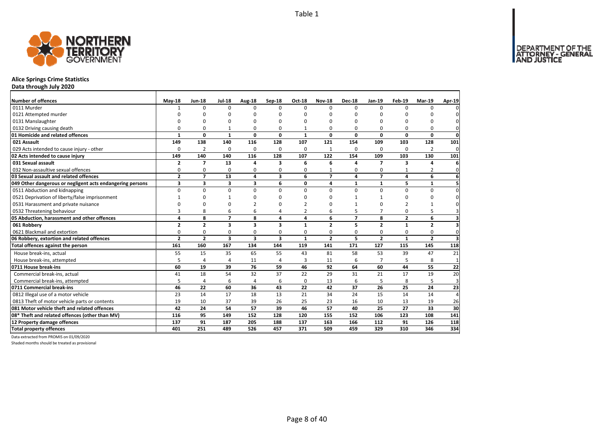

# **Alice Springs Crime Statistics**

**Data through July 2020**

| Number of offences                                        | <b>May-18</b>  | <b>Jun-18</b>  | <b>Jul-18</b>           | Aug-18                  | <b>Sep-18</b>           | Oct-18         | <b>Nov-18</b>  | <b>Dec-18</b>  | <b>Jan-19</b>  | Feb-19       | <b>Mar-19</b>  | Apr-19       |
|-----------------------------------------------------------|----------------|----------------|-------------------------|-------------------------|-------------------------|----------------|----------------|----------------|----------------|--------------|----------------|--------------|
| 0111 Murder                                               |                | $\Omega$       | $\Omega$                | $\Omega$                | $\Omega$                | $\Omega$       | $\Omega$       | $\Omega$       | $\Omega$       | $\Omega$     | $\Omega$       |              |
| 0121 Attempted murder                                     |                | O              | O                       | $\Omega$                |                         | O              | ŋ              | ŋ              | O              |              | ŋ              |              |
| 0131 Manslaughter                                         | $\Omega$       | $\Omega$       | 0                       | $\Omega$                |                         | O              | 0              | 0              | O              |              | 0              | 0            |
| 0132 Driving causing death                                | $\Omega$       | 0              | 1                       | 0                       | $\Omega$                |                | 0              | 0              | 0              | O            | 0              | 0            |
| 01 Homicide and related offences                          | $\mathbf{1}$   | 0              | $\mathbf{1}$            | $\mathbf{0}$            | $\mathbf{0}$            | $\mathbf{1}$   | 0              | 0              | $\mathbf 0$    | 0            | $\mathbf{0}$   | $\mathbf 0$  |
| 021 Assault                                               | 149            | 138            | 140                     | 116                     | 128                     | 107            | 121            | 154            | 109            | 103          | 128            | 101          |
| 029 Acts intended to cause injury - other                 | 0              | 2              | 0                       | 0                       | 0                       | 0              | $\mathbf{1}$   | 0              | 0              | 0            | 2              | $\mathbf 0$  |
| 02 Acts intended to cause injury                          | 149            | 140            | 140                     | 116                     | 128                     | 107            | 122            | 154            | 109            | 103          | 130            | 101          |
| 031 Sexual assault                                        | $\overline{2}$ | $\overline{7}$ | 13                      | $\overline{a}$          | 3                       | 6              | 6              | 4              | $\overline{ }$ | 3            | 4              | 6            |
| 032 Non-assaultive sexual offences                        | 0              | 0              | 0                       | $\Omega$                | $\Omega$                | 0              | $\mathbf{1}$   | 0              | $\Omega$       |              | $\overline{2}$ | $\mathbf{0}$ |
| 03 Sexual assault and related offences                    | $\overline{2}$ | $\overline{7}$ | 13                      | $\overline{a}$          | 3                       | 6              | $\overline{7}$ | 4              | $\overline{7}$ | 4            | 6              | 6            |
| 049 Other dangerous or negligent acts endangering persons | 3              | 3              | 3                       | 3                       | 6                       | 0              | 4              | 1              | $\mathbf{1}$   | 5            | 1              | 5            |
| 0511 Abduction and kidnapping                             | 0              | 0              | 0                       | 0                       | $\Omega$                | $\Omega$       | 0              | $\Omega$       | 0              | $\Omega$     | 0              | $\mathbf{0}$ |
| 0521 Deprivation of liberty/false imprisonment            |                | $\Omega$       | 1                       | $\Omega$                |                         | ŋ              | <sup>0</sup>   |                | 1              | $\Omega$     | 0              | 0            |
| 0531 Harassment and private nuisance                      | n              | 0              | 0                       |                         |                         |                | n              |                | $\Omega$       |              |                | <sup>0</sup> |
| 0532 Threatening behaviour                                | 3              | 8              | 6                       | 6                       |                         | $\overline{2}$ | 6              | 5              | $\overline{7}$ | $\Omega$     | 5              | 3            |
| 05 Abduction, harassment and other offences               | 4              | 8              | $\overline{7}$          | 8                       | 4                       | 4              | 6              | $\overline{7}$ | 8              | $\mathbf{2}$ | 6              | 3            |
| 061 Robbery                                               | $\overline{2}$ | $\overline{2}$ | 3                       | $\overline{\mathbf{3}}$ | 3                       | 1              | $\overline{2}$ | 5              | $\overline{2}$ | $\mathbf{1}$ | $\overline{2}$ | 3            |
| 0621 Blackmail and extortion                              | $\Omega$       | 0              | 0                       | $\mathbf 0$             | $\Omega$                | 0              | 0              | 0              | 0              | 0            | 0              | $\mathbf 0$  |
| 06 Robbery, extortion and related offences                | $\overline{2}$ | $\overline{2}$ | $\overline{\mathbf{3}}$ | $\overline{\mathbf{3}}$ | $\overline{\mathbf{3}}$ | $\mathbf{1}$   | $\overline{2}$ | 5              | $\overline{2}$ | $\mathbf{1}$ | $\overline{2}$ | 3            |
| Total offences against the person                         | 161            | 160            | 167                     | 134                     | 144                     | 119            | 141            | 171            | 127            | 115          | 145            | 118          |
| House break-ins, actual                                   | 55             | 15             | 35                      | 65                      | 55                      | 43             | 81             | 58             | 53             | 39           | 47             | 21           |
| House break-ins, attempted                                | 5              | 4              | 4                       | 11                      | $\Delta$                | 3              | 11             | 6              | $\overline{7}$ |              | 8              | $\mathbf{1}$ |
| 0711 House break-ins                                      | 60             | 19             | 39                      | 76                      | 59                      | 46             | 92             | 64             | 60             | 44           | 55             | 22           |
| Commercial break-ins, actual                              | 41             | 18             | 54                      | 32                      | 37                      | 22             | 29             | 31             | 21             | 17           | 19             | 20           |
| Commercial break-ins, attempted                           | 5              | 4              | 6                       | $\overline{4}$          | 6                       | 0              | 13             | 6              | 5              | 8            | 5              | 3            |
| 0711 Commercial break-ins                                 | 46             | 22             | 60                      | 36                      | 43                      | 22             | 42             | 37             | 26             | 25           | 24             | 23           |
| 0812 Illegal use of a motor vehicle                       | 23             | 14             | 17                      | 18                      | 13                      | 21             | 34             | 24             | 15             | 14           | 14             | 4            |
| 0813 Theft of motor vehicle parts or contents             | 19             | 10             | 37                      | 39                      | 26                      | 25             | 23             | 16             | 10             | 13           | 19             | 26           |
| 081 Motor vehicle theft and related offences              | 42             | 24             | 54                      | 57                      | 39                      | 46             | 57             | 40             | 25             | 27           | 33             | 30           |
| 08* Theft and related offences (other than MV)            | 116            | 95             | 149                     | 152                     | 128                     | 120            | 155            | 152            | 106            | 123          | 108            | 141          |
| 12 Property damage offences                               | 137            | 91             | 187                     | 205                     | 188                     | 137            | 163            | 166            | 112            | 91           | 126            | 118          |
| <b>Total property offences</b>                            | 401            | 251            | 489                     | 526                     | 457                     | 371            | 509            | 459            | 329            | 310          | 346            | 334          |

Data extracted from PROMIS on 01/09/2020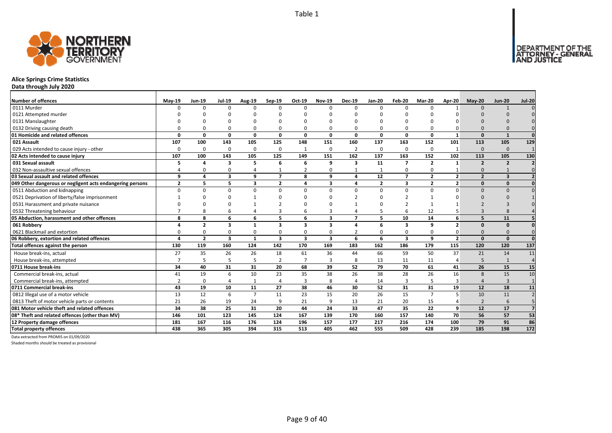

# **Alice Springs Crime Statistics**

**Data through July 2020**

| <b>Number of offences</b>                                 | $May-19$       | <b>Jun-19</b>  | <b>Jul-19</b>           | Aug-19         | Sep-19         | Oct-19                  | <b>Nov-19</b>           | <b>Dec-19</b>           | <b>Jan-20</b>  | Feb-20         | <b>Mar-20</b>  | Apr-20                  | $May-20$       | <b>Jun-20</b>  | <b>Jul-20</b>  |
|-----------------------------------------------------------|----------------|----------------|-------------------------|----------------|----------------|-------------------------|-------------------------|-------------------------|----------------|----------------|----------------|-------------------------|----------------|----------------|----------------|
| 0111 Murder                                               | $\Omega$       | $\Omega$       | $\Omega$                |                | $\Omega$       | $\Omega$                | $\Omega$                | n                       | $\Omega$       | $\Omega$       | $\Omega$       |                         | $\Omega$       |                |                |
| 0121 Attempted murder                                     |                |                |                         |                |                |                         |                         |                         |                |                |                |                         |                |                |                |
| 0131 Manslaughter                                         |                |                |                         |                |                |                         |                         |                         |                | $\Omega$       |                |                         |                |                |                |
| 0132 Driving causing death                                |                |                |                         |                | 0              |                         |                         |                         | O              | 0              |                |                         |                |                |                |
| 01 Homicide and related offences                          | 0              | 0              | $\Omega$                | 0              | $\mathbf{0}$   | 0                       | 0                       | $\Omega$                | $\mathbf{0}$   | 0              | $\mathbf{0}$   | $\mathbf{1}$            | $\Omega$       | $\mathbf{1}$   | $\Omega$       |
| 021 Assault                                               | 107            | 100            | 143                     | 105            | 125            | 148                     | 151                     | 160                     | 137            | 163            | 152            | 101                     | 113            | 105            | 129            |
| 029 Acts intended to cause injury - other                 | $\Omega$       | $\Omega$       | $\Omega$                | 0              | 0              | $\mathbf{1}$            | $\Omega$                | $\overline{2}$          | 0              | 0              | 0              | $\mathbf{1}$            | $\Omega$       | $\Omega$       |                |
| 02 Acts intended to cause injury                          | 107            | 100            | 143                     | 105            | 125            | 149                     | 151                     | 162                     | 137            | 163            | 152            | 102                     | 113            | 105            | 130            |
| 031 Sexual assault                                        |                | Δ              | $\overline{\mathbf{3}}$ | 5              | 6              | 6                       | 9                       | $\overline{\mathbf{3}}$ | 11             | $\overline{7}$ | $\overline{2}$ | $\mathbf{1}$            | $\overline{2}$ | $\overline{2}$ |                |
| 032 Non-assaultive sexual offences                        |                | $\Omega$       | $\Omega$                | Δ              |                | $\overline{2}$          | 0                       |                         |                | 0              | $\Omega$       |                         | $\Omega$       |                |                |
| 03 Sexual assault and related offences                    | q              | 4              | 3                       | 9              | $\overline{7}$ | 8                       | 9                       | 4                       | 12             | $\overline{7}$ | $\overline{2}$ | $\overline{2}$          | $\overline{2}$ | $\mathbf{3}$   |                |
| 049 Other dangerous or negligent acts endangering persons | $\overline{2}$ | 5              | 5                       | $\mathbf{3}$   | $\mathbf{2}$   | 4                       | $\mathbf{3}$            | 4                       | $\overline{2}$ | 3              | $\overline{2}$ | $\overline{\mathbf{z}}$ | $\Omega$       | $\Omega$       |                |
| 0511 Abduction and kidnapping                             | $\Omega$       | $\Omega$       | $\Omega$                | U              | $\Omega$       | 0                       | $\Omega$                |                         | $\Omega$       | $\Omega$       | $\Omega$       | U                       | $\Omega$       | $\cap$         |                |
| 0521 Deprivation of liberty/false imprisonment            |                | <sup>n</sup>   |                         |                |                | ŋ                       | n                       |                         |                |                |                |                         |                |                |                |
| 0531 Harassment and private nuisance                      |                |                |                         |                |                |                         |                         |                         |                |                |                |                         |                |                |                |
| 0532 Threatening behaviour                                |                |                | 6                       |                |                | 6                       |                         |                         |                | 6              | 12             |                         |                |                |                |
| 05 Abduction, harassment and other offences               | 8              | 8              | 6                       | 6              | 5              | 6                       | $\overline{\mathbf{3}}$ | $\overline{ }$          | 5              | 10             | 14             | 6                       | 5              | 11             |                |
| 061 Robbery                                               |                | $\overline{2}$ | $\overline{\mathbf{3}}$ | -1             | 3              | 3                       | 3                       |                         | 6              | 3              | q              | 2                       | $\Omega$       | $\Omega$       |                |
| 0621 Blackmail and extortion                              |                | $\Omega$       | $\Omega$                |                | 0              | 0                       |                         |                         | $\Omega$       | $\Omega$       |                |                         |                |                |                |
| 06 Robbery, extortion and related offences                |                | $\overline{2}$ | $\overline{\mathbf{3}}$ | $\mathbf{1}$   | 3              | $\overline{\mathbf{3}}$ | $\overline{\mathbf{3}}$ | 6                       | 6              | 3              | 9              | $\overline{2}$          | $\Omega$       | $\Omega$       | $\Omega$       |
| Total offences against the person                         | 130            | 119            | 160                     | 124            | 142            | 170                     | 169                     | 183                     | 162            | 186            | 179            | 115                     | 120            | 120            | 137            |
| House break-ins, actual                                   | 27             | 35             | 26                      | 26             | 18             | 61                      | 36                      | 44                      | 66             | 59             | 50             | 37                      | 21             | 14             | 11             |
| House break-ins, attempted                                |                | 5              | 5                       | 5              | $\overline{2}$ | $\overline{ }$          | 3                       | 8                       | 13             | 11             | 11             |                         | 5              | $\overline{1}$ | $\Delta$       |
| 0711 House break-ins                                      | 34             | 40             | 31                      | 31             | 20             | 68                      | 39                      | 52                      | 79             | 70             | 61             | 41                      | 26             | 15             | 15             |
| Commercial break-ins, actual                              | 41             | 19             | 6                       | 10             | 23             | 35                      | 38                      | 26                      | 38             | 28             | 26             | 16                      | 8              | 15             | 10             |
| Commercial break-ins, attempted                           |                | $\Omega$       |                         | $\mathbf{1}$   | 4              | 3                       | 8                       | $\Delta$                | 14             | 3              |                |                         | $\Delta$       | $\overline{3}$ |                |
| 0711 Commercial break-ins                                 | 43             | 19             | 10                      | 11             | 27             | 38                      | 46                      | 30                      | 52             | 31             | 31             | 19                      | 12             | 18             | 11             |
| 0812 Illegal use of a motor vehicle                       | 13             | 12             | 6                       | $\overline{7}$ | 11             | 23                      | 15                      | 20                      | 26             | 15             | $\overline{7}$ | 5                       | 10             | 11             |                |
| 0813 Theft of motor vehicle parts or contents             | 21             | 26             | 19                      | 24             | 9              | 21                      | 9                       | 13                      | 21             | 20             | 15             |                         | $\overline{2}$ | 6              |                |
| 081 Motor vehicle theft and related offences              | 34             | 38             | 25                      | 31             | 20             | 44                      | 24                      | 33                      | 47             | 35             | 22             | q                       | 12             | 17             | $\overline{7}$ |
| 08* Theft and related offences (other than MV)            | 146            | 101            | 123                     | 145            | 124            | 167                     | 139                     | 170                     | 160            | 157            | 140            | 70                      | 56             | 57             | 53             |
| 12 Property damage offences                               | 181            | 167            | 116                     | 176            | 124            | 196                     | 157                     | 177                     | 217            | 216            | 174            | 100                     | 79             | 91             | 86             |
| <b>Total property offences</b>                            | 438            | 365            | 305                     | 394            | 315            | 513                     | 405                     | 462                     | 555            | 509            | 428            | 239                     | 185            | 198            | 172            |

Data extracted from PROMIS on 01/09/2020

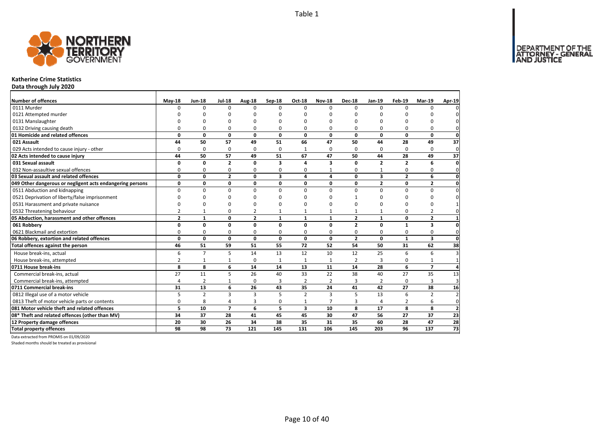

### **Katherine Crime Statistics**

**Data through July 2020**

| Number of offences                                        | <b>May-18</b>  | <b>Jun-18</b>   | <b>Jul-18</b>  | Aug-18          | Sep-18       | Oct-18                  | <b>Nov-18</b>   | <b>Dec-18</b>  | Jan-19         | Feb-19          | <b>Mar-19</b>           | Apr-19          |
|-----------------------------------------------------------|----------------|-----------------|----------------|-----------------|--------------|-------------------------|-----------------|----------------|----------------|-----------------|-------------------------|-----------------|
| 0111 Murder                                               | n              | $\Omega$        | $\Omega$       | $\Omega$        | 0            | $\Omega$                | $\Omega$        | $\Omega$       | $\Omega$       | $\Omega$        | $\Omega$                | $\Omega$        |
| 0121 Attempted murder                                     |                |                 | ŋ              | ŋ               | n            |                         |                 | $\Omega$       | n              |                 |                         | 0               |
| 0131 Manslaughter                                         |                |                 | ŋ              | $\Omega$        | ŋ            | O                       |                 | O              | <sup>0</sup>   | ŋ               | <sup>0</sup>            | 0               |
| 0132 Driving causing death                                | O              | 0               | 0              | 0               | O            | $\Omega$                | 0               | O              | <sup>0</sup>   | 0               | 0                       | 0               |
| 01 Homicide and related offences                          | 0              | $\mathbf 0$     | 0              | 0               | 0            | 0                       | 0               | 0              | 0              | 0               | 0                       | $\mathbf 0$     |
| 021 Assault                                               | 44             | 50              | 57             | 49              | 51           | 66                      | 47              | 50             | 44             | 28              | 49                      | 37              |
| 029 Acts intended to cause injury - other                 | 0              | 0               | 0              | $\Omega$        | $\Omega$     | $\mathbf{1}$            | $\Omega$        | $\Omega$       | $\Omega$       | 0               | 0                       | 0               |
| 02 Acts intended to cause injury                          | 44             | 50              | 57             | 49              | 51           | 67                      | 47              | 50             | 44             | 28              | 49                      | 37              |
| 031 Sexual assault                                        | $\mathbf 0$    | 0               | 2              | 0               | 3            | 4                       | 3               | 0              | $\overline{2}$ | $\overline{2}$  | 6                       | 0               |
| 032 Non-assaultive sexual offences                        | $\mathbf 0$    | 0               | 0              | 0               | 0            | 0                       |                 | 0              | 1              | 0               | $\mathbf 0$             | $\mathbf 0$     |
| 03 Sexual assault and related offences                    | 0              | 0               | $\overline{2}$ | 0               | 3            | $\overline{a}$          | 4               | 0              | 3              | $\overline{2}$  | 6                       | 0               |
| 049 Other dangerous or negligent acts endangering persons | $\mathbf 0$    | 0               | 0              | 0               | 0            | 0                       | 0               | 0              | $\mathbf{2}$   | 0               | $\overline{2}$          | $\mathbf 0$     |
| 0511 Abduction and kidnapping                             | $\mathbf 0$    | 0               | 0              | $\Omega$        | $\Omega$     | $\Omega$                | $\Omega$        | $\mathbf 0$    | 0              | 0               | $\mathbf 0$             | $\mathbf 0$     |
| 0521 Deprivation of liberty/false imprisonment            | n              | n               | $\Omega$       | ŋ               | ŋ            | $\Omega$                | ∩               |                | $\Omega$       | 0               | $\Omega$                | $\mathbf 0$     |
| 0531 Harassment and private nuisance                      | n              | $\Omega$        | $\Omega$       | n               | ŋ            | $\Omega$                | n               | $\Omega$       | <sup>0</sup>   | 0               | $\Omega$                | $\mathbf{1}$    |
| 0532 Threatening behaviour                                | $\overline{2}$ | $\mathbf{1}$    | 0              | $\overline{2}$  |              | $\mathbf{1}$            | $\mathbf{1}$    | 1              | $\mathbf{1}$   | 0               | $\overline{2}$          | 0               |
| 05 Abduction, harassment and other offences               | $\overline{2}$ | $\mathbf{1}$    | 0              | $\overline{2}$  | $\mathbf{1}$ | $\mathbf{1}$            | $\mathbf{1}$    | $\overline{2}$ | $\mathbf{1}$   | 0               | $\overline{2}$          | $\mathbf{1}$    |
| 061 Robbery                                               | $\mathbf 0$    | $\mathbf 0$     | 0              | 0               | 0            | $\mathbf 0$             | 0               | $\overline{2}$ | 0              | $\mathbf{1}$    | $\overline{\mathbf{3}}$ | 0               |
| 0621 Blackmail and extortion                              | 0              | 0               | 0              | $\Omega$        | 0            | 0                       | 0               | 0              | 0              | 0               | 0                       | 0               |
| 06 Robbery, extortion and related offences                | 0              | $\mathbf 0$     | 0              | 0               | 0            | $\mathbf{0}$            | $\mathbf 0$     | $\overline{2}$ | 0              | $\mathbf{1}$    | 3                       | 0               |
| Total offences against the person                         | 46             | $\overline{51}$ | 59             | $\overline{51}$ | 55           | $\overline{72}$         | $\overline{52}$ | 54             | 50             | $\overline{31}$ | 62                      | 38              |
| House break-ins, actual                                   | 6              | $\overline{7}$  | 5              | 14              | 13           | 12                      | 10              | 12             | 25             | 6               | 6                       | 3               |
| House break-ins, attempted                                | $\overline{2}$ | 1               | $\mathbf{1}$   | 0               |              | $\mathbf{1}$            | 1               | $\overline{2}$ | 3              | 0               | $\mathbf{1}$            | $\mathbf{1}$    |
| 0711 House break-ins                                      | 8              | 8               | 6              | 14              | 14           | 13                      | 11              | 14             | 28             | 6               | $\overline{7}$          | 4               |
| Commercial break-ins, actual                              | 27             | 11              | 5              | 26              | 40           | 33                      | 22              | 38             | 40             | 27              | 35                      | 13              |
| Commercial break-ins, attempted                           | $\overline{4}$ | $\overline{2}$  | $\mathbf{1}$   | $\Omega$        | 3            | 2                       | 2               | 3              | 2              | 0               | 3                       | 3               |
| 0711 Commercial break-ins                                 | 31             | 13              | 6              | 26              | 43           | 35                      | 24              | 41             | 42             | 27              | 38                      | 16              |
| 0812 Illegal use of a motor vehicle                       | 5              | $\overline{2}$  | $\overline{3}$ | $\overline{3}$  | 5            | $\overline{2}$          | $\overline{3}$  | 5              | 13             | 6               | $\overline{2}$          | $\overline{2}$  |
| 0813 Theft of motor vehicle parts or contents             | $\mathbf 0$    | 8               | 4              | 3               | 0            | $\mathbf{1}$            | $\overline{7}$  | 3              | 4              | 2               | 6                       | 0               |
| 081 Motor vehicle theft and related offences              | 5              | 10              | $\overline{7}$ | 6               | 5            | $\overline{\mathbf{3}}$ | 10              | 8              | 17             | 8               | 8                       | $\overline{2}$  |
| 08* Theft and related offences (other than MV)            | 34             | 37              | 28             | 41              | 45           | 45                      | 30              | 47             | 56             | 27              | 37                      | 23              |
| 12 Property damage offences                               | 20             | 30              | 26             | 34              | 38           | 35                      | 31              | 35             | 60             | 28              | 47                      | 28              |
| <b>Total property offences</b>                            | 98             | 98              | 73             | 121             | 145          | 131                     | 106             | 145            | 203            | 96              | 137                     | $\overline{73}$ |

Data extracted from PROMIS on 01/09/2020

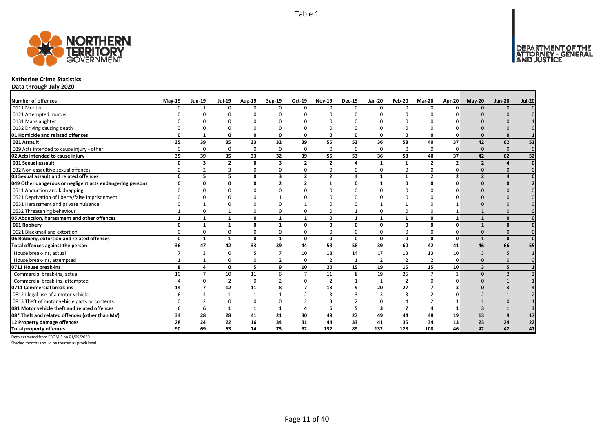

### **Katherine Crime Statistics**

**Data through July 2020**

| <b>Number of offences</b>                                 | $May-19$     | Jun-19                  | <b>Jul-19</b>  | Aug-19       | $Sep-19$                | Oct-19         | <b>Nov-19</b>  | <b>Dec-19</b>         | <b>Jan-20</b>           | Feb-20         | <b>Mar-20</b>  | Apr-20                  | $May-20$                | <b>Jun-20</b>           | <b>Jul-20</b> |
|-----------------------------------------------------------|--------------|-------------------------|----------------|--------------|-------------------------|----------------|----------------|-----------------------|-------------------------|----------------|----------------|-------------------------|-------------------------|-------------------------|---------------|
| 0111 Murder                                               | n            | $\mathbf{1}$            | $\Omega$       | $\Omega$     | $\Omega$                | $\Omega$       | $\Omega$       | $\Omega$              | $\Omega$                | $\Omega$       | $\Omega$       |                         | $\Omega$                | $\Omega$                |               |
| 0121 Attempted murder                                     |              |                         |                |              |                         |                |                |                       |                         |                |                |                         |                         |                         |               |
| 0131 Manslaughter                                         |              |                         |                |              |                         |                |                |                       |                         | $\Omega$       |                |                         |                         |                         |               |
| 0132 Driving causing death                                |              |                         |                | O            | $\Omega$                |                |                |                       | O                       | $\Omega$       |                |                         |                         |                         |               |
| 01 Homicide and related offences                          | $\Omega$     | $\mathbf{1}$            | $\Omega$       | 0            | 0                       | 0              | 0              | $\Omega$              | 0                       | 0              | 0              | $\Omega$                | $\Omega$                | $\Omega$                |               |
| 021 Assault                                               | 35           | 39                      | 35             | 33           | 32                      | 39             | 55             | 53                    | 36                      | 58             | 40             | 37                      | 42                      | 62                      | 52            |
| 029 Acts intended to cause injury - other                 | $\Omega$     | $\Omega$                | $\Omega$       | $\Omega$     | 0                       | $\Omega$       | 0              | $\Omega$              | $\mathbf 0$             | $\mathbf 0$    | $\Omega$       | $\Omega$                | $\Omega$                | $\Omega$                | $\mathbf{0}$  |
| 02 Acts intended to cause injury                          | 35           | 39                      | 35             | 33           | 32                      | 39             | 55             | 53                    | 36                      | 58             | 40             | 37                      | 42                      | 62                      | 52            |
| 031 Sexual assault                                        | n            | $\overline{\mathbf{3}}$ | $\overline{2}$ | 0            | $\overline{\mathbf{3}}$ | $\overline{2}$ | $\overline{2}$ | $\Delta$              | $\mathbf{1}$            | 1              | $\overline{2}$ | $\overline{2}$          | $\overline{2}$          |                         |               |
| 032 Non-assaultive sexual offences                        | O            |                         | 3              | $\Omega$     | 0                       | $\Omega$       | O              |                       | $\Omega$                | 0              | $\Omega$       |                         | $\Omega$                |                         |               |
| 03 Sexual assault and related offences                    | 0            | 5                       | 5.             | $\mathbf{0}$ | $\overline{\mathbf{3}}$ | $\overline{2}$ | $\overline{2}$ | 4                     | $\mathbf{1}$            | $\mathbf{1}$   | $\overline{2}$ | $\overline{\mathbf{z}}$ | $\overline{2}$          |                         |               |
| 049 Other dangerous or negligent acts endangering persons | 0            | 0                       | $\Omega$       | 0            | $\overline{2}$          | $\overline{2}$ | $\mathbf{1}$   | $\Omega$              | $\mathbf{1}$            | 0              | 0              | $\mathbf{0}$            | $\Omega$                | $\Omega$                |               |
| 0511 Abduction and kidnapping                             | <sup>n</sup> | U                       | n              | $\Omega$     | 0                       | $\Omega$       | <sup>0</sup>   | $\Omega$              | $\Omega$                | $\Omega$       | $\Omega$       |                         | $\Omega$                | $\Omega$                |               |
| 0521 Deprivation of liberty/false imprisonment            |              |                         |                |              |                         |                |                |                       |                         | ŋ              |                |                         |                         |                         |               |
| 0531 Harassment and private nuisance                      |              |                         |                |              |                         |                |                |                       |                         |                |                |                         |                         |                         |               |
| 0532 Threatening behaviour                                |              |                         |                | O            | $\Omega$                | $\Omega$       |                |                       | $\Omega$                | 0              |                |                         |                         |                         |               |
| 05 Abduction, harassment and other offences               | $\mathbf{1}$ | $\mathbf{1}$            | $\mathbf{1}$   | 0            | 1                       | 1              | 0              | $\mathbf{1}$          | $\mathbf{1}$            | $\mathbf{1}$   | $\Omega$       | $\overline{2}$          |                         | $\Omega$                |               |
| 061 Robbery                                               | O            | $\mathbf{1}$            | $\mathbf{1}$   | 0            | 1                       | 0              | 0              | $\Omega$              | 0                       | 0              | 0              | $\Omega$                |                         | $\Omega$                |               |
| 0621 Blackmail and extortion                              |              | 0                       |                | $\Omega$     | 0                       | $\Omega$       | O              |                       | $\Omega$                | 0              | $\Omega$       |                         |                         |                         |               |
| 06 Robbery, extortion and related offences                | 0            | $\mathbf{1}$            | 1              | $\mathbf{0}$ | $\mathbf{1}$            | $\mathbf{0}$   | 0              | 0                     | $\mathbf{0}$            | 0              | $\mathbf{0}$   | $\mathbf{0}$            | $\mathbf{1}$            | $\mathbf{0}$            | $\Omega$      |
| Total offences against the person                         | 36           | 47                      | 42             | 33           | 39                      | 44             | 58             | 58                    | 39                      | 60             | 42             | 41                      | 46                      | 66                      | 55            |
| House break-ins, actual                                   |              | 3                       | $\Omega$       | 5            | $\overline{7}$          | 10             | 18             | 14                    | 17                      | 13             | 13             | 10                      | $\mathbf{3}$            | 5                       |               |
| House break-ins, attempted                                |              |                         | $\Omega$       | $\Omega$     | $\overline{2}$          | $\Omega$       | $\overline{2}$ |                       | $\overline{2}$          | $\overline{2}$ | $\overline{2}$ | $\Omega$                | $\Omega$                |                         |               |
| 0711 House break-ins                                      | 8            | 4                       | $\Omega$       | 5            | 9                       | 10             | 20             | 15                    | 19                      | 15             | 15             | 10                      | $\mathbf{3}$            |                         |               |
| Commercial break-ins, actual                              | 10           | $\overline{7}$          | 10             | 11           | 6                       | $\overline{ }$ | 11             | $\mathsf{\mathsf{R}}$ | 19                      | 25             | $\overline{7}$ |                         | $\Omega$                |                         |               |
| Commercial break-ins, attempted                           |              | O                       | $\overline{2}$ | 0            | $\overline{2}$          | $\Omega$       | $\overline{2}$ |                       | $\mathbf{1}$            | $\overline{2}$ | $\Omega$       |                         | $\Omega$                |                         |               |
| 0711 Commercial break-ins                                 | 14           | $\overline{7}$          | 12             | 11           | 8                       | $\overline{ }$ | 13             | 9                     | 20                      | 27             | $\overline{ }$ | 3                       | $\Omega$                | $\overline{\mathbf{3}}$ |               |
| 0812 Illegal use of a motor vehicle                       | 6            | Δ                       |                | -1           | $\mathbf{1}$            | $\overline{2}$ | $\overline{3}$ | 3                     | $\overline{3}$          | 3              | $\overline{2}$ | U                       | $\overline{2}$          |                         |               |
| 0813 Theft of motor vehicle parts or contents             | $\Omega$     |                         | ŋ              | $\Omega$     | 0                       | $\overline{2}$ | 3              | $\overline{2}$        | $\Omega$                | 4              | $\overline{2}$ |                         |                         | $\Omega$                |               |
| 081 Motor vehicle theft and related offences              | 6            | 6                       | 1              | $\mathbf{1}$ | $\mathbf{1}$            | $\Delta$       | 6              | 5                     | $\overline{\mathbf{3}}$ | $\overline{7}$ | $\mathbf{A}$   | $\mathbf{1}$            | $\overline{\mathbf{3}}$ | $\overline{1}$          |               |
| 08* Theft and related offences (other than MV)            | 34           | 28                      | 28             | 41           | 21                      | 30             | 49             | 27                    | 49                      | 44             | 48             | 19                      | 13                      | q                       | 17            |
| 12 Property damage offences                               | 28           | 24                      | 22             | 16           | 34                      | 31             | 44             | 33                    | 41                      | 35             | 34             | 13                      | 23                      | 24                      | 22            |
| <b>Total property offences</b>                            | 90           | 69                      | 63             | 74           | $\overline{73}$         | 82             | 132            | 89                    | $\overline{132}$        | 128            | 108            | 46                      | 42                      | 42                      | 47            |

Data extracted from PROMIS on 01/09/2020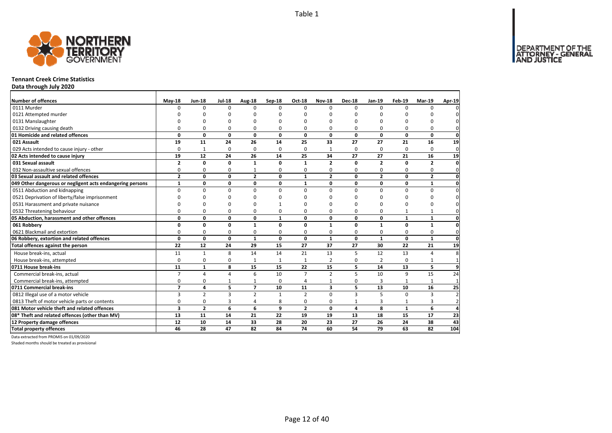DEPARTMENT OF THE<br>ATTORNEY - GENERAL



### **Tennant Creek Crime Statistics**

**Data through July 2020**

| Number of offences                                        | <b>May-18</b>  | <b>Jun-18</b>  | <b>Jul-18</b>           | Aug-18         | Sep-18       | Oct-18         | <b>Nov-18</b>           | <b>Dec-18</b> | <b>Jan-19</b>  | <b>Feb-19</b> | <b>Mar-19</b>           | Apr-19         |
|-----------------------------------------------------------|----------------|----------------|-------------------------|----------------|--------------|----------------|-------------------------|---------------|----------------|---------------|-------------------------|----------------|
| 0111 Murder                                               | $\Omega$       | $\Omega$       | $\Omega$                | $\Omega$       | $\Omega$     | $\Omega$       | $\Omega$                | $\Omega$      | $\Omega$       | $\Omega$      | $\Omega$                |                |
| 0121 Attempted murder                                     |                | O              | U                       | C              |              | ŋ              | n                       | ŋ             | O              |               |                         |                |
| 0131 Manslaughter                                         |                | $\Omega$       | O                       | $\Omega$       |              | O              | ŋ                       | O             | $\Omega$       |               | O                       |                |
| 0132 Driving causing death                                | 0              | 0              | 0                       | 0              | 0            | 0              | 0                       | 0             | $\Omega$       | O             | 0                       |                |
| 01 Homicide and related offences                          | $\Omega$       | 0              | $\mathbf{0}$            | $\mathbf 0$    | $\Omega$     | 0              | 0                       | 0             | $\mathbf{0}$   | $\mathbf{0}$  | 0                       | $\mathbf 0$    |
| 021 Assault                                               | 19             | 11             | 24                      | 26             | 14           | 25             | 33                      | 27            | 27             | 21            | 16                      | 19             |
| 029 Acts intended to cause injury - other                 | $\Omega$       | $\mathbf{1}$   | 0                       | $\mathbf 0$    | $\Omega$     | 0              | $\mathbf{1}$            | 0             | 0              | $\Omega$      | $\Omega$                | $\mathbf{0}$   |
| 02 Acts intended to cause injury                          | 19             | 12             | 24                      | 26             | 14           | 25             | 34                      | 27            | 27             | 21            | 16                      | 19             |
| 031 Sexual assault                                        | $\overline{2}$ | 0              | 0                       | $\mathbf{1}$   | 0            | 1              | $\overline{2}$          | 0             | $\overline{2}$ | 0             | $\overline{2}$          | $\mathbf{0}$   |
| 032 Non-assaultive sexual offences                        | 0              | 0              | 0                       |                | n            | 0              | 0                       | 0             | $\Omega$       | $\Omega$      | 0                       | 0              |
| 03 Sexual assault and related offences                    | $\overline{2}$ | 0              | 0                       | $\overline{2}$ | 0            | $\mathbf{1}$   | $\mathbf{2}$            | 0             | $\overline{2}$ | 0             | $\overline{2}$          | 0              |
| 049 Other dangerous or negligent acts endangering persons | $\mathbf{1}$   | 0              | 0                       | $\mathbf 0$    | $\mathbf{0}$ | 1              | 0                       | 0             | $\mathbf 0$    | 0             | 1                       | $\mathbf{0}$   |
| 0511 Abduction and kidnapping                             | $\Omega$       | $\Omega$       | $\Omega$                | $\Omega$       | $\Omega$     | $\Omega$       | 0                       | $\Omega$      | $\Omega$       | $\Omega$      | 0                       | $\Omega$       |
| 0521 Deprivation of liberty/false imprisonment            | $\Omega$       | $\Omega$       | O                       | $\Omega$       |              | $\Omega$       | U                       | ŋ             | $\Omega$       |               | O                       |                |
| 0531 Harassment and private nuisance                      | $\Omega$       | 0              | 0                       | $\Omega$       |              | $\Omega$       | U                       | O             | $\Omega$       |               | O                       |                |
| 0532 Threatening behaviour                                | $\Omega$       | 0              | 0                       | $\Omega$       | $\Omega$     | 0              | 0                       | 0             | 0              |               | 1                       | $\Omega$       |
| 05 Abduction, harassment and other offences               | 0              | 0              | 0                       | $\mathbf 0$    | $\mathbf{1}$ | $\mathbf{0}$   | 0                       | 0             | $\mathbf 0$    | $\mathbf{1}$  | $\mathbf{1}$            | 0              |
| 061 Robbery                                               | 0              | 0              | 0                       | $\mathbf{1}$   | $\Omega$     | $\Omega$       | $\mathbf{1}$            | 0             | $\mathbf{1}$   | $\Omega$      | 1                       | $\Omega$       |
| 0621 Blackmail and extortion                              | 0              | 0              | 0                       | 0              | $\Omega$     | 0              | 0                       | 0             | 0              | 0             | 0                       | $\mathbf{0}$   |
| 06 Robbery, extortion and related offences                | $\mathbf 0$    | 0              | $\mathbf{0}$            | $\mathbf{1}$   | 0            | 0              | $\mathbf{1}$            | $\mathbf{0}$  | $\mathbf{1}$   | $\mathbf{0}$  | $\mathbf{1}$            | $\mathbf 0$    |
| Total offences against the person                         | 22             | 12             | 24                      | 29             | 15           | 27             | 37                      | 27            | 30             | 22            | 21                      | 19             |
| House break-ins, actual                                   | 11             | $\mathbf{1}$   | 8                       | 14             | 14           | 21             | 13                      | 5             | 12             | 13            | 4                       |                |
| House break-ins, attempted                                | $\Omega$       | 0              | 0                       | $\overline{1}$ |              | 1              | $\overline{2}$          | 0             | $\overline{2}$ | $\Omega$      | 1                       |                |
| 0711 House break-ins                                      | 11             | $\mathbf{1}$   | 8                       | 15             | 15           | 22             | 15                      | 5             | 14             | 13            | 5                       | q              |
| Commercial break-ins, actual                              | $\overline{7}$ | 4              | 4                       | 6              | 10           | $\overline{7}$ | $\overline{2}$          | 5             | 10             | 9             | 15                      | 24             |
| Commercial break-ins, attempted                           | 0              | 0              | 1                       | $\mathbf{1}$   | $\Omega$     | 4              | $\mathbf{1}$            | 0             | 3              | $\mathbf{1}$  | 1                       | $\overline{1}$ |
| 0711 Commercial break-ins                                 | $\overline{7}$ | 4              | 5                       | $\overline{7}$ | 10           | 11             | $\overline{\mathbf{3}}$ | 5             | 13             | 10            | 16                      | 25             |
| 0812 Illegal use of a motor vehicle                       | 3              | $\overline{2}$ | $\overline{\mathbf{3}}$ | $\overline{2}$ | $\mathbf{1}$ | $\mathfrak{p}$ | $\Omega$                | 3             | 5              | $\Omega$      | $\overline{\mathbf{3}}$ |                |
| 0813 Theft of motor vehicle parts or contents             | 0              | 0              | 3                       | $\overline{4}$ | 8            | 0              | 0                       | $\mathbf{1}$  | 3              | 1             | 3                       |                |
| 081 Motor vehicle theft and related offences              | 3              | $\overline{2}$ | 6                       | 6              | 9            | $\overline{2}$ | $\mathbf 0$             | 4             | 8              | $\mathbf{1}$  | 6                       |                |
| 08* Theft and related offences (other than MV)            | 13             | 11             | 14                      | 21             | 22           | 19             | 19                      | 13            | 18             | 15            | 17                      | 23             |
| 12 Property damage offences                               | 12             | 10             | 14                      | 33             | 28           | 20             | 23                      | 27            | 26             | 24            | 38                      | 43             |
| <b>Total property offences</b>                            | 46             | 28             | 47                      | 82             | 84           | 74             | 60                      | 54            | 79             | 63            | 82                      | 104            |

Data extracted from PROMIS on 01/09/2020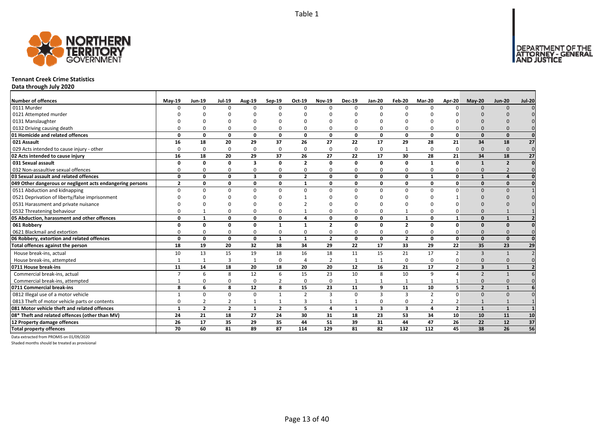

### **Tennant Creek Crime Statistics**

**Data through July 2020**

| <b>Number of offences</b>                                 | $May-19$       | <b>Jun-19</b>  | <b>Jul-19</b>  | <b>Aug-19</b>           | Sep-19         | Oct-19         | <b>Nov-19</b>  | <b>Dec-19</b> | <b>Jan-20</b>           | Feb-20                  | <b>Mar-20</b>  | Apr-20         | $May-20$                 | <b>Jun-20</b>  | <b>Jul-20</b>   |
|-----------------------------------------------------------|----------------|----------------|----------------|-------------------------|----------------|----------------|----------------|---------------|-------------------------|-------------------------|----------------|----------------|--------------------------|----------------|-----------------|
| 0111 Murder                                               | $\Omega$       | $\Omega$       | $\Omega$       | $\Omega$                | $\Omega$       | $\Omega$       | $\Omega$       | $\Omega$      | $\Omega$                | $\Omega$                | $\Omega$       | $\Omega$       | $\Omega$                 | $\Omega$       |                 |
| 0121 Attempted murder                                     |                |                |                |                         | n              |                |                |               |                         |                         |                |                |                          |                |                 |
| 0131 Manslaughter                                         |                |                |                |                         |                |                |                |               |                         |                         |                |                |                          |                |                 |
| 0132 Driving causing death                                |                |                |                | $\Omega$                | $\Omega$       |                |                | $\Omega$      | $\Omega$                | $\Omega$                |                |                |                          |                |                 |
| 01 Homicide and related offences                          | $\Omega$       | 0              | $\Omega$       | $\mathbf{0}$            | $\mathbf{0}$   | $\mathbf{0}$   | $\Omega$       | $\Omega$      | $\mathbf{0}$            | $\mathbf{0}$            | $\Omega$       | $\Omega$       | $\Omega$                 | $\Omega$       |                 |
| 021 Assault                                               | 16             | 18             | 20             | 29                      | 37             | 26             | 27             | 22            | 17                      | 29                      | 28             | 21             | 34                       | 18             | 27              |
| 029 Acts intended to cause injury - other                 | $\Omega$       | 0              | $\Omega$       | $\Omega$                | $\mathbf 0$    | $\Omega$       | $\Omega$       | $\Omega$      | $\Omega$                | 1                       | $\Omega$       | $\Omega$       | $\Omega$                 | $\Omega$       | $\mathbf 0$     |
| 02 Acts intended to cause injury                          | 16             | 18             | 20             | 29                      | 37             | 26             | 27             | 22            | 17                      | 30                      | 28             | 21             | 34                       | 18             | $\overline{27}$ |
| 031 Sexual assault                                        | n              | 0              | $\Omega$       | $\overline{\mathbf{3}}$ | 0              | $\overline{2}$ | n              | 0             | $\mathbf{0}$            | 0                       | $\mathbf{1}$   | $\Omega$       | $\mathbf{1}$             | $\overline{2}$ |                 |
| 032 Non-assaultive sexual offences                        | n              | ŋ              | $\Omega$       | $\Omega$                | $\mathbf 0$    | $\Omega$       | ŋ              | $\Omega$      | 0                       | 0                       | $\Omega$       |                | $\Omega$                 |                |                 |
| 03 Sexual assault and related offences                    | $\Omega$       | 0              | $\Omega$       | $\overline{\mathbf{3}}$ | 0              | $\overline{2}$ | 0              | 0             | $\mathbf 0$             | 0                       | $\mathbf{1}$   | 0              | $\mathbf{1}$             |                |                 |
| 049 Other dangerous or negligent acts endangering persons | $\overline{2}$ | $\Omega$       | $\Omega$       | $\mathbf 0$             | 0              | $\mathbf{1}$   | n              | 0             | $\mathbf 0$             | 0                       | $\Omega$       | $\Omega$       | $\Omega$                 | $\Omega$       |                 |
| 0511 Abduction and kidnapping                             | $\Omega$       |                | n              | $\Omega$                | $\Omega$       | $\Omega$       | n              | $\Omega$      | $\Omega$                | $\Omega$                | n              |                | $\Omega$                 | $\Omega$       |                 |
| 0521 Deprivation of liberty/false imprisonment            |                |                |                |                         | ŋ              |                |                |               |                         |                         |                |                | $\Omega$                 |                |                 |
| 0531 Harassment and private nuisance                      |                |                |                |                         | n              |                |                |               |                         |                         |                |                |                          |                |                 |
| 0532 Threatening behaviour                                |                |                |                | $\Omega$                | 0              |                |                | $\Omega$      | $\Omega$                | $\overline{1}$          |                |                |                          |                |                 |
| 05 Abduction, harassment and other offences               | $\Omega$       | 1              | n              | $\mathbf{0}$            | 0              | Δ              | O              | $\Omega$      | $\mathbf{0}$            | $\mathbf{1}$            | $\Omega$       |                | $\Omega$                 | $\mathbf{1}$   |                 |
| 061 Robbery                                               |                | U              | n              | 0                       | $\mathbf{1}$   |                | $\overline{2}$ | $\Omega$      | 0                       | $\overline{2}$          | $\Omega$       | $\Omega$       | $\Omega$                 | $\Omega$       |                 |
| 0621 Blackmail and extortion                              |                |                | $\Omega$       | $\Omega$                | 0              |                |                | $\Omega$      | $\Omega$                | 0                       |                |                | $\Omega$                 |                |                 |
| 06 Robbery, extortion and related offences                | $\Omega$       | 0              | 0              | $\mathbf{0}$            | $\mathbf{1}$   | $\mathbf{1}$   | $\overline{2}$ | 0             | $\mathbf{0}$            | $\overline{2}$          | 0              | $\mathbf{0}$   | $\Omega$                 | $\Omega$       |                 |
| Total offences against the person                         | 18             | 19             | 20             | 32                      | 38             | 34             | 29             | 22            | 17                      | $\overline{33}$         | 29             | 22             | 35                       | 23             | 29              |
| House break-ins, actual                                   | 10             | 13             | 15             | 19                      | 18             | 16             | 18             | 11            | 15                      | 21                      | 17             | $\overline{2}$ | $\overline{3}$           | $\mathbf{1}$   |                 |
| House break-ins, attempted                                |                |                | 3              | $\overline{1}$          | $\mathbf 0$    |                | $\overline{2}$ |               | $\mathbf{1}$            | 0                       | $\Omega$       |                | $\Omega$                 | $\Omega$       |                 |
| 0711 House break-ins                                      | 11             | 14             | 18             | 20                      | 18             | 20             | 20             | 12            | 16                      | 21                      | 17             | $\overline{2}$ | $\overline{\mathbf{3}}$  |                |                 |
| Commercial break-ins, actual                              |                | 6              | 8              | 12                      | 6              | 15             | 23             | 10            | 8                       | 10                      | q              |                | $\overline{\phantom{0}}$ |                |                 |
| Commercial break-ins, attempted                           |                |                |                | $\mathbf 0$             | 2              | $\Omega$       | <sup>0</sup>   |               | $\mathbf{1}$            | $\mathbf{1}$            |                |                | $\Omega$                 | $\Omega$       |                 |
| 0711 Commercial break-ins                                 | 8              | 6              | 8              | 12                      | 8              | 15             | 23             | 11            | 9                       | 11                      | 10             | 5              | $\overline{2}$           | $\mathbf{1}$   |                 |
| 0812 Illegal use of a motor vehicle                       | $\mathbf{1}$   | $\Omega$       | $\Omega$       | $\Omega$                | $\mathbf{1}$   | $\overline{2}$ | 3              | $\Omega$      | $\overline{3}$          | 3                       | $\overline{2}$ | $\Omega$       | $\Omega$                 | $\Omega$       |                 |
| 0813 Theft of motor vehicle parts or contents             | $\Omega$       |                | 2              | $\mathbf{1}$            | 1              | 3              |                |               | 0                       | 0                       | $\overline{2}$ |                |                          |                |                 |
| 081 Motor vehicle theft and related offences              | $\mathbf{1}$   | $\overline{2}$ | $\overline{2}$ | $\mathbf{1}$            | $\overline{2}$ | 5              | 4              | $\mathbf{1}$  | $\overline{\mathbf{3}}$ | $\overline{\mathbf{3}}$ | 4              | $\overline{2}$ | $\mathbf{1}$             | $\mathbf{1}$   |                 |
| 08* Theft and related offences (other than MV)            | 24             | 21             | 18             | 27                      | 24             | 30             | 31             | 18            | 23                      | 53                      | 34             | 10             | 10                       | 11             | 10              |
| 12 Property damage offences                               | 26             | 17             | 35             | 29                      | 35             | 44             | 51             | 39            | 31                      | 44                      | 47             | 26             | 22                       | 12             | 37              |
| <b>Total property offences</b>                            | 70             | 60             | 81             | 89                      | 87             | 114            | 129            | 81            | 82                      | $\overline{132}$        | 112            | 45             | 38                       | 26             | 56              |

Data extracted from PROMIS on 01/09/2020

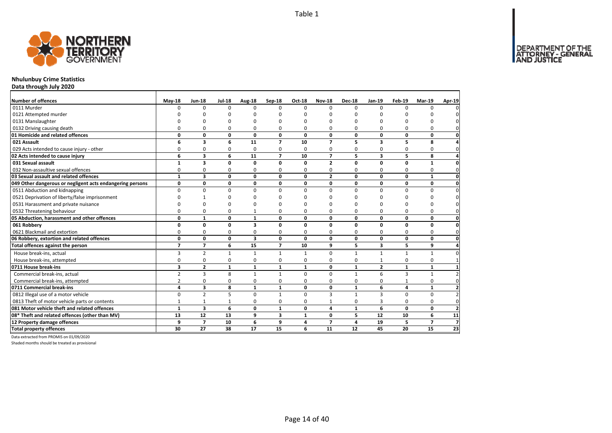

# **Nhulunbuy Crime Statistics**

**Data through July 2020**

| Number of offences                                        | <b>May-18</b>  | <b>Jun-18</b>  | <b>Jul-18</b> | Aug-18                  | <b>Sep-18</b>  | Oct-18       | <b>Nov-18</b>            | <b>Dec-18</b> | Jan-19                  | Feb-19       | <b>Mar-19</b>  | Apr-19              |
|-----------------------------------------------------------|----------------|----------------|---------------|-------------------------|----------------|--------------|--------------------------|---------------|-------------------------|--------------|----------------|---------------------|
| 0111 Murder                                               | n              | $\Omega$       | $\Omega$      | $\Omega$                | $\Omega$       | $\Omega$     | <sup>0</sup>             | $\Omega$      | $\Omega$                | $\Omega$     | $\Omega$       | 0                   |
| 0121 Attempted murder                                     |                |                | ŋ             | C                       |                |              |                          | O             |                         |              |                | 0                   |
| 0131 Manslaughter                                         |                | O              | U             | O                       |                |              | O                        | O             | O                       | O            |                | 0                   |
| 0132 Driving causing death                                |                | 0              | 0             | 0                       | 0              | 0            | 0                        | $\Omega$      | 0                       | 0            | 0              | $\mathbf{0}$        |
| 01 Homicide and related offences                          | 0              | 0              | 0             | $\mathbf{0}$            | 0              | 0            | 0                        | 0             | 0                       | 0            | 0              | $\mathbf 0$         |
| 021 Assault                                               | 6              | 3              | 6             | 11                      | $\overline{7}$ | 10           | $\overline{\phantom{a}}$ | 5             | $\overline{\mathbf{3}}$ | 5            | 8              | 4                   |
| 029 Acts intended to cause injury - other                 | 0              | 0              | 0             | 0                       | 0              | $\Omega$     | 0                        | 0             | 0                       | 0            | 0              | $\mathbf 0$         |
| 02 Acts intended to cause injury                          | 6              | 3              | 6             | 11                      | $\overline{7}$ | 10           | $\overline{7}$           | 5             | 3                       | 5            | 8              | 4                   |
| 031 Sexual assault                                        | $\mathbf{1}$   | 3              | 0             | 0                       | 0              | $\mathbf{0}$ | $\overline{2}$           | 0             | 0                       | 0            | $\mathbf{1}$   | $\mathbf 0$         |
| 032 Non-assaultive sexual offences                        | 0              | $\mathbf 0$    | $\Omega$      | $\Omega$                | 0              | $\Omega$     | 0                        | 0             | $\Omega$                | 0            | $\mathbf 0$    | $\mathbf 0$         |
| 03 Sexual assault and related offences                    | 1              | 3              | 0             | 0                       | 0              | 0            | $\mathbf{2}$             | 0             | 0                       | 0            | $\mathbf{1}$   | $\mathbf{0}$        |
| 049 Other dangerous or negligent acts endangering persons | 0              | 0              | $\mathbf 0$   | 0                       | 0              | 0            | 0                        | 0             | 0                       | 0            | 0              | $\mathbf 0$         |
| 0511 Abduction and kidnapping                             | $\Omega$       | $\mathbf 0$    | 0             | $\Omega$                | $\Omega$       | 0            | $\Omega$                 | 0             | $\Omega$                | 0            | 0              | $\pmb{0}$           |
| 0521 Deprivation of liberty/false imprisonment            |                |                | U             |                         |                | n            | O                        | $\Omega$      | <sup>0</sup>            | ŋ            | O              | $\mathsf{O}\xspace$ |
| 0531 Harassment and private nuisance                      |                | O              | 0             |                         | ŋ              | n            | ŋ                        | $\Omega$      | ŋ                       | ŋ            | $\Omega$       | 0                   |
| 0532 Threatening behaviour                                | 0              | $\mathbf 0$    | 0             |                         | 0              | $\Omega$     | 0                        | $\Omega$      | $\Omega$                | 0            | $\mathbf 0$    | $\mathbf{0}$        |
| 05 Abduction, harassment and other offences               | 0              | $\mathbf{1}$   | 0             | $\mathbf{1}$            | 0              | 0            | 0                        | 0             | 0                       | 0            | 0              | $\mathbf{0}$        |
| 061 Robbery                                               | 0              | 0              | $\mathbf{0}$  | $\overline{\mathbf{3}}$ | $\Omega$       | 0            | 0                        | 0             | 0                       | 0            | 0              | $\mathbf 0$         |
| 0621 Blackmail and extortion                              | 0              | $\mathbf 0$    | 0             | $\mathbf 0$             | 0              | 0            | 0                        | 0             | 0                       | 0            | $\mathbf 0$    | $\mathbf{0}$        |
| 06 Robbery, extortion and related offences                | 0              | $\mathbf 0$    | 0             | 3                       | 0              | $\mathbf{0}$ | 0                        | 0             | 0                       | 0            | 0              | $\mathbf{0}$        |
| Total offences against the person                         | $\overline{7}$ | $\overline{7}$ | 6             | 15                      | $\overline{7}$ | 10           | 9                        | 5             | 3                       | 5            | 9              | $\overline{a}$      |
| House break-ins, actual                                   | 3              | $\overline{2}$ | $\mathbf{1}$  | $\mathbf{1}$            | $\mathbf{1}$   | $\mathbf{1}$ | 0                        | $\mathbf{1}$  | $\mathbf{1}$            | $\mathbf{1}$ | $\mathbf{1}$   | 0                   |
| House break-ins, attempted                                | 0              | 0              | 0             | 0                       | 0              | 0            | 0                        | 0             |                         | 0            | $\mathbf 0$    | $\mathbf{1}$        |
| 0711 House break-ins                                      | 3              | $\overline{2}$ | $\mathbf{1}$  | $\mathbf{1}$            | $\mathbf{1}$   | $\mathbf{1}$ | $\mathbf{0}$             | $\mathbf{1}$  | $\overline{2}$          | $\mathbf{1}$ | $\mathbf{1}$   | $\mathbf{1}$        |
| Commercial break-ins, actual                              | $\overline{2}$ | 3              | 8             | 1                       | $\mathbf{1}$   | $\Omega$     | $\Omega$                 | $\mathbf{1}$  | 6                       | 3            | $\mathbf{1}$   | $\overline{2}$      |
| Commercial break-ins, attempted                           | 2              | 0              | 0             | 0                       | 0              | 0            | 0                        | 0             | 0                       |              | 0              | $\mathbf 0$         |
| 0711 Commercial break-ins                                 | 4              | 3              | 8             | $\mathbf{1}$            | $\mathbf{1}$   | 0            | 0                        | $\mathbf{1}$  | 6                       | 4            | $\mathbf{1}$   | $\mathbf{2}$        |
| 0812 Illegal use of a motor vehicle                       | $\Omega$       | $\overline{2}$ | 5             | $\Omega$                | $\mathbf{1}$   | $\Omega$     | $\overline{\mathbf{3}}$  | $\mathbf{1}$  | $\overline{3}$          | 0            | 0              | $\mathbf 2$         |
| 0813 Theft of motor vehicle parts or contents             | $\mathbf{1}$   | $\mathbf{1}$   | $\mathbf 1$   | $\Omega$                | $\Omega$       | $\Omega$     | $\mathbf{1}$             | 0             | 3                       | 0            | 0              | $\mathbf 0$         |
| 081 Motor vehicle theft and related offences              | $\mathbf{1}$   | 3              | 6             | 0                       | $\mathbf{1}$   | 0            | 4                        | $\mathbf{1}$  | 6                       | 0            | 0              | $\overline{2}$      |
| 08* Theft and related offences (other than MV)            | 13             | 12             | 13            | 9                       | 3              | $\mathbf{1}$ | 0                        | 5             | 12                      | 10           | 6              | 11                  |
| 12 Property damage offences                               | 9              | $\overline{7}$ | 10            | 6                       | 9              | 4            | $\overline{7}$           | 4             | 19                      | 5            | $\overline{ }$ | $\overline{7}$      |
| <b>Total property offences</b>                            | 30             | 27             | 38            | 17                      | 15             | 6            | 11                       | 12            | 45                      | 20           | 15             | 23                  |

Data extracted from PROMIS on 01/09/2020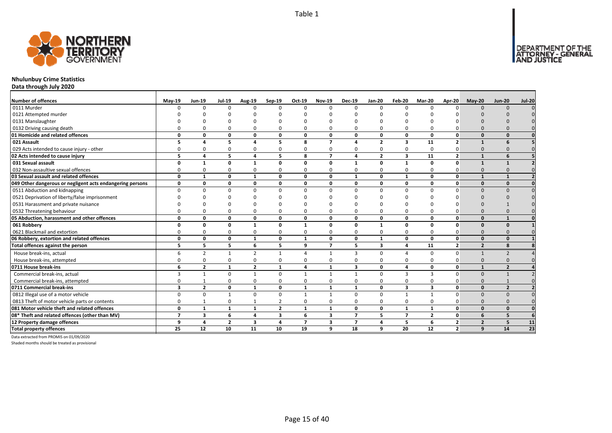

# **Nhulunbuy Crime Statistics**

**Data through July 2020**

| <b>Number of offences</b>                                 | $May-19$                | <b>Jun-19</b>  | <b>Jul-19</b>  | <b>Aug-19</b>            | Sep-19         | Oct-19         | <b>Nov-19</b>  | <b>Dec-19</b>           | <b>Jan-20</b>           | Feb-20          | Mar-20         | Apr-20                  | $Mav-20$       | <b>Jun-20</b>  | <b>Jul-20</b>   |
|-----------------------------------------------------------|-------------------------|----------------|----------------|--------------------------|----------------|----------------|----------------|-------------------------|-------------------------|-----------------|----------------|-------------------------|----------------|----------------|-----------------|
| 0111 Murder                                               |                         | <sup>n</sup>   | $\Omega$       | $\Omega$                 | $\Omega$       | $\Omega$       | $\Omega$       | $\Omega$                | $\Omega$                | $\Omega$        |                |                         | $\Omega$       | $\Omega$       |                 |
| 0121 Attempted murder                                     |                         |                |                |                          |                |                |                |                         |                         |                 |                |                         |                |                |                 |
| 0131 Manslaughter                                         |                         |                |                |                          |                |                |                |                         |                         |                 |                |                         |                |                |                 |
| 0132 Driving causing death                                |                         |                |                |                          | O              |                |                |                         | $\Omega$                | O               |                |                         |                |                |                 |
| 01 Homicide and related offences                          | O                       | 0              | $\Omega$       | $\mathbf{0}$             | 0              | $\Omega$       | O              | $\Omega$                | $\mathbf{0}$            | $\mathbf{0}$    | $\Omega$       | $\Omega$                | $\Omega$       | $\Omega$       |                 |
| 021 Assault                                               |                         | Δ              | 5              | $\overline{ }$           | 5              | 8              | 7              | $\mathbf{A}$            | $\overline{2}$          | 3               | 11             | $\overline{2}$          | $\mathbf{1}$   | 6              |                 |
| 029 Acts intended to cause injury - other                 |                         |                |                | 0                        | 0              |                | <sup>0</sup>   | <sup>0</sup>            | $\Omega$                | 0               | $\Omega$       | 0                       | $\Omega$       |                |                 |
| 02 Acts intended to cause injury                          | 5                       | 4              | 5              | 4                        | 5              | 8              | $\overline{7}$ | $\mathbf{A}$            | $\overline{\mathbf{2}}$ | 3               | 11             | $\overline{2}$          | $\mathbf{1}$   | 6              |                 |
| 031 Sexual assault                                        | n                       | 1              | n              | $\mathbf{1}$             | 0              | $\Omega$       | O              | -1                      | $\mathbf{0}$            | $\mathbf{1}$    | $\Omega$       | $\Omega$                | 1              |                |                 |
| 032 Non-assaultive sexual offences                        | O                       | <sup>0</sup>   | $\Omega$       | $\Omega$                 | 0              | 0              | ŋ              | $\Omega$                | $\Omega$                | 0               | $\Omega$       | O                       | $\Omega$       |                |                 |
| 03 Sexual assault and related offences                    | $\Omega$                | 1              | $\Omega$       | $\mathbf{1}$             | 0              | $\Omega$       | $\Omega$       | $\mathbf{1}$            | $\mathbf{0}$            | $\mathbf{1}$    | $\Omega$       | 0                       | $\mathbf{1}$   |                |                 |
| 049 Other dangerous or negligent acts endangering persons | 0                       | 0              | 0              | 0                        | 0              | 0              | 0              | 0                       | 0                       | 0               | $\Omega$       | 0                       | $\Omega$       | $\Omega$       |                 |
| 0511 Abduction and kidnapping                             | $\Omega$                | $\Omega$       | $\Omega$       | $\Omega$                 | $\Omega$       | $\Omega$       | <sup>n</sup>   | $\Omega$                | $\Omega$                | $\Omega$        | $\Omega$       | $\Omega$                | $\Omega$       | $\Omega$       |                 |
| 0521 Deprivation of liberty/false imprisonment            |                         |                |                |                          | n              |                |                |                         |                         |                 |                |                         |                |                |                 |
| 0531 Harassment and private nuisance                      |                         |                |                |                          | ŋ              |                |                |                         |                         |                 |                |                         |                |                |                 |
| 0532 Threatening behaviour                                |                         |                |                | $\Omega$                 | $\Omega$       |                |                | $\Omega$                | $\Omega$                | $\Omega$        |                |                         |                |                |                 |
| 05 Abduction, harassment and other offences               | $\Omega$                | 0              | $\Omega$       | $\mathbf{0}$             | 0              | $\mathbf{0}$   | O              | 0                       | $\mathbf{0}$            | 0               | $\Omega$       | O                       | $\Omega$       |                |                 |
| 061 Robbery                                               | O                       | 0              | 0              | 1                        | 0              | 1              | O              | 0                       | $\mathbf{1}$            | 0               | 0              | $\Omega$                | $\Omega$       | $\Omega$       |                 |
| 0621 Blackmail and extortion                              |                         | O              | $\Omega$       | $\Omega$                 | 0              | 0              | 0              | $\Omega$                | 0                       | 0               | $\Omega$       |                         | $\Omega$       |                |                 |
| 06 Robbery, extortion and related offences                | $\Omega$                | 0              | 0              | $\mathbf{1}$             | 0              | 1              | 0              | 0                       | $\mathbf{1}$            | 0               | 0              | $\Omega$                | $\Omega$       | $\Omega$       |                 |
| Total offences against the person                         | 5                       | 5              | 5              | 6                        | 5              | 9              | $\overline{7}$ | 5                       | $\overline{\mathbf{3}}$ | 4               | 11             | $\overline{2}$          | $\overline{2}$ | 8              |                 |
| House break-ins, actual                                   |                         | $\overline{2}$ |                | $\overline{\phantom{a}}$ | $\mathbf{1}$   | Δ              | $\mathbf{1}$   | 3                       | $\Omega$                | 4               | $\Omega$       | $\Omega$                |                |                |                 |
| House break-ins, attempted                                |                         | <sup>0</sup>   | $\Omega$       | $\Omega$                 | $\mathbf 0$    | $\Omega$       | 0              | $\Omega$                | $\Omega$                | 0               | $\Omega$       |                         | $\Omega$       |                |                 |
| 0711 House break-ins                                      | 6                       | $\overline{2}$ |                | $\overline{2}$           | $\mathbf{1}$   | 4              |                | $\overline{\mathbf{3}}$ | $\mathbf{0}$            | 4               | 0              | 0                       |                | $\overline{2}$ |                 |
| Commercial break-ins, actual                              |                         |                |                |                          | $\Omega$       |                |                |                         | $\Omega$                | 3               |                | $\Omega$                | $\Omega$       |                |                 |
| Commercial break-ins, attempted                           |                         |                |                | 0                        | 0              | 0              |                | $\Omega$                | $\Omega$                | 0               | O              |                         | $\Omega$       |                |                 |
| 0711 Commercial break-ins                                 | $\overline{\mathbf{3}}$ | $\overline{2}$ | 0              | 1                        | 0              | 1              | $\mathbf{1}$   | $\mathbf{1}$            | 0                       | 3               | 3              | 0                       | $\Omega$       | $\overline{2}$ |                 |
| 0812 Illegal use of a motor vehicle                       | $\Omega$                | $\Omega$       |                | 0                        | 0              | $\mathbf{1}$   |                | $\Omega$                | $\Omega$                | $\mathbf{1}$    |                | $\Omega$                | $\Omega$       | $\Omega$       |                 |
| 0813 Theft of motor vehicle parts or contents             | $\Omega$                |                | $\Omega$       | $\mathbf 1$              | 2              | $\Omega$       | ŋ              | $\Omega$                | 0                       | 0               | 0              |                         | $\Omega$       |                |                 |
| 081 Motor vehicle theft and related offences              | $\Omega$                | $\mathbf{1}$   | $\mathbf{1}$   | $\mathbf{1}$             | $\overline{2}$ | $\mathbf{1}$   | $\mathbf{1}$   | $\Omega$                | $\mathbf 0$             | $\mathbf{1}$    | 1              | $\Omega$                | $\Omega$       | $\Omega$       |                 |
| 08* Theft and related offences (other than MV)            | 7                       | 3              | 6              | 4                        | 3              | 6              | 3              | $\overline{7}$          | 5                       | $\overline{7}$  | $\overline{2}$ | 0                       | 6              | 5              |                 |
| 12 Property damage offences                               | 9                       | 4              | $\overline{2}$ | $\overline{\mathbf{3}}$  | 4              | $\overline{7}$ | 3              | $\overline{7}$          | 4                       | 5               | 6              | $\overline{\mathbf{2}}$ | $\overline{2}$ | 5              | 11              |
| <b>Total property offences</b>                            | 25                      | 12             | 10             | 11                       | 10             | 19             | q              | 18                      | 9                       | $\overline{20}$ | 12             | $\overline{2}$          | 9              | 14             | $\overline{23}$ |

Data extracted from PROMIS on 01/09/2020

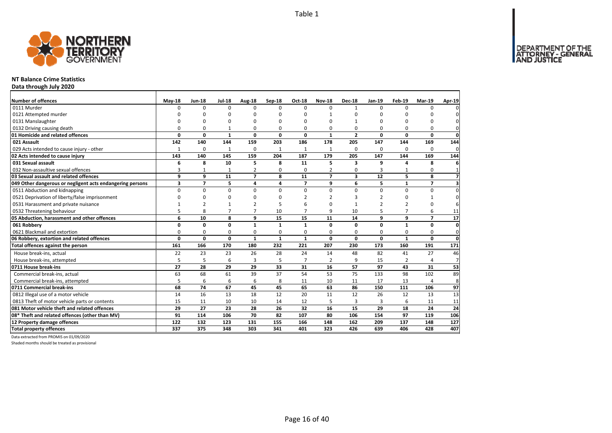DEPARTMENT OF THE<br>ATTORNEY - GENERAL



### **NT Balance Crime Statistics**

**Data through July 2020**

| Number of offences                                        | $May-18$     | <b>Jun-18</b>  | <b>Jul-18</b>  | Aug-18         | Sep-18       | Oct-18         | <b>Nov-18</b>  | <b>Dec-18</b>           | <b>Jan-19</b>   | Feb-19         | <b>Mar-19</b>  | Apr-19          |
|-----------------------------------------------------------|--------------|----------------|----------------|----------------|--------------|----------------|----------------|-------------------------|-----------------|----------------|----------------|-----------------|
| 0111 Murder                                               | $\Omega$     | $\Omega$       | $\Omega$       | $\Omega$       | $\Omega$     | $\Omega$       | $\Omega$       | $\mathbf{1}$            | $\Omega$        | $\Omega$       | $\Omega$       |                 |
| 0121 Attempted murder                                     |              | 0              | O              | $\Omega$       |              | O              | 1              | ŋ                       | 0               |                | ŋ              |                 |
| 0131 Manslaughter                                         | $\Omega$     | 0              | 0              | $\Omega$       |              | $\Omega$       | O              |                         | $\Omega$        |                | $\Omega$       |                 |
| 0132 Driving causing death                                | 0            | 0              | $\mathbf{1}$   | 0              | O            | 0              | 0              | 0                       | $\Omega$        | O              | 0              | 0               |
| 01 Homicide and related offences                          | 0            | 0              | $\mathbf{1}$   | $\mathbf 0$    | $\Omega$     | 0              | $\mathbf{1}$   | $\overline{2}$          | $\mathbf 0$     | $\Omega$       | 0              | $\mathbf 0$     |
| 021 Assault                                               | 142          | 140            | 144            | 159            | 203          | 186            | 178            | 205                     | 147             | 144            | 169            | 144             |
| 029 Acts intended to cause injury - other                 | $\mathbf{1}$ | 0              | $\mathbf{1}$   | 0              |              | $\mathbf{1}$   | 1              | 0                       | $\Omega$        | $\Omega$       | $\Omega$       | 0               |
| 02 Acts intended to cause injury                          | 143          | 140            | 145            | 159            | 204          | 187            | 179            | 205                     | 147             | 144            | 169            | 144             |
| 031 Sexual assault                                        | 6            | 8              | 10             | 5              | 8            | 11             | 5              | 3                       | 9               |                | 8              | 6               |
| 032 Non-assaultive sexual offences                        | 3            | 1              | 1              | $\overline{2}$ | $\Omega$     | $\Omega$       | $\overline{2}$ | 0                       | 3               |                | 0              |                 |
| 03 Sexual assault and related offences                    | 9            | 9              | 11             | $\overline{7}$ | 8            | 11             | $\overline{ }$ | $\overline{\mathbf{3}}$ | $\overline{12}$ | 5              | 8              | $\overline{7}$  |
| 049 Other dangerous or negligent acts endangering persons | 3            | $\overline{ }$ | 5              | 4              | 4            | $\overline{ }$ | 9              | 6                       | 5               | $\mathbf{1}$   | $\overline{ }$ | 3               |
| 0511 Abduction and kidnapping                             | 0            | 0              | $\mathbf 0$    | $\mathbf 0$    | $\Omega$     | $\Omega$       | 0              | $\Omega$                | $\mathbf 0$     | $\Omega$       | 0              | $\Omega$        |
| 0521 Deprivation of liberty/false imprisonment            | $\Omega$     | $\Omega$       | 0              | $\Omega$       |              | $\mathcal{P}$  | 2              | 3                       | $\overline{2}$  | $\Omega$       | 1              | $\Omega$        |
| 0531 Harassment and private nuisance                      |              |                | 1              |                |              |                |                |                         |                 | $\overline{2}$ | O              | 6               |
| 0532 Threatening behaviour                                | 5            | 8              | $\overline{7}$ | $\overline{7}$ | 10           | $\overline{7}$ | 9              | 10                      | 5               | $\overline{ }$ | 6              | 11              |
| 05 Abduction, harassment and other offences               | 6            | 10             | 8              | 9              | 15           | 15             | 11             | 14                      | 9               | 9              | $\overline{z}$ | 17              |
| 061 Robbery                                               | 0            | 0              | 0              | $\mathbf{1}$   | $\mathbf{1}$ | 1              | 0              | 0                       | $\mathbf{0}$    | $\mathbf{1}$   | 0              | $\mathbf{0}$    |
| 0621 Blackmail and extortion                              | 0            | 0              | 0              | 0              | $\Omega$     | 0              | 0              | 0                       | $\Omega$        | $\Omega$       | 0              | $\Omega$        |
| 06 Robbery, extortion and related offences                | 0            | 0              | 0              | $\mathbf{1}$   | $\mathbf{1}$ | $\mathbf{1}$   | 0              | 0                       | $\mathbf 0$     | $\mathbf{1}$   | 0              | $\mathbf{0}$    |
| Total offences against the person                         | 161          | 166            | 170            | 180            | 232          | 221            | 207            | 230                     | 173             | 160            | 191            | $\frac{171}{2}$ |
| House break-ins, actual                                   | 22           | 23             | 23             | 26             | 28           | 24             | 14             | 48                      | 82              | 41             | 27             | 46              |
| House break-ins, attempted                                | 5            | 5              | 6              | $\overline{3}$ | 5            | $\overline{7}$ | $\overline{2}$ | 9                       | 15              | $\overline{2}$ | 4              | $\overline{7}$  |
| 0711 House break-ins                                      | 27           | 28             | 29             | 29             | 33           | 31             | 16             | 57                      | 97              | 43             | 31             | 53              |
| Commercial break-ins, actual                              | 63           | 68             | 61             | 39             | 37           | 54             | 53             | 75                      | 133             | 98             | 102            | 89              |
| Commercial break-ins, attempted                           | 5            | 6              | 6              | 6              | 8            | 11             | 10             | 11                      | 17              | 13             | 4              | 8               |
| 0711 Commercial break-ins                                 | 68           | 74             | 67             | 45             | 45           | 65             | 63             | 86                      | 150             | 111            | 106            | 97              |
| 0812 Illegal use of a motor vehicle                       | 14           | 16             | 13             | 18             | 12           | 20             | 11             | 12                      | 26              | 12             | 13             | 13              |
| 0813 Theft of motor vehicle parts or contents             | 15           | 11             | 10             | 10             | 14           | 12             | 5              | 3                       | $\overline{3}$  | 6              | 11             | 11              |
| 081 Motor vehicle theft and related offences              | 29           | 27             | 23             | 28             | 26           | 32             | 16             | 15                      | 29              | 18             | 24             | 24              |
| 08* Theft and related offences (other than MV)            | 91           | 114            | 106            | 70             | 82           | 107            | 80             | 106                     | 154             | 97             | 119            | 106             |
| 12 Property damage offences                               | 122          | 132            | 123            | 131            | 155          | 166            | 148            | 162                     | 209             | 137            | 148            | 127             |
| <b>Total property offences</b>                            | 337          | 375            | 348            | 303            | 341          | 401            | 323            | 426                     | 639             | 406            | 428            | 407             |

Data extracted from PROMIS on 01/09/2020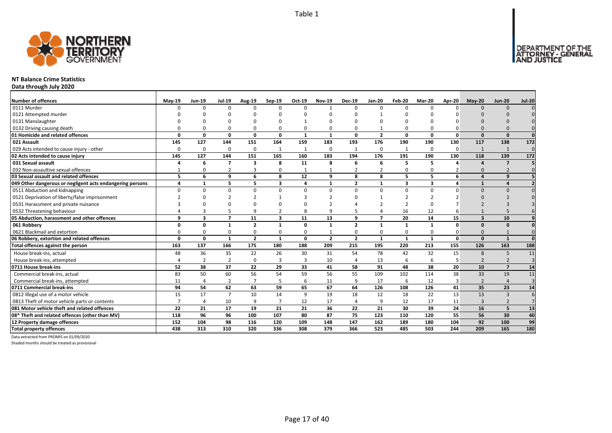

### **NT Balance Crime Statistics**

**Data through July 2020**

| Number of offences                                        | $May-19$ | <b>Jun-19</b>  | <b>Jul-19</b>            | <b>Aug-19</b>           | $Sep-19$       | Oct-19       | <b>Nov-19</b>  | <b>Dec-19</b>  | <b>Jan-20</b>  | Feb-20       | Mar-20       | Apr-20       | $May-20$                | <b>Jun-20</b>            | <b>Jul-20</b>   |
|-----------------------------------------------------------|----------|----------------|--------------------------|-------------------------|----------------|--------------|----------------|----------------|----------------|--------------|--------------|--------------|-------------------------|--------------------------|-----------------|
| 0111 Murder                                               | $\Omega$ | $\Omega$       | $\Omega$                 | $\Omega$                | $\Omega$       | $\Omega$     |                | $\Omega$       | $\Omega$       | $\Omega$     | n            | ŋ            | $\Omega$                | $\Omega$                 |                 |
| 0121 Attempted murder                                     |          |                |                          |                         |                |              |                |                |                |              |              |              |                         |                          |                 |
| 0131 Manslaughter                                         |          |                |                          |                         | O              |              |                |                |                |              |              |              |                         |                          |                 |
| 0132 Driving causing death                                |          |                |                          | 0                       | $\Omega$       |              |                | $\Omega$       |                | 0            |              |              |                         |                          |                 |
| 01 Homicide and related offences                          | $\Omega$ | 0              | 0                        | 0                       | 0              | 1            | $\mathbf{1}$   | 0              | $\overline{2}$ | 0            | 0            | $\Omega$     | $\Omega$                | $\Omega$                 | $\Omega$        |
| 021 Assault                                               | 145      | 127            | 144                      | 151                     | 164            | 159          | 183            | 193            | 176            | 190          | 190          | 130          | 117                     | 138                      | 172             |
| 029 Acts intended to cause injury - other                 | $\Omega$ | $\Omega$       | $\Omega$                 | $\mathbf 0$             | 1              |              | $\Omega$       | $\mathbf{1}$   | $\mathbf 0$    | $\mathbf{1}$ | $\Omega$     | $\Omega$     | $\mathbf{1}$            | 1                        | $\Omega$        |
| 02 Acts intended to cause injury                          | 145      | 127            | 144                      | 151                     | 165            | 160          | 183            | 194            | 176            | 191          | 190          | 130          | 118                     | 139                      | $\frac{172}{2}$ |
| 031 Sexual assault                                        |          | 6              | $\overline{\phantom{a}}$ | $\overline{\mathbf{3}}$ | 8              | 11           | 8              | 6              | 6              | 5            | 5            |              | $\mathbf{A}$            | $\overline{7}$           |                 |
| 032 Non-assaultive sexual offences                        |          | O              | $\overline{2}$           | 3                       | 0              |              |                | $\overline{2}$ | $\overline{2}$ | 0            |              |              | $\Omega$                |                          |                 |
| 03 Sexual assault and related offences                    | 5        | 6              | 9                        | 6                       | 8              | 12           | 9              | 8              | 8              | 5            | 5            | 6            | $\Delta$                | $\mathbf{q}$             |                 |
| 049 Other dangerous or negligent acts endangering persons | 4        | $\mathbf{1}$   | 5                        | 5                       | 3              | 4            | $\mathbf{1}$   | $\overline{2}$ | $\mathbf{1}$   | 3            | 3            |              | $\mathbf{1}$            |                          |                 |
| 0511 Abduction and kidnapping                             | $\Omega$ | <sup>0</sup>   | $\Omega$                 | $\Omega$                | $\Omega$       | $\Omega$     | <sup>0</sup>   | $\Omega$       | $\Omega$       | 0            | $\Omega$     | ŋ            | $\Omega$                | $\Omega$                 |                 |
| 0521 Deprivation of liberty/false imprisonment            |          |                |                          | 2                       | 1              |              |                | n              |                | ∍            |              |              |                         |                          |                 |
| 0531 Harassment and private nuisance                      |          |                |                          |                         | n              |              |                |                |                |              |              |              |                         |                          |                 |
| 0532 Threatening behaviour                                |          |                |                          | 9                       | 2              | 8            |                |                |                | 16           | 12           |              |                         |                          |                 |
| 05 Abduction, harassment and other offences               | q        | 3              | $\overline{\phantom{a}}$ | 11                      | 3              | 11           | 13             | q              | $\overline{7}$ | 20           | 14           | 15           | $\overline{\mathbf{z}}$ | 10                       |                 |
| 061 Robbery                                               | O        | 0              |                          | $\overline{2}$          | $\mathbf{1}$   | $\Omega$     | 1              | $\overline{2}$ | $\mathbf{1}$   | $\mathbf{1}$ | $\mathbf{1}$ | $\Omega$     | $\Omega$                | $\Omega$                 |                 |
| 0621 Blackmail and extortion                              |          | O              |                          | $\Omega$                | 0              | $\Omega$     |                | $\Omega$       | $\Omega$       | 0            |              | C            | $\Omega$                |                          |                 |
| 06 Robbery, extortion and related offences                | $\Omega$ | $\mathbf{0}$   | 1                        | $\overline{2}$          | $\mathbf{1}$   | $\mathbf{0}$ | $\overline{2}$ | $\overline{2}$ | $\mathbf{1}$   | $\mathbf{1}$ | $\mathbf{1}$ | $\mathbf{0}$ | $\Omega$                | $\mathbf{1}$             | $\mathbf{0}$    |
| Total offences against the person                         | 163      | 137            | 166                      | 175                     | 180            | 188          | 209            | 215            | 195            | 220          | 213          | 155          | 126                     | 163                      | 188             |
| House break-ins, actual                                   | 48       | 36             | 35                       | 22                      | 26             | 30           | 31             | 54             | 78             | 42           | 32           | 15           | 8                       | 5                        | 11              |
| House break-ins, attempted                                |          | $\overline{2}$ | $\overline{2}$           | $\Omega$                | 3              | 3            | 10             | $\overline{4}$ | 13             | 6            | 6            | 5            | $\overline{2}$          | $\overline{\phantom{0}}$ | $\overline{3}$  |
| 0711 House break-ins                                      | 52       | 38             | 37                       | 22                      | 29             | 33           | 41             | 58             | 91             | 48           | 38           | 20           | 10                      | $\overline{7}$           | 14              |
| Commercial break-ins, actual                              | 83       | 50             | 60                       | 56                      | 54             | 59           | 56             | 55             | 109            | 102          | 114          | 38           | 33                      | 19                       | 11              |
| Commercial break-ins, attempted                           | 11       |                | $\overline{2}$           | $\overline{7}$          | 5              | 6            | 11             | 9              | 17             | 6            | 12           | 3            | $\overline{2}$          |                          | $\overline{3}$  |
| 0711 Commercial break-ins                                 | 94       | 54             | 62                       | 63                      | 59             | 65           | 67             | 64             | 126            | 108          | 126          | 41           | 35                      | 23                       | 14              |
| 0812 Illegal use of a motor vehicle                       | 15       | 17             | $\overline{7}$           | 10                      | 14             | 9            | 19             | 18             | 12             | 18           | 22           | 13           | 13                      | $\overline{3}$           |                 |
| 0813 Theft of motor vehicle parts or contents             |          | 4              | 10                       | 9                       | $\overline{7}$ | 12           | 17             | $\overline{a}$ | 9              | 12           | 17           | 11           | 3                       |                          |                 |
| 081 Motor vehicle theft and related offences              | 22       | 21             | 17                       | 19                      | 21             | 21           | 36             | 22             | 21             | 30           | 39           | 24           | 16                      | 5                        | 13              |
| 08* Theft and related offences (other than MV)            | 118      | 96             | 96                       | 100                     | 107            | 80           | 87             | 75             | 123            | 110          | 120          | 55           | 56                      | 30                       | 40              |
| 12 Property damage offences                               | 152      | 104            | 98                       | 116                     | 120            | 109          | 148            | 147            | 162            | 189          | 180          | 104          | 92                      | 100                      | 99              |
| <b>Total property offences</b>                            | 438      | 313            | 310                      | 320                     | 336            | 308          | 379            | 366            | 523            | 485          | 503          | 244          | 209                     | 165                      | 180             |

Data extracted from PROMIS on 01/09/2020

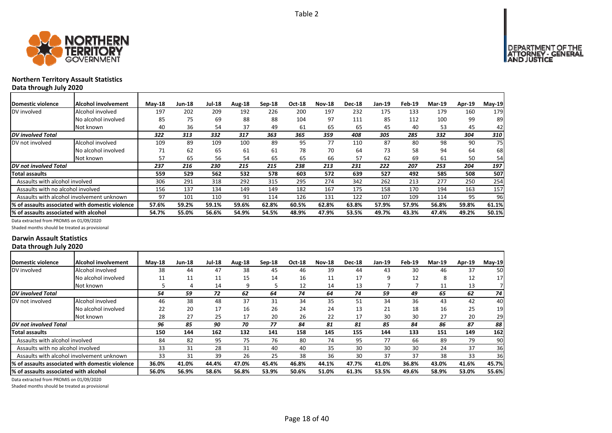

# **Northern Territory Assault Statistics Data through July 2020**

| <b>Domestic violence</b>              | Alcohol involvement                             | $M$ ay-18 | <b>Jun-18</b> | <b>Jul-18</b> | Aug-18 | $Sep-18$ | <b>Oct-18</b> | <b>Nov-18</b> | <b>Dec-18</b> | Jan-19 | Feb-19 | <b>Mar-19</b> | Apr-19 | $May-19$ |
|---------------------------------------|-------------------------------------------------|-----------|---------------|---------------|--------|----------|---------------|---------------|---------------|--------|--------|---------------|--------|----------|
| DV involved                           | Alcohol involved                                | 197       | 202           | 209           | 192    | 226      | 200           | 197           | 232           | 175    | 133    | 179           | 160    | 179      |
|                                       | No alcohol involved                             | 85        | 75            | 69            | 88     | 88       | 104           | 97            | 111           | 85     | 112    | 100           | 99     | 89       |
|                                       | Not known                                       | 40        | 36            | 54            | 37     | 49       | 61            | 65            | 65            | 45     | 40     | 53            | 45     | 42       |
| <b>DV</b> involved Total              |                                                 | 322       | 313           | 332           | 317    | 363      | 365           | 359           | 408           | 305    | 285    | 332           | 304    | 310      |
| DV not involved                       | Alcohol involved                                | 109       | 89            | 109           | 100    | 89       | 95            | 77            | 110           | 87     | 80     | 98            | 90     | 75       |
|                                       | No alcohol involved                             | 71        | 62            | 65            | 61     | 61       | 78            | 70            | 64            | 73     | 58     | 94            | 64     | 68       |
|                                       | Not known                                       | 57        | 65            | 56            | 54     | 65       | 65            | 66            | 57            | 62     | 69     | 61            | 50     | 54       |
| DV not involved Total                 |                                                 | 237       | 216           | 230           | 215    | 215      | 238           | 213           | 231           | 222    | 207    | 253           | 204    | 197      |
| Total assaults                        |                                                 | 559       | 529           | 562           | 532    | 578      | 603           | 572           | 639           | 527    | 492    | 585           | 508    | 507      |
| Assaults with alcohol involved        |                                                 | 306       | 291           | 318           | 292    | 315      | 295           | 274           | 342           | 262    | 213    | 277           | 250    | 254      |
| Assaults with no alcohol involved     |                                                 | 156       | 137           | 134           | 149    | 149      | 182           | 167           | 175           | 158    | 170    | 194           | 163    | 157      |
|                                       | Assaults with alcohol involvement unknown       | 97        | 101           | 110           | 91     | 114      | 126           | 131           | 122           | 107    | 109    | 114           | 95     | 96       |
|                                       | % of assaults associated with domestic violence | 57.6%     | 59.2%         | 59.1%         | 59.6%  | 62.8%    | 60.5%         | 62.8%         | 63.8%         | 57.9%  | 57.9%  | 56.8%         | 59.8%  | 61.1%    |
| % of assaults associated with alcohol |                                                 | 54.7%     | 55.0%         | 56.6%         | 54.9%  | 54.5%    | 48.9%         | 47.9%         | 53.5%         | 49.7%  | 43.3%  | 47.4%         | 49.2%  | 50.1%    |

Data extracted from PROMIS on 01/09/2020

Shaded months should be treated as provisional

### **Darwin Assault Statistics Data through July 2020**

| <b>IDomestic violence</b>              | <b>IAlcohol involvement</b>                      | $May-18$ | <b>Jun-18</b> | Jul-18 | Aug-18 | Sep-18 | <b>Oct-18</b> | <b>Nov-18</b> | <b>Dec-18</b> | $Jan-19$ | Feb-19 | <b>Mar-19</b> | Apr-19 | $May-19$ |
|----------------------------------------|--------------------------------------------------|----------|---------------|--------|--------|--------|---------------|---------------|---------------|----------|--------|---------------|--------|----------|
| DV involved                            | Alcohol involved                                 | 38       | 44            | 47     | 38     | 45     | 46            | 39            | 44            | 43       | 30     | 46            | 37     | 50       |
|                                        | No alcohol involved                              | 11       | 11            | 11     | 15     | 14     | 16            | 11            | 17            | ٩        | 12     | 8             | 12     | 17       |
|                                        | Not known                                        |          | 4             | 14     | 9      | 5      | 12            | 14            | 13            |          |        | 11            | 13     |          |
| DV involved Total                      |                                                  | 54       | 59            | 72     | 62     | 64     | 74            | 64            | 74            | 59       | 49     | 65            | 62     | 74       |
| DV not involved                        | Alcohol involved                                 | 46       | 38            | 48     | 37     | 31     | 34            | 35            | 51            | 34       | 36     | 43            | 42     | 40       |
|                                        | No alcohol involved                              | 22       | 20            | 17     | 16     | 26     | 24            | 24            | 13            | 21       | 18     | 16            | 25     | 19       |
|                                        | Not known                                        | 28       | 27            | 25     | 17     | 20     | 26            | 22            | 17            | 30       | 30     | 27            | 20     | 29       |
| DV not involved Total                  |                                                  | 96       | 85            | 90     | 70     | 77     | 84            | 81            | 81            | 85       | 84     | 86            | 87     | 88       |
| Total assaults                         |                                                  | 150      | 144           | 162    | 132    | 141    | 158           | 145           | 155           | 144      | 133    | 151           | 149    | 162      |
| Assaults with alcohol involved         |                                                  | 84       | 82            | 95     | 75     | 76     | 80            | 74            | 95            | 77       | 66     | 89            | 79     | 90       |
| Assaults with no alcohol involved      |                                                  | 33       | 31            | 28     | 31     | 40     | 40            | 35            | 30            | 30       | 30     | 24            | 37     | 36       |
|                                        | Assaults with alcohol involvement unknown        | 33       | 31            | 39     | 26     | 25     | 38            | 36            | 30            | 37       | 37     | 38            | 33     | 36       |
|                                        | 1% of assaults associated with domestic violence | 36.0%    | 41.0%         | 44.4%  | 47.0%  | 45.4%  | 46.8%         | 44.1%         | 47.7%         | 41.0%    | 36.8%  | 43.0%         | 41.6%  | 45.7%    |
| 1% of assaults associated with alcohol |                                                  | 56.0%    | 56.9%         | 58.6%  | 56.8%  | 53.9%  | 50.6%         | 51.0%         | 61.3%         | 53.5%    | 49.6%  | 58.9%         | 53.0%  | 55.6%    |

Data extracted from PROMIS on 01/09/2020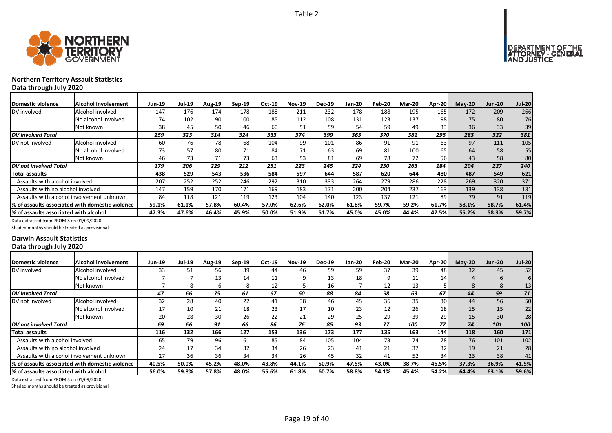



# **Northern Territory Assault Statistics Data through July 2020**

| Domestic violence                         | <b>Alcohol involvement</b>                      | <b>Jun-19</b> | <b>Jul-19</b> | Aug-19 | $Sep-19$ | Oct-19 | <b>Nov-19</b> | <b>Dec-19</b> | Jan-20 | Feb-20 | <b>Mar-20</b> | <b>Apr-20</b> | $M$ ay-20 | <b>Jun-20</b> | <b>Jul-20</b> |
|-------------------------------------------|-------------------------------------------------|---------------|---------------|--------|----------|--------|---------------|---------------|--------|--------|---------------|---------------|-----------|---------------|---------------|
| DV involved                               | Alcohol involved                                | 147           | 176           | 174    | 178      | 188    | 211           | 232           | 178    | 188    | 195           | 165           | 172       | 209           | 266           |
|                                           | No alcohol involved                             | 74            | 102           | 90     | 100      | 85     | 112           | 108           | 131    | 123    | 137           | 98            | 75        | 80            | 76            |
|                                           | Not known                                       | 38            | 45            | 50     | 46       | 60     | 51            | 59            | 54     | 59     | 49            | 33            | 36        | 33            | 39            |
| DV involved Total                         |                                                 | 259           | 323           | 314    | 324      | 333    | 374           | 399           | 363    | 370    | 381           | 296           | 283       | 322           | 381           |
| DV not involved                           | Alcohol involved                                | 60            | 76            | 78     | 68       | 104    | 99            | 101           | 86     | 91     | 91            | 63            | 97        | 111           | 105           |
|                                           | No alcohol involved                             | 73            | 57            | 80     | 71       | 84     | 71            | 63            | 69     | 81     | 100           | 65            | 64        | 58            | 55            |
|                                           | Not known                                       | 46            | 73            | 71     | 73       | 63     | 53            | 81            | 69     | 78     | 72            | 56            | 43        | 58            | 80            |
| DV not involved Total                     |                                                 | 179           | 206           | 229    | 212      | 251    | 223           | 245           | 224    | 250    | 263           | 184           | 204       | 227           | 240           |
| Total assaults                            |                                                 | 438           | 529           | 543    | 536      | 584    | 597           | 644           | 587    | 620    | 644           | 480           | 487       | 549           | 621           |
| Assaults with alcohol involved            |                                                 | 207           | 252           | 252    | 246      | 292    | 310           | 333           | 264    | 279    | 286           | 228           | 269       | 320           | 371           |
| Assaults with no alcohol involved         |                                                 | 147           | 159           | 170    | 171      | 169    | 183           | 171           | 200    | 204    | 237           | 163           | 139       | 138           | 131           |
| Assaults with alcohol involvement unknown |                                                 | 84            | 118           | 121    | 119      | 123    | 104           | 140           | 123    | 137    | 121           | 89            | 79        | 91            | 119           |
|                                           | % of assaults associated with domestic violence | 59.1%         | 61.1%         | 57.8%  | 60.4%    | 57.0%  | 62.6%         | 62.0%         | 61.8%  | 59.7%  | 59.2%         | 61.7%         | 58.1%     | 58.7%         | 61.4%         |
| % of assaults associated with alcohol     |                                                 | 47.3%         | 47.6%         | 46.4%  | 45.9%    | 50.0%  | 51.9%         | 51.7%         | 45.0%  | 45.0%  | 44.4%         | 47.5%         | 55.2%     | 58.3%         | 59.7%         |

Data extracted from PROMIS on 01/09/2020

Shaded months should be treated as provisional

### **Darwin Assault Statistics Data through July 2020**

| Domestic violence                      | Alcohol involvement                              | Jun-19 | <b>Jul-19</b> | <b>Aug-19</b> | $Sep-19$ | Oct-19 | <b>Nov-19</b> | <b>Dec-19</b> | Jan-20 | Feb-20 | <b>Mar-20</b> | Apr-20 | $M$ ay-20       | <b>Jun-20</b> | <b>Jul-20</b> |
|----------------------------------------|--------------------------------------------------|--------|---------------|---------------|----------|--------|---------------|---------------|--------|--------|---------------|--------|-----------------|---------------|---------------|
| DV involved                            | Alcohol involved                                 | 33     | 51            | 56            | 39       | 44     | 46            | 59            | 59     | 37     | 39            | 48     | 32 <sup>2</sup> | 45            | 52            |
|                                        | No alcohol involved                              |        |               | 13            | 14       | 11     | q             | 13            | 18     | 9      | 11            | 14     |                 | b             |               |
|                                        | Not known                                        |        |               | h             | 8        | 12     |               | 16            |        | 12     | 13            |        | 8               | 8             | 13            |
| <b>DV</b> involved Total               |                                                  | 47     | 66            | 75            | 61       | 67     | 60            | 88            | 84     | 58     | 63            | 67     | 44              | 59            | 71            |
| DV not involved                        | Alcohol involved                                 | 32     | 28            | 40            | 22       | 41     | 38            | 46            | 45     | 36     | 35            | 30     | 44              | 56            | 50            |
|                                        | No alcohol involved                              | 17     | 10            | 21            | 18       | 23     | 17            | 10            | 23     | 12     | 26            | 18     | 15              | 15            | 22            |
|                                        | Not known                                        | 20     | 28            | 30            | 26       | 22     | 21            | 29            | 25     | 29     | 39            | 29     | 15              | 30            | 28            |
| DV not involved Total                  |                                                  | 69     | 66            | 91            | 66       | 86     | 76            | 85            | 93     | 77     | 100           | 77     | 74              | 101           | 100           |
| Total assaults                         |                                                  | 116    | 132           | 166           | 127      | 153    | 136           | 173           | 177    | 135    | 163           | 144    | 118             | 160           | 171           |
| Assaults with alcohol involved         |                                                  | 65     | 79            | 96            | 61       | 85     | 84            | 105           | 104    | 73     | 74            | 78     | 76              | 101           | 102           |
| Assaults with no alcohol involved      |                                                  | 24     | 17            | 34            | 32       | 34     | 26            | 23            | 41     | 21     | 37            | 32     | 19              | 21            | 28            |
|                                        | Assaults with alcohol involvement unknown        | 27     | 36            | 36            | 34       | 34     | 26            | 45            | 32     | 41     | 52            | 34     | 23              | 38            | 41            |
|                                        | I% of assaults associated with domestic violence | 40.5%  | 50.0%         | 45.2%         | 48.0%    | 43.8%  | 44.1%         | 50.9%         | 47.5%  | 43.0%  | 38.7%         | 46.5%  | 37.3%           | 36.9%         | 41.5%         |
| I% of assaults associated with alcohol |                                                  | 56.0%  | 59.8%         | 57.8%         | 48.0%    | 55.6%  | 61.8%         | 60.7%         | 58.8%  | 54.1%  | 45.4%         | 54.2%  | 64.4%           | 63.1%         | 59.6%         |

Data extracted from PROMIS on 01/09/2020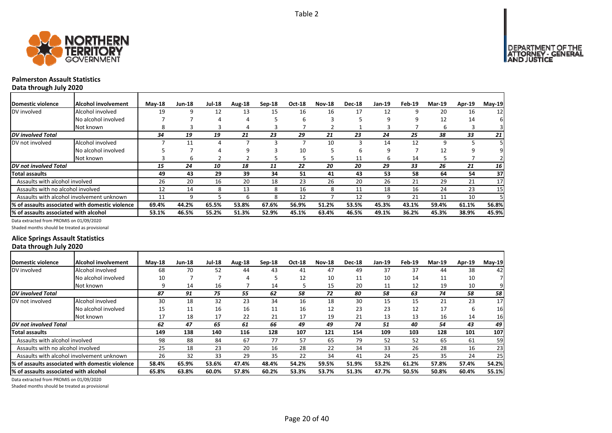

# **Palmerston Assault Statistics**

**Data through July 2020**

| Domestic violence                     | Alcohol involvement                             | $M$ ay-18 | <b>Jun-18</b> | <b>Jul-18</b> | Aug-18 | Sep-18 | Oct-18 | <b>Nov-18</b> | <b>Dec-18</b> | Jan-19 | Feb-19 | <b>Mar-19</b> | Apr-19 | May-19 |
|---------------------------------------|-------------------------------------------------|-----------|---------------|---------------|--------|--------|--------|---------------|---------------|--------|--------|---------------|--------|--------|
| DV involved                           | Alcohol involved                                | 19        | 9             | 12            | 13     | 15     | 16     | 16            | 17            | 12     |        | 20            | 16     | 12     |
|                                       | No alcohol involved                             |           |               | 4             | 4      |        | 6      |               |               | q      | q      | 12            | 14     | 6      |
|                                       | Not known                                       | 8         |               |               |        |        |        |               |               |        |        |               |        |        |
| <b>DV</b> involved Total              |                                                 | 34        | 19            | 19            | 21     | 23     | 29     | 21            | 23            | 24     | 25     | 38            | 33     | 21     |
| DV not involved                       | Alcohol involved                                |           | 11            | 4             |        |        |        | 10            |               | 14     | 12     | q             |        |        |
|                                       | No alcohol involved                             |           |               |               | 9      |        | 10     |               | h             |        |        | 12            |        |        |
|                                       | Not known                                       |           | 6             |               |        |        | 5      |               | 11            | b      | 14     |               |        |        |
| DV not involved Total                 |                                                 | 15        | 24            | 10            | 18     | 11     | 22     | 20            | 20            | 29     | 33     | 26            | 21     | 16     |
| <b>Total assaults</b>                 |                                                 | 49        | 43            | 29            | 39     | 34     | 51     | 41            | 43            | 53     | 58     | 64            | 54     | 37     |
| Assaults with alcohol involved        |                                                 | 26        | 20            | 16            | 20     | 18     | 23     | 26            | 20            | 26     | 21     | 29            | 21     | 17     |
| Assaults with no alcohol involved     |                                                 | 12        | 14            | 8             | 13     | 8      | 16     | 8             | 11            | 18     | 16     | 24            | 23     | 15     |
|                                       | Assaults with alcohol involvement unknown       | 11        | ٩             |               | h      | 8      | 12     |               | 12            | q      | 21     | 11            | 10     |        |
|                                       | % of assaults associated with domestic violence | 69.4%     | 44.2%         | 65.5%         | 53.8%  | 67.6%  | 56.9%  | 51.2%         | 53.5%         | 45.3%  | 43.1%  | 59.4%         | 61.1%  | 56.8%  |
| % of assaults associated with alcohol |                                                 | 53.1%     | 46.5%         | 55.2%         | 51.3%  | 52.9%  | 45.1%  | 63.4%         | 46.5%         | 49.1%  | 36.2%  | 45.3%         | 38.9%  | 45.9%  |

Data extracted from PROMIS on 01/09/2020

Shaded months should be treated as provisional

# **Alice Springs Assault Statistics Data through July 2020**

| Domestic violence                     | Alcohol involvement                              | $May-18$ | <b>Jun-18</b> | <b>Jul-18</b> | Aug-18 | Sep-18 | <b>Oct-18</b> | <b>Nov-18</b> | <b>Dec-18</b> | Jan-19 | Feb-19 | <b>Mar-19</b> | Apr-19 | $May-19$ |
|---------------------------------------|--------------------------------------------------|----------|---------------|---------------|--------|--------|---------------|---------------|---------------|--------|--------|---------------|--------|----------|
| DV involved                           | Alcohol involved                                 | 68       | 70            | 52            | 44     | 43     | 41            | 47            | 49            | 37     | 37     | 44            | 38     | 42       |
|                                       | No alcohol involved                              | 10       |               |               | 4      |        | 12            | 10            | 11            | 10     | 14     | 11            | 10     |          |
|                                       | Not known                                        | q        | 14            | 16            |        | 14     | 5             | 15            | 20            | 11     | 12     | 19            | 10     |          |
| <b>DV</b> involved Total              |                                                  | 87       | 91            | 75            | 55     | 62     | 58            | 72            | 80            | 58     | 63     | 74            | 58     | 58       |
| DV not involved                       | Alcohol involved                                 | 30       | 18            | 32            | 23     | 34     | 16            | 18            | 30            | 15     | 15     | 21            | 23     | 17       |
|                                       | No alcohol involved                              | 15       | 11            | 16            | 16     | 11     | 16            | 12            | 23            | 23     | 12     | 17            | 6      | 16       |
|                                       | Not known                                        | 17       | 18            | 17            | 22     | 21     | 17            | 19            | 21            | 13     | 13     | 16            | 14     | 16       |
| DV not involved Total                 |                                                  | 62       | 47            | 65            | 61     | 66     | 49            | 49            | 74            | 51     | 40     | 54            | 43     | 49       |
| <b>Total assaults</b>                 |                                                  | 149      | 138           | 140           | 116    | 128    | 107           | 121           | 154           | 109    | 103    | 128           | 101    | 107      |
| Assaults with alcohol involved        |                                                  | 98       | 88            | 84            | 67     | 77     | 57            | 65            | 79            | 52     | 52     | 65            | 61     | 59       |
| Assaults with no alcohol involved     |                                                  | 25       | 18            | 23            | 20     | 16     | 28            | 22            | 34            | 33     | 26     | 28            | 16     | 23       |
|                                       | Assaults with alcohol involvement unknown        | 26       | 32            | 33            | 29     | 35     | 22            | 34            | 41            | 24     | 25     | 35            | 24     | 25       |
|                                       | l% of assaults associated with domestic violence | 58.4%    | 65.9%         | 53.6%         | 47.4%  | 48.4%  | 54.2%         | 59.5%         | 51.9%         | 53.2%  | 61.2%  | 57.8%         | 57.4%  | 54.2%    |
| % of assaults associated with alcohol |                                                  | 65.8%    | 63.8%         | 60.0%         | 57.8%  | 60.2%  | 53.3%         | 53.7%         | 51.3%         | 47.7%  | 50.5%  | 50.8%         | 60.4%  | 55.1%    |

Page 20 of 40

Data extracted from PROMIS on 01/09/2020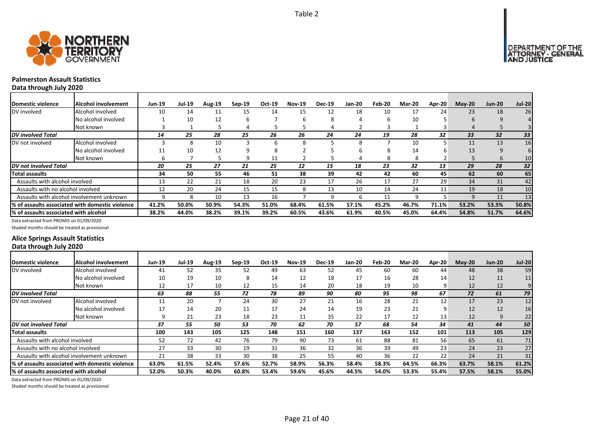



# **Palmerston Assault Statistics**

**Data through July 2020**

| Domestic violence                     | <b>Alcohol involvement</b>                       | <b>Jun-19</b> | <b>Jul-19</b> | <b>Aug-19</b> | $Sep-19$ | Oct-19 | <b>Nov-19</b> | <b>Dec-19</b> | <b>Jan-20</b> | Feb-20 | <b>Mar-20</b> | <b>Apr-20</b> | $May-20$ | <b>Jun-20</b> | <b>Jul-20</b> |
|---------------------------------------|--------------------------------------------------|---------------|---------------|---------------|----------|--------|---------------|---------------|---------------|--------|---------------|---------------|----------|---------------|---------------|
| DV involved                           | Alcohol involved                                 | 10            | 14            | 11            | 15       | 14     | 15            | 12            | 18            | 10     | 17            | 24            | 23       | 18            | 26            |
|                                       | No alcohol involved                              |               | 10            | 12            | ь        |        | h             | 8             |               | ь      | 10            |               | 6        |               | 41            |
|                                       | Not known                                        |               |               |               |          |        |               |               |               |        |               |               | 4        |               |               |
| <b>DV</b> involved Total              |                                                  | 14            | 25            | 28            | 25       | 26     | 26            | 24            | 24            | 19     | 28            | 32            | 33       | 32            | 33            |
| DV not involved                       | Alcohol involved                                 |               | 8             | 10            |          | h      | 8             |               | 8             |        | 10            |               | 11       | 13            | 16            |
|                                       | No alcohol involved                              | 11            | 10            | 12            |          | 8      |               |               | h             | 8      | 14            |               | 13       |               | 6             |
|                                       | Not known                                        | h             |               |               | q        | 11     |               |               |               | 8      | 8             |               |          | 6             | 10            |
| DV not involved Total                 |                                                  | 20            | 25            | 27            | 21       | 25     | 12            | 15            | 18            | 23     | 32            | 13            | 29       | 28            | 32            |
| <b>Total assaults</b>                 |                                                  | 34            | 50            | 55            | 46       | 51     | 38            | 39            | 42            | 42     | 60            | 45            | 62       | 60            | 65            |
| Assaults with alcohol involved        |                                                  | 13            | 22            | 21            | 18       | 20     | 23            | 17            | 26            | 17     | 27            | 29            | 34       | 31            | 42            |
| Assaults with no alcohol involved     |                                                  | 12            | 20            | 24            | 15       | 15     | 8             | 13            | 10            | 14     | 24            | 11            | 19       | 18            | 10            |
|                                       | Assaults with alcohol involvement unknown        | q             |               | 10            | 13       | 16     |               | q             | h             | 11     | 9             |               | 9        | 11            | 13            |
|                                       | 1% of assaults associated with domestic violence | 41.2%         | 50.0%         | 50.9%         | 54.3%    | 51.0%  | 68.4%         | 61.5%         | 57.1%         | 45.2%  | 46.7%         | 71.1%         | 53.2%    | 53.3%         | 50.8%         |
| % of assaults associated with alcohol |                                                  | 38.2%         | 44.0%         | 38.2%         | 39.1%    | 39.2%  | 60.5%         | 43.6%         | 61.9%         | 40.5%  | 45.0%         | 64.4%         | 54.8%    | 51.7%         | 64.6%         |

Data extracted from PROMIS on 01/09/2020

Shaded months should be treated as provisional

# **Alice Springs Assault Statistics Data through July 2020**

| <b>Domestic violence</b>              | Alcohol involvement                             | Jun-19 | <b>Jul-19</b> | <b>Aug-19</b> | $Sep-19$ | Oct-19 | <b>Nov-19</b> | <b>Dec-19</b> | Jan-20 | Feb-20 | <b>Mar-20</b> | <b>Apr-20</b> | $M$ ay-20 | <b>Jun-20</b> | <b>Jul-20</b> |
|---------------------------------------|-------------------------------------------------|--------|---------------|---------------|----------|--------|---------------|---------------|--------|--------|---------------|---------------|-----------|---------------|---------------|
| DV involved                           | Alcohol involved                                | 41     | 52            | 35            | 52       | 49     | 63            | 52            | 45     | 60     | 60            | 44            | 48        | 38            | 59            |
|                                       | No alcohol involved                             | 10     | 19            | 10            | 8        | 14     | 12            | 18            | 17     | 16     | 28            | 14            | 12        | 11            | 11            |
|                                       | Not known                                       | 12     | 17            | 10            | 12       | 15     | 14            | 20            | 18     | 19     | 10            | 9             | 12        | 12            | 9             |
| DV involved Total                     |                                                 | 63     | 88            | 55            | 72       | 78     | 89            | 90            | 80     | 95     | 98            | 67            | 72        | 61            | 79            |
| DV not involved                       | Alcohol involved                                | 11     | 20            |               | 24       | 30     | 27            | 21            | 16     | 28     | 21            | 12            | 17        | 23            | 12            |
|                                       | No alcohol involved                             | 17     | 14            | 20            | 11       | 17     | 24            | 14            | 19     | 23     | 21            | 9             | 12        | 12            | 16            |
|                                       | Not known                                       | 9      | 21            | 23            | 18       | 23     | 11            | 35            | 22     | 17     | 12            | 13            | 12        | 9             | 22            |
| DV not involved Total                 |                                                 | 37     | 55            | 50            | 53       | 70     | 62            | 70            | 57     | 68     | 54            | 34            | 41        | 44            | 50            |
| <b>Total assaults</b>                 |                                                 | 100    | 143           | 105           | 125      | 148    | 151           | 160           | 137    | 163    | 152           | 101           | 113       | 105           | 129           |
| Assaults with alcohol involved        |                                                 | 52     | 72            | 42            | 76       | 79     | 90            | 73            | 61     | 88     | 81            | 56            | 65        | 61            | 71            |
| Assaults with no alcohol involved     |                                                 | 27     | 33            | 30            | 19       | 31     | 36            | 32            | 36     | 39     | 49            | 23            | 24        | 23            | 27            |
|                                       | Assaults with alcohol involvement unknown       | 21     | 38            | 33            | 30       | 38     | 25            | 55            | 40     | 36     | 22            | 22            | 24        | 21            | 31            |
|                                       | % of assaults associated with domestic violence | 63.0%  | 61.5%         | 52.4%         | 57.6%    | 52.7%  | 58.9%         | 56.3%         | 58.4%  | 58.3%  | 64.5%         | 66.3%         | 63.7%     | 58.1%         | 61.2%         |
| % of assaults associated with alcohol |                                                 | 52.0%  | 50.3%         | 40.0%         | 60.8%    | 53.4%  | 59.6%         | 45.6%         | 44.5%  | 54.0%  | 53.3%         | 55.4%         | 57.5%     | 58.1%         | 55.0%         |

Data extracted from PROMIS on 01/09/2020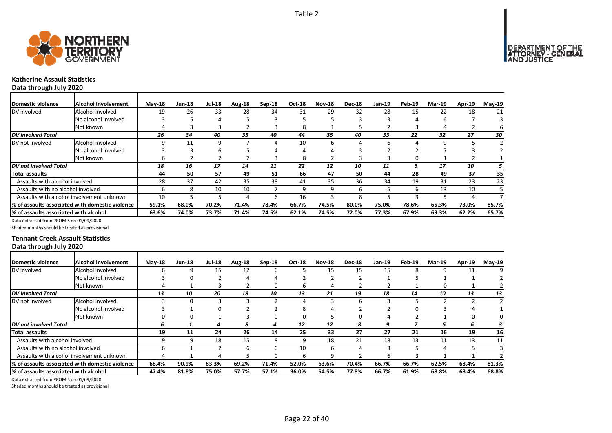

# **Katherine Assault Statistics**

**Data through July 2020**

| Domestic violence                     | Alcohol involvement                             | $M$ ay-18 | <b>Jun-18</b> | <b>Jul-18</b> | Aug-18 | Sep-18 | <b>Oct-18</b> | <b>Nov-18</b> | <b>Dec-18</b> | <b>Jan-19</b> | Feb-19 | <b>Mar-19</b> | Apr-19 | May-19 |
|---------------------------------------|-------------------------------------------------|-----------|---------------|---------------|--------|--------|---------------|---------------|---------------|---------------|--------|---------------|--------|--------|
| DV involved                           | Alcohol involved                                | 19        | 26            | 33            | 28     | 34     | 31            | 29            | 32            | 28            | 15     | 22            | 18     | 21     |
|                                       | No alcohol involved                             |           |               | 4             |        |        |               |               |               |               | 4      |               |        |        |
|                                       | Not known                                       |           |               |               |        |        | 8             |               |               |               |        |               |        | ь      |
| <b>DV</b> involved Total              |                                                 | 26        | 34            | 40            | 35     | 40     | 44            | 35            | 40            | 33            | 22     | 32            | 27     | 30     |
| DV not involved                       | Alcohol involved                                |           | 11            | 9             |        | 4      | 10            | 6             |               |               |        | q             |        |        |
|                                       | No alcohol involved                             |           |               | b             |        |        | 4             |               |               |               |        |               |        |        |
|                                       | Not known                                       | h         |               |               |        | 3      | 8             |               |               |               | n      |               |        |        |
| DV not involved Total                 |                                                 | 18        | 16            | 17            | 14     | 11     | 22            | 12            | 10            | 11            | 6      | 17            | 10     | 5      |
| <b>Total assaults</b>                 |                                                 | 44        | 50            | 57            | 49     | 51     | 66            | 47            | 50            | 44            | 28     | 49            | 37     | 35     |
| Assaults with alcohol involved        |                                                 | 28        | 37            | 42            | 35     | 38     | 41            | 35            | 36            | 34            | 19     | 31            | 23     | 23     |
| Assaults with no alcohol involved     |                                                 | h         | 8             | 10            | 10     |        | 9             | 9             | h             |               | 6      | 13            | 10     |        |
|                                       | Assaults with alcohol involvement unknown       | 10        |               |               | 4      | b      | 16            |               | я             |               |        |               |        |        |
|                                       | % of assaults associated with domestic violence | 59.1%     | 68.0%         | 70.2%         | 71.4%  | 78.4%  | 66.7%         | 74.5%         | 80.0%         | 75.0%         | 78.6%  | 65.3%         | 73.0%  | 85.7%  |
| % of assaults associated with alcohol |                                                 | 63.6%     | 74.0%         | 73.7%         | 71.4%  | 74.5%  | 62.1%         | 74.5%         | 72.0%         | 77.3%         | 67.9%  | 63.3%         | 62.2%  | 65.7%  |

Data extracted from PROMIS on 01/09/2020

Shaded months should be treated as provisional

# **Tennant Creek Assault Statistics Data through July 2020**

| Domestic violence                     | Alcohol involvement                              | $M$ ay-18 | <b>Jun-18</b> | <b>Jul-18</b> | Aug-18 | $Sep-18$     | <b>Oct-18</b> | <b>Nov-18</b> | <b>Dec-18</b> | Jan-19 | Feb-19 | Mar-19 | Apr-19 | $May-19$        |
|---------------------------------------|--------------------------------------------------|-----------|---------------|---------------|--------|--------------|---------------|---------------|---------------|--------|--------|--------|--------|-----------------|
| DV involved                           | Alcohol involved                                 |           | 9             | 15            | 12     | 6            |               | 15            | 15            | 15     | 8      | 9      | 11     | 9               |
|                                       | No alcohol involved                              |           |               |               |        |              |               |               |               |        |        |        |        |                 |
|                                       | Not known                                        |           |               |               |        | 0            | ь             |               |               |        |        | 0      |        |                 |
| <b>DV</b> involved Total              |                                                  | 13        | 10            | 20            | 18     | 10           | 13            | 21            | 19            | 18     | 14     | 10     | 13     | 13 <sup>1</sup> |
| DV not involved                       | Alcohol involved                                 |           |               |               |        |              | 4             |               | h             |        |        |        |        | $\overline{2}$  |
|                                       | No alcohol involved                              |           |               | O             |        |              | ጸ             |               |               |        |        |        |        |                 |
|                                       | Not known                                        |           |               |               |        | 0            | 0             |               |               |        |        |        | Ω      | 01              |
| <b>DV</b> not involved Total          |                                                  | n         |               | 4             | 8      | 4            | 12            | 12            | 8             |        |        | 6      |        | 3               |
| Total assaults                        |                                                  | 19        | 11            | 24            | 26     | 14           | 25            | 33            | 27            | 27     | 21     | 16     | 19     | 16              |
| Assaults with alcohol involved        |                                                  | 9         | q             | 18            | 15     | 8            | 9             | 18            | 21            | 18     | 13     | 11     | 13     | 11              |
| Assaults with no alcohol involved     |                                                  | h         |               |               | 6      | 6            | 10            | 6             |               |        |        | 4      |        | 31              |
|                                       | Assaults with alcohol involvement unknown        |           |               |               |        | <sup>0</sup> | 6             |               |               | n      |        |        |        |                 |
|                                       | I% of assaults associated with domestic violence | 68.4%     | 90.9%         | 83.3%         | 69.2%  | 71.4%        | 52.0%         | 63.6%         | 70.4%         | 66.7%  | 66.7%  | 62.5%  | 68.4%  | 81.3%           |
| % of assaults associated with alcohol |                                                  | 47.4%     | 81.8%         | 75.0%         | 57.7%  | 57.1%        | 36.0%         | 54.5%         | 77.8%         | 66.7%  | 61.9%  | 68.8%  | 68.4%  | 68.8%           |

Data extracted from PROMIS on 01/09/2020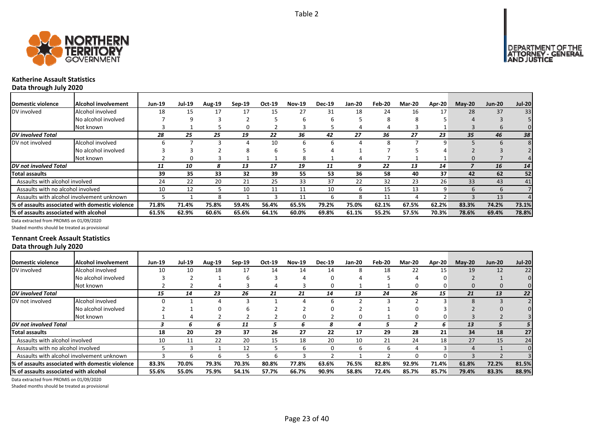



# **Katherine Assault Statistics**

**Data through July 2020**

| Domestic violence                     | <b>Alcohol involvement</b>                       | <b>Jun-19</b> | Jul-19 | Aug-19 | $Sep-19$ | Oct-19 | <b>Nov-19</b> | <b>Dec-19</b> | <b>Jan-20</b> | Feb-20 | <b>Mar-20</b> | Apr-20 | $M$ ay-20 | <b>Jun-20</b> | <b>Jul-20</b> |
|---------------------------------------|--------------------------------------------------|---------------|--------|--------|----------|--------|---------------|---------------|---------------|--------|---------------|--------|-----------|---------------|---------------|
| DV involved                           | Alcohol involved                                 | 18            | 15     | 17     |          | 15     | 27            | 31            | 18            | 24     | 16            | 17     | 28        | 37            | 33            |
|                                       | No alcohol involved                              |               | ٩      |        |          |        |               | h             |               | 8      | х             |        |           |               |               |
|                                       | Not known                                        |               |        |        |          |        |               |               |               |        |               |        |           |               |               |
| <b>DV</b> involved Total              |                                                  | 28            | 25     | 25     | 19       | 22     | 36            | 42            | 27            | 36     | 27            | 23     | 35        | 46            | 38            |
| DV not involved                       | Alcohol involved                                 |               |        |        |          | 10     |               | h             |               |        |               |        |           |               |               |
|                                       | No alcohol involved                              |               |        |        | σ.       | b      |               |               |               |        |               |        |           |               |               |
|                                       | Not known                                        |               | O      |        |          |        | 8             |               |               |        |               |        | $\Omega$  |               |               |
| <b>DV</b> not involved Total          |                                                  | 11            | 10     |        | 13       | 17     | 19            | 11            | 9             | 22     | 13            | 14     |           | 16            | 14            |
| Total assaults                        |                                                  | 39            | 35     | 33     | 32       | 39     | 55            | 53            | 36            | 58     | 40            | 37     | 42        | 62            | 52            |
| Assaults with alcohol involved        |                                                  | 24            | 22     | 20     | 21       | 25     | 33            | 37            | 22            | 32     | 23            | 26     | 33        | 43            | 41            |
| Assaults with no alcohol involved     |                                                  | 10            | 12     |        | 10       | 11     | 11            | 10            | 6             | 15     | 13            | 9      | 6         | 6             |               |
|                                       | Assaults with alcohol involvement unknown        |               |        |        |          |        | 11            | h             | 8             | 11     | Δ             |        |           | 13            |               |
|                                       | 1% of assaults associated with domestic violence | 71.8%         | 71.4%  | 75.8%  | 59.4%    | 56.4%  | 65.5%         | 79.2%         | 75.0%         | 62.1%  | 67.5%         | 62.2%  | 83.3%     | 74.2%         | 73.1%         |
| % of assaults associated with alcohol |                                                  | 61.5%         | 62.9%  | 60.6%  | 65.6%    | 64.1%  | 60.0%         | 69.8%         | 61.1%         | 55.2%  | 57.5%         | 70.3%  | 78.6%     | 69.4%         | 78.8%         |

Data extracted from PROMIS on 01/09/2020

Shaded months should be treated as provisional

# **Tennant Creek Assault Statistics Data through July 2020**

| Domestic violence                     | Alcohol involvement                              | <b>Jun-19</b> | <b>Jul-19</b> | Aug-19 | $Sep-19$ | Oct-19 | <b>Nov-19</b> | <b>Dec-19</b> | <b>Jan-20</b> | Feb-20 | <b>Mar-20</b> | Apr-20 | $M$ ay-20 | <b>Jun-20</b> | <b>Jul-20</b> |
|---------------------------------------|--------------------------------------------------|---------------|---------------|--------|----------|--------|---------------|---------------|---------------|--------|---------------|--------|-----------|---------------|---------------|
| DV involved                           | Alcohol involved                                 | 10            | 10            | 18     | 17       | 14     | 14            | 14            | 8             | 18     | 22            | 15     | 19        | 12            | 22            |
|                                       | No alcohol involved                              |               |               |        |          |        |               |               |               |        |               | O      |           |               |               |
|                                       | Not known                                        |               |               |        |          |        |               |               |               |        |               | 0      | 0         | 0             |               |
| <b>DV</b> involved Total              |                                                  | 15            | 14            | 23     | 26       | 21     | 21            | 14            | 13            | 24     | 26            | 15     | 21        | 13            | 22            |
| DV not involved                       | Alcohol involved                                 |               |               |        |          |        |               | 6             |               |        |               |        | 8         |               |               |
|                                       | No alcohol involved                              |               |               |        |          |        |               |               |               |        |               |        |           |               |               |
|                                       | Not known                                        |               |               |        |          |        |               |               |               |        |               | 0      |           |               |               |
| DV not involved Total                 |                                                  |               | h             |        | 11       |        | b.            | 8             |               |        |               | 6      | 13        |               |               |
| Total assaults                        |                                                  | 18            | 20            | 29     | 37       | 26     | 27            | 22            | 17            | 29     | 28            | 21     | 34        | 18            | 27            |
| Assaults with alcohol involved        |                                                  | 10            | 11            | 22     | 20       | 15     | 18            | 20            | 10            | 21     | 24            | 18     | 27        | 15            | 24            |
| Assaults with no alcohol involved     |                                                  |               |               |        | 12       |        | ь             |               | b             | b      |               | 3      | 4         |               | $\Omega$      |
|                                       | Assaults with alcohol involvement unknown        |               |               |        |          |        |               |               |               |        |               | U      |           |               |               |
|                                       | 1% of assaults associated with domestic violence | 83.3%         | 70.0%         | 79.3%  | 70.3%    | 80.8%  | 77.8%         | 63.6%         | 76.5%         | 82.8%  | 92.9%         | 71.4%  | 61.8%     | 72.2%         | 81.5%         |
| % of assaults associated with alcohol |                                                  | 55.6%         | 55.0%         | 75.9%  | 54.1%    | 57.7%  | 66.7%         | 90.9%         | 58.8%         | 72.4%  | 85.7%         | 85.7%  | 79.4%     | 83.3%         | 88.9%         |

Data extracted from PROMIS on 01/09/2020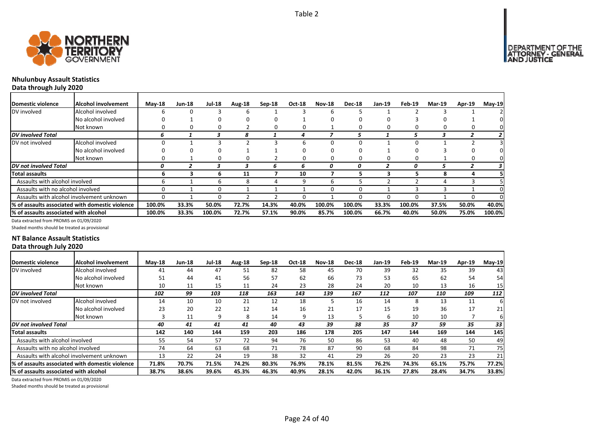

# **Nhulunbuy Assault Statistics**

**Data through July 2020**

| <b>IDomestic violence</b>             | Alcohol involvement                              | $M$ ay-18 | Jun-18 | <b>Jul-18</b> | Aug-18 | Sep-18 | Oct-18 | <b>Nov-18</b> | <b>Dec-18</b> | $Jan-19$ | Feb-19 | <b>Mar-19</b> | <b>Apr-19</b> | $May-19$ |
|---------------------------------------|--------------------------------------------------|-----------|--------|---------------|--------|--------|--------|---------------|---------------|----------|--------|---------------|---------------|----------|
| DV involved                           | Alcohol involved                                 |           |        |               | ь      |        |        |               |               |          |        |               |               |          |
|                                       | No alcohol involved                              |           |        |               |        | Ω      |        |               |               |          |        |               |               |          |
|                                       | Not known                                        |           |        |               |        | 0      | 0      |               |               |          |        |               |               |          |
| <b>DV</b> involved Total              |                                                  | h         |        |               |        |        | 4      |               |               |          |        |               |               |          |
| DV not involved                       | Alcohol involved                                 |           |        |               |        |        | 6      |               |               |          |        |               |               |          |
|                                       | No alcohol involved                              |           |        |               |        |        |        |               |               |          |        |               |               |          |
|                                       | Not known                                        |           |        | 0             | 0      |        | 0      |               |               |          |        |               |               | Ω        |
| DV not involved Total                 |                                                  | Ω         |        |               |        | 6      | ь      | 0             | 0             |          | 0      |               |               |          |
| Total assaults                        |                                                  | h.        |        | n.            | 11     |        | 10     |               |               |          |        | 8             |               |          |
| Assaults with alcohol involved        |                                                  | h         |        | h             | 8      | 4      | 9      | h             |               |          |        | 4             |               |          |
| Assaults with no alcohol involved     |                                                  |           |        |               |        |        |        |               |               |          |        |               |               |          |
|                                       | Assaults with alcohol involvement unknown        | 0         |        | 0.            |        |        | O      |               |               |          |        |               |               |          |
|                                       | 1% of assaults associated with domestic violence | 100.0%    | 33.3%  | 50.0%         | 72.7%  | 14.3%  | 40.0%  | 100.0%        | 100.0%        | 33.3%    | 100.0% | 37.5%         | 50.0%         | 40.0%    |
| % of assaults associated with alcohol |                                                  | 100.0%    | 33.3%  | 100.0%        | 72.7%  | 57.1%  | 90.0%  | 85.7%         | 100.0%        | 66.7%    | 40.0%  | 50.0%         | 75.0%         | 100.0%   |

Data extracted from PROMIS on 01/09/2020

Shaded months should be treated as provisional

# **NT Balance Assault Statistics Data through July 2020**

| Domestic violence                             | Alcohol involvement                              | $Mav-18$ | <b>Jun-18</b> | <b>Jul-18</b> | Aug-18 | $Sep-18$ | <b>Oct-18</b> | <b>Nov-18</b> | <b>Dec-18</b> | Jan-19 | Feb-19 | <b>Mar-19</b> | Apr-19 | $May-19$        |
|-----------------------------------------------|--------------------------------------------------|----------|---------------|---------------|--------|----------|---------------|---------------|---------------|--------|--------|---------------|--------|-----------------|
| DV involved                                   | Alcohol involved                                 | 41       | 44            | 47            | 51     | 82       | 58            | 45            | 70            | 39     | 32     | 35            | 39     | 43 <sub>l</sub> |
|                                               | No alcohol involved                              | 51       | 44            | 41            | 56     | 57       | 62            | 66            | 73            | 53     | 65     | 62            | 54     | 54              |
|                                               | Not known                                        | 10       | 11            | 15            | 11     | 24       | 23            | 28            | 24            | 20     | 10     | 13            | 16     | 15              |
| DV involved Total                             |                                                  | 102      | 99            | 103           | 118    | 163      | 143           | 139           | 167           | 112    | 107    | 110           | 109    | 112             |
| DV not involved                               | Alcohol involved                                 | 14       | 10            | 10            | 21     | 12       | 18            |               | 16            | 14     | 8      | 13            | 11     | 6               |
|                                               | No alcohol involved                              | 23       | 20            | 22            | 12     | 14       | 16            | 21            | 17            | 15     | 19     | 36            | 17     | 21              |
|                                               | Not known                                        |          | 11            | 9             | 8      | 14       | 9             | 13            |               | b      | 10     | 10            |        | 61              |
| DV not involved Total                         |                                                  | 40       | 41            | 41            | 41     | 40       | 43            | 39            | 38            | 35     | 37     | 59            | 35     | 33              |
| Total assaults                                |                                                  | 142      | 140           | 144           | 159    | 203      | 186           | 178           | 205           | 147    | 144    | 169           | 144    | 145             |
| Assaults with alcohol involved                |                                                  | 55       | 54            | 57            | 72     | 94       | 76            | 50            | 86            | 53     | 40     | 48            | 50     | 49              |
| Assaults with no alcohol involved             |                                                  | 74       | 64            | 63            | 68     | 71       | 78            | 87            | 90            | 68     | 84     | 98            | 71     | 75              |
|                                               | Assaults with alcohol involvement unknown        | 13       | 22            | 24            | 19     | 38       | 32            | 41            | 29            | 26     | 20     | 23            | 23     | 21              |
|                                               | l% of assaults associated with domestic violence | 71.8%    | 70.7%         | 71.5%         | 74.2%  | 80.3%    | 76.9%         | 78.1%         | 81.5%         | 76.2%  | 74.3%  | 65.1%         | 75.7%  | 77.2%           |
| <b>1% of assaults associated with alcohol</b> |                                                  | 38.7%    | 38.6%         | 39.6%         | 45.3%  | 46.3%    | 40.9%         | 28.1%         | 42.0%         | 36.1%  | 27.8%  | 28.4%         | 34.7%  | 33.8%           |

Data extracted from PROMIS on 01/09/2020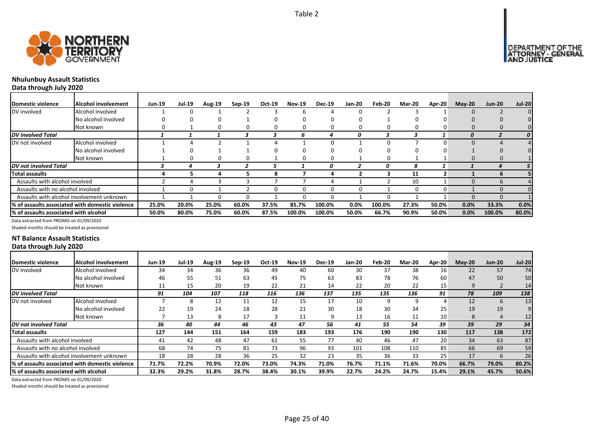



# **Nhulunbuy Assault Statistics**

**Data through July 2020**

| Domestic violence                     | <b>Alcohol involvement</b>                      | <b>Jun-19</b> | <b>Jul-19</b> | Aug-19 | $Sep-19$ | Oct-19 | <b>Nov-19</b> | <b>Dec-19</b> | Jan-20 | Feb-20 | Mar-20 | <b>Apr-20</b> | $M$ ay-20 | <b>Jun-20</b> | <b>Jul-20</b>  |
|---------------------------------------|-------------------------------------------------|---------------|---------------|--------|----------|--------|---------------|---------------|--------|--------|--------|---------------|-----------|---------------|----------------|
| DV involved                           | Alcohol involved                                |               |               |        |          |        |               |               |        |        |        |               | $\Omega$  |               |                |
|                                       | No alcohol involved                             |               |               |        |          |        |               |               |        |        |        |               |           |               |                |
|                                       | Not known                                       |               |               |        |          |        |               |               |        |        | O      |               |           |               |                |
| DV involved Total                     |                                                 |               |               |        |          |        |               |               |        |        |        |               |           |               | 0              |
| DV not involved                       | Alcohol involved                                |               |               |        |          |        |               |               |        |        |        |               | ŋ         |               | 41             |
|                                       | No alcohol involved                             |               |               |        |          |        |               |               |        |        |        |               |           |               |                |
|                                       | Not known                                       |               |               | 0      |          |        | O             |               |        | 0      |        |               |           | 0             |                |
| DV not involved Total                 |                                                 |               |               |        |          |        |               | n             |        | n      | 8      |               |           |               | 5 <sup>1</sup> |
| Total assaults                        |                                                 |               |               |        |          | 8      |               |               |        |        | 11     |               |           |               |                |
| Assaults with alcohol involved        |                                                 |               |               |        |          |        |               |               |        |        | 10     |               | $\Omega$  | h             | 41             |
| Assaults with no alcohol involved     |                                                 |               |               |        |          | 0      | 0             |               | O      |        | 0      |               |           | $\Omega$      |                |
|                                       | Assaults with alcohol involvement unknown       |               |               |        |          |        |               |               |        |        |        |               | ŋ         | 0             |                |
|                                       | % of assaults associated with domestic violence | 25.0%         | 20.0%         | 25.0%  | 60.0%    | 37.5%  | 85.7%         | 100.0%        | 0.0%   | 100.0% | 27.3%  | 50.0%         | 0.0%      | 33.3%         | 0.0%           |
| % of assaults associated with alcohol |                                                 | 50.0%         | 80.0%         | 75.0%  | 60.0%    | 87.5%  | 100.0%        | 100.0%        | 50.0%  | 66.7%  | 90.9%  | 50.0%         | 0.0%      | 100.0%        | 80.0%          |

Data extracted from PROMIS on 01/09/2020

Shaded months should be treated as provisional

# **NT Balance Assault Statistics Data through July 2020**

| Domestic violence                     | Alcohol involvement                              | <b>Jun-19</b> | <b>Jul-19</b> | <b>Aug-19</b> | $Sep-19$ | Oct-19 | <b>Nov-19</b> | <b>Dec-19</b> | <b>Jan-20</b> | Feb-20 | <b>Mar-20</b> | <b>Apr-20</b> | <b>Mav-20</b> | <b>Jun-20</b> | <b>Jul-20</b>   |
|---------------------------------------|--------------------------------------------------|---------------|---------------|---------------|----------|--------|---------------|---------------|---------------|--------|---------------|---------------|---------------|---------------|-----------------|
| DV involved                           | Alcohol involved                                 | 34            | 34            | 36            | 36       | 49     | 40            | 60            | 30            | 37     | 38            | 16            | 22            | 57            | 74              |
|                                       | No alcohol involved                              | 46            | 55            | 51            | 63       | 45     | 75            | 63            | 83            | 78     | 76            | 60            | 47            | 50            | 50              |
|                                       | Not known                                        | 11            | 15            | 20            | 19       | 22     | 21            | 14            | 22            | 20     | 22            | 15            | 9             |               | 14 <sub>1</sub> |
| <b>DV</b> involved Total              |                                                  | 91            | 104           | 107           | 118      | 116    | 136           | 137           | 135           | 135    | 136           | 91            | 78            | 109           | 138             |
| DV not involved                       | Alcohol involved                                 |               |               | 12            | 11       | 12     | 15            | 17            | 10            | 9      | 9             |               | 12            | 6             | 13 <sub>1</sub> |
|                                       | No alcohol involved                              | 22            | 19            | 24            | 18       | 28     | 21            | 30            | 18            | 30     | 34            | 25            | 19            | 19            | 9               |
|                                       | Not known                                        |               | 13            | 8             | 17       |        | 11            | 9             | 13            | 16     | 11            | 10            | 8             | 4             | 12              |
| <b>DV</b> not involved Total          |                                                  | 36            | 40            | 44            | 46       | 43     | 47            | 56            | 41            | 55     | 54            | 39            | 39            | 29            | 34              |
| Total assaults                        |                                                  | 127           | 144           | 151           | 164      | 159    | 183           | 193           | 176           | 190    | 190           | 130           | 117           | 138           | 172             |
| Assaults with alcohol involved        |                                                  | 41            | 42            | 48            | 47       | 61     | 55            | 77            | 40            | 46     | 47            | 20            | 34            | 63            | 87              |
| Assaults with no alcohol involved     |                                                  | 68            | 74            | 75            | 81       | 73     | 96            | 93            | 101           | 108    | 110           | 85            | 66            | 69            | 59              |
|                                       | Assaults with alcohol involvement unknown        | 18            | 28            | 28            | 36       | 25     | 32            | 23            | 35            | 36     | 33            | 25            | 17            | 6             | 26              |
|                                       | 1% of assaults associated with domestic violence | 71.7%         | 72.2%         | 70.9%         | 72.0%    | 73.0%  | 74.3%         | 71.0%         | 76.7%         | 71.1%  | 71.6%         | 70.0%         | 66.7%         | 79.0%         | 80.2%           |
| % of assaults associated with alcohol |                                                  | 32.3%         | 29.2%         | 31.8%         | 28.7%    | 38.4%  | 30.1%         | 39.9%         | 22.7%         | 24.2%  | 24.7%         | 15.4%         | 29.1%         | 45.7%         | 50.6%           |

Data extracted from PROMIS on 01/09/2020

Shaded months should be treated as provisional

DEPARTMENT OF THE<br>ATTORNEY - GENERAL<br>AND JUSTICE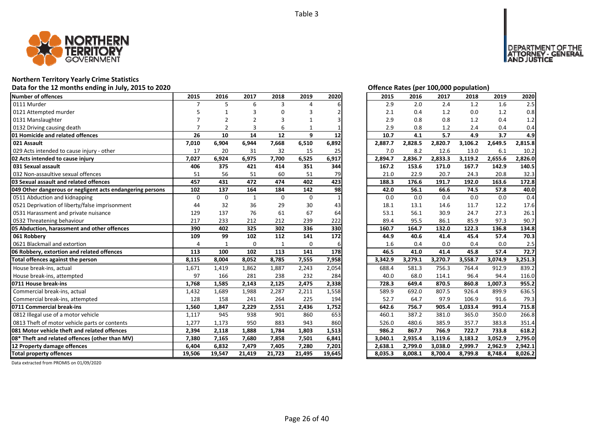

### **Northern Territory Yearly Crime Statistics**

### **Data for the 12 months ending in July, 2015 to 2020 Offence Rates (per 100,000 population)**

| Number of offences                                            | 2015            | 2016            | 2017         | 2018            | 2019        | 2020            | 2015               | 2016               | 2017               | 2018               | 2019    | 2020               |
|---------------------------------------------------------------|-----------------|-----------------|--------------|-----------------|-------------|-----------------|--------------------|--------------------|--------------------|--------------------|---------|--------------------|
| 0111 Murder                                                   | 7               | 5               | 6            | 3               | 4           |                 | 2.9                | 2.0                | 2.4                | 1.2                | 1.6     | 2.5                |
| 0121 Attempted murder                                         |                 |                 |              |                 |             |                 | 2.1                | 0.4                | 1.2                | 0.0                | 1.2     | 0.8                |
| 0131 Manslaughter                                             |                 | $\overline{2}$  | 2            | 3               | 1           |                 | 2.9                | 0.8                | 0.8                | 1.2                | 0.4     | 1.2                |
| 0132 Driving causing death                                    |                 | $\mathcal{P}$   | 3            | 6               |             |                 | 2.9                | 0.8                | 1.2                | 2.4                | 0.4     | 0.4                |
| 01 Homicide and related offences                              | 26              | 10              | 14           | 12              | 9           | 12              | 10.7               | 4.1                | 5.7                | 4.9                | 3.7     | 4.9                |
| 021 Assault                                                   | 7,010           | 6,904           | 6,944        | 7,668           | 6,510       | 6,892           | 2,887.7            | 2,828.5            | 2,820.7            | 3,106.2            | 2,649.5 | 2,815.8            |
| 029 Acts intended to cause injury - other                     | 17              | 20              | 31           | 32              | 15          | 25              | 7.0                | 8.2                | 12.6               | 13.0               | 6.1     | 10.2               |
| 02 Acts intended to cause injury                              | 7,027           | 6,924           | 6,975        | 7,700           | 6,525       | 6,917           | 2,894.7            | 2,836.7            | 2,833.3            | 3,119.2            | 2,655.6 | 2,826.0            |
| 031 Sexual assault                                            | 406             | 375             | 421          | 414             | 351         | 344             | 167.2              | 153.6              | 171.0              | 167.7              | 142.9   | 140.5              |
| 032 Non-assaultive sexual offences                            | 51              | 56              | 51           | 60              | 51          | 79              | 21.0               | 22.9               | 20.7               | 24.3               | 20.8    | 32.3               |
| 03 Sexual assault and related offences                        | 457             | 431             | 472          | 474             | 402         | 423             | 188.3              | 176.6              | 191.7              | 192.0              | 163.6   | 172.8              |
| 049 Other dangerous or negligent acts endangering persons     | 102             | 137             | 164          | 184             | 142         | 98              | 42.0               | 56.1               | 66.6               | 74.5               | 57.8    | 40.0               |
| 0511 Abduction and kidnapping                                 | $\Omega$        | $\Omega$        | $\mathbf{1}$ | $\Omega$        | $\mathbf 0$ |                 | 0.0                | 0.0                | 0.4                | 0.0                | 0.0     | 0.4                |
| 0521 Deprivation of liberty/false imprisonment                | 44              | 32              | 36           | 29              | 30          | 43              | 18.1               | 13.1               | 14.6               | 11.7               | 12.2    | 17.6               |
| 0531 Harassment and private nuisance                          | 129             | 137             | 76           | 61              | 67          | 64              | 53.1               | 56.1               | 30.9               | 24.7               | 27.3    | 26.1               |
| 0532 Threatening behaviour                                    | 217             | 233             | 212          | 212             | 239         | 222             | 89.4               | 95.5               | 86.1               | 85.9               | 97.3    | 90.7               |
| 05 Abduction, harassment and other offences                   | 390             | 402             | 325          | 302             | 336         | 330             | 160.7              | 164.7              | 132.0              | 122.3              | 136.8   | 134.8              |
| 061 Robbery                                                   | 109             | 99              | 102          | 112             | 141         | 172             | 44.9               | 40.6               | 41.4               | 45.4               | 57.4    | 70.3               |
| 0621 Blackmail and extortion                                  | 4               | $\mathbf{1}$    | 0            | $\mathbf{1}$    | $\mathbf 0$ |                 | 1.6                | 0.4                | 0.0                | 0.4                | 0.0     | 2.5                |
| 06 Robbery, extortion and related offences                    | 113             | 100             | 102          | 113             | 141         | 178             | 46.5               | 41.0               | 41.4               | 45.8               | 57.4    | 72.7               |
| Total offences against the person                             | 8,115           | 8,004           | 8,052        | 8,785           | 7,555       | 7,958           | 3,342.9            | 3,279.1            | 3,270.7            | 3,558.7            | 3,074.9 | 3,251.3            |
| House break-ins, actual                                       | 1,671           | 1,419           | 1,862        | 1,887           | 2,243       | 2,054           | 688.4              | 581.3              | 756.3              | 764.4              | 912.9   | 839.2              |
| House break-ins, attempted                                    | 97              | 166             | 281          | 238             | 232         | 284             | 40.0               | 68.0               | 114.1              | 96.4               | 94.4    | 116.0              |
| 0711 House break-ins                                          | 1,768           | 1,585           | 2,143        | 2,125           | 2,475       | 2,338           | 728.3              | 649.4              | 870.5              | 860.8              | 1,007.3 | 955.2              |
| Commercial break-ins, actual                                  | 1,432           | 1,689           | 1,988        | 2,287           | 2,211       | 1,558           | 589.9              | 692.0              | 807.5              | 926.4              | 899.9   | 636.5              |
| Commercial break-ins, attempted                               | 128             | 158             | 241          | 264             | 225         | 194             | 52.7               | 64.7               | 97.9               | 106.9              | 91.6    | 79.3               |
| 0711 Commercial break-ins                                     | 1,560           | 1,847           | 2,229        | 2,551           | 2,436       | 1,752           | 642.6              | 756.7              | 905.4              | 1,033.4            | 991.4   | 715.8              |
| 0812 Illegal use of a motor vehicle                           | 1,117           | 945             | 938          | 901             | 860         | 653             | 460.1              | 387.2              | 381.0              | 365.0              | 350.0   | 266.8              |
| 0813 Theft of motor vehicle parts or contents                 | 1,277           | 1,173           | 950          | 883             | 943         | 860             | 526.0              | 480.6              | 385.9              | 357.7              | 383.8   | 351.4              |
| 081 Motor vehicle theft and related offences                  | 2,394           | 2,118           | 1,888        | 1,784           | 1,803       | 1,513           | 986.2              | 867.7              | 766.9              | 722.7              | 733.8   | 618.2              |
| 08* Theft and related offences (other than MV)                | 7,380           | 7,165           | 7,680        | 7,858           | 7,501       | 6,841           | 3,040.1            | 2,935.4            | 3,119.6            | 3,183.2            | 3,052.9 | 2,795.0            |
|                                                               |                 |                 |              |                 |             |                 |                    |                    |                    |                    |         |                    |
| 12 Property damage offences<br><b>Total property offences</b> | 6,404<br>19,506 | 6,832<br>19,547 | 7,479        | 7,405<br>21,723 | 7,280       | 7,201<br>19,645 | 2,638.1<br>8,035.3 | 2,799.0<br>8,008.1 | 3,038.0<br>8,700.4 | 2,999.7<br>8,799.8 | 2,962.9 | 2,942.1<br>8,026.2 |

DEPARTMENT OF THE<br>ATTORNEY - GENERAL<br>AND JUSTICE

| 2015    | 2016    | 2017    | 2018    | 2019    | 2020    |
|---------|---------|---------|---------|---------|---------|
| 2.9     | 2.0     | 2.4     | 1.2     | 1.6     | 2.5     |
| 2.1     | 0.4     | 1.2     | 0.0     | 1.2     | 0.8     |
| 2.9     | 0.8     | 0.8     | 1.2     | 0.4     | 1.2     |
| 2.9     | 0.8     | 1.2     | 2.4     | 0.4     | 0.4     |
| 10.7    | 4.1     | 5.7     | 4.9     | 3.7     | 4.9     |
| 2,887.7 | 2,828.5 | 2,820.7 | 3,106.2 | 2,649.5 | 2,815.8 |
| 7.0     | 8.2     | 12.6    | 13.0    | 6.1     | 10.2    |
| 2,894.7 | 2,836.7 | 2,833.3 | 3,119.2 | 2,655.6 | 2,826.0 |
| 167.2   | 153.6   | 171.0   | 167.7   | 142.9   | 140.5   |
| 21.0    | 22.9    | 20.7    | 24.3    | 20.8    | 32.3    |
| 188.3   | 176.6   | 191.7   | 192.0   | 163.6   | 172.8   |
| 42.0    | 56.1    | 66.6    | 74.5    | 57.8    | 40.0    |
| 0.0     | 0.0     | 0.4     | 0.0     | 0.0     | 0.4     |
| 18.1    | 13.1    | 14.6    | 11.7    | 12.2    | 17.6    |
| 53.1    | 56.1    | 30.9    | 24.7    | 27.3    | 26.1    |
| 89.4    | 95.5    | 86.1    | 85.9    | 97.3    | 90.7    |
| 160.7   | 164.7   | 132.0   | 122.3   | 136.8   | 134.8   |
| 44.9    | 40.6    | 41.4    | 45.4    | 57.4    | 70.3    |
| 1.6     | 0.4     | 0.0     | 0.4     | 0.0     | 2.5     |
| 46.5    | 41.0    | 41.4    | 45.8    | 57.4    | 72.7    |
| 3,342.9 | 3,279.1 | 3,270.7 | 3,558.7 | 3,074.9 | 3,251.3 |
| 688.4   | 581.3   | 756.3   | 764.4   | 912.9   | 839.2   |
| 40.0    | 68.0    | 114.1   | 96.4    | 94.4    | 116.0   |
| 728.3   | 649.4   | 870.5   | 860.8   | 1,007.3 | 955.2   |
| 589.9   | 692.0   | 807.5   | 926.4   | 899.9   | 636.5   |
| 52.7    | 64.7    | 97.9    | 106.9   | 91.6    | 79.3    |
| 642.6   | 756.7   | 905.4   | 1,033.4 | 991.4   | 715.8   |
| 460.1   | 387.2   | 381.0   | 365.0   | 350.0   | 266.8   |
| 526.0   | 480.6   | 385.9   | 357.7   | 383.8   | 351.4   |
| 986.2   | 867.7   | 766.9   | 722.7   | 733.8   | 618.2   |
| 3,040.1 | 2,935.4 | 3,119.6 | 3,183.2 | 3,052.9 | 2,795.0 |
| 2,638.1 | 2,799.0 | 3,038.0 | 2,999.7 | 2,962.9 | 2,942.1 |
| 8,035.3 | 8,008.1 | 8,700.4 | 8,799.8 | 8,748.4 | 8,026.2 |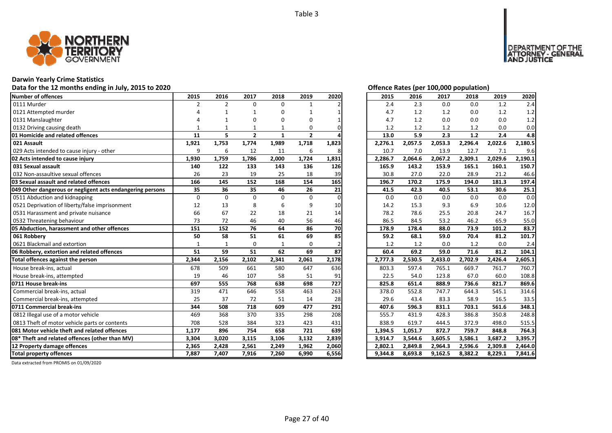

# **Darwin Yearly Crime Statistics**

# Data for the 12 months ending in July, 2015 to 2020 *Data for the 12 months ending in July, 2015 to 2020 Offence Rates (per 100,000 population)*

| Number of offences                                        | 2015         | 2016           | 2017           | 2018         | 2019           | 2020     | 2015    | 2016    | 2017    | 2018    | 2019    | 2020    |
|-----------------------------------------------------------|--------------|----------------|----------------|--------------|----------------|----------|---------|---------|---------|---------|---------|---------|
| 0111 Murder                                               | 2            | $\overline{2}$ | $\Omega$       | $\Omega$     | $\mathbf{1}$   |          | 2.4     | 2.3     | 0.0     | 0.0     | 1.2     | 2.4     |
| 0121 Attempted murder                                     |              |                |                | 0            |                |          | 4.7     | 1.2     | 1.2     | 0.0     | 1.2     | 1.2     |
| 0131 Manslaughter                                         |              |                | O              | O            | O              |          | 4.7     | 1.2     | 0.0     | 0.0     | 0.0     | 1.2     |
| 0132 Driving causing death                                |              |                |                |              | 0              |          | 1.2     | 1.2     | 1.2     | 1.2     | 0.0     | 0.0     |
| <b>01 Homicide and related offences</b>                   | 11           | 5              | $\overline{2}$ | 1            | $\overline{2}$ |          | 13.0    | 5.9     | 2.3     | $1.2$   | 2.4     | 4.8     |
| 021 Assault                                               | 1,921        | 1,753          | 1,774          | 1,989        | 1,718          | 1,823    | 2,276.1 | 2,057.5 | 2,053.3 | 2,296.4 | 2,022.6 | 2,180.5 |
| 029 Acts intended to cause injury - other                 | 9            | 6              | 12             | 11           | 6              |          | 10.7    | 7.0     | 13.9    | 12.7    | 7.1     | 9.6     |
| 02 Acts intended to cause injury                          | 1,930        | 1,759          | 1,786          | 2,000        | 1,724          | 1,831    | 2,286.7 | 2,064.6 | 2,067.2 | 2,309.1 | 2,029.6 | 2,190.1 |
| 031 Sexual assault                                        | 140          | 122            | 133            | 143          | 136            | 126      | 165.9   | 143.2   | 153.9   | 165.1   | 160.1   | 150.7   |
| 032 Non-assaultive sexual offences                        | 26           | 23             | 19             | 25           | 18             | 39       | 30.8    | 27.0    | 22.0    | 28.9    | 21.2    | 46.6    |
| 03 Sexual assault and related offences                    | 166          | 145            | 152            | 168          | 154            | 165      | 196.7   | 170.2   | 175.9   | 194.0   | 181.3   | 197.4   |
| 049 Other dangerous or negligent acts endangering persons | 35           | 36             | 35             | 46           | 26             | 21       | 41.5    | 42.3    | 40.5    | 53.1    | 30.6    | 25.1    |
| 0511 Abduction and kidnapping                             | $\Omega$     | $\Omega$       | $\Omega$       | $\Omega$     | $\Omega$       | $\Omega$ | 0.0     | 0.0     | 0.0     | 0.0     | 0.0     | 0.0     |
| 0521 Deprivation of liberty/false imprisonment            | 12           | 13             | 8              | 6            | 9              | 10       | 14.2    | 15.3    | 9.3     | 6.9     | 10.6    | 12.0    |
| 0531 Harassment and private nuisance                      | 66           | 67             | 22             | 18           | 21             | 14       | 78.2    | 78.6    | 25.5    | 20.8    | 24.7    | 16.7    |
| 0532 Threatening behaviour                                | 73           | 72             | 46             | 40           | 56             | 46       | 86.5    | 84.5    | 53.2    | 46.2    | 65.9    | 55.0    |
| 05 Abduction, harassment and other offences               | 151          | 152            | 76             | 64           | 86             | 70       | 178.9   | 178.4   | 88.0    | 73.9    | 101.2   | 83.7    |
| 061 Robbery                                               | 50           | 58             | 51             | 61           | 69             | 85       | 59.2    | 68.1    | 59.0    | 70.4    | 81.2    | 101.7   |
| 0621 Blackmail and extortion                              | $\mathbf{1}$ |                | 0              | $\mathbf{1}$ | $\Omega$       |          | 1.2     | 1.2     | 0.0     | 1.2     | 0.0     | 2.4     |
| 06 Robbery, extortion and related offences                | 51           | 59             | 51             | 62           | 69             | 87       | 60.4    | 69.2    | 59.0    | 71.6    | 81.2    | 104.1   |
| Total offences against the person                         | 2,344        | 2,156          | 2,102          | 2,341        | 2,061          | 2,178    | 2,777.3 | 2,530.5 | 2,433.0 | 2,702.9 | 2,426.4 | 2,605.1 |
| House break-ins, actual                                   | 678          | 509            | 661            | 580          | 647            | 636      | 803.3   | 597.4   | 765.1   | 669.7   | 761.7   | 760.7   |
| House break-ins, attempted                                | 19           | 46             | 107            | 58           | 51             | 91       | 22.5    | 54.0    | 123.8   | 67.0    | 60.0    | 108.8   |
| 0711 House break-ins                                      | 697          | 555            | 768            | 638          | 698            | 727      | 825.8   | 651.4   | 888.9   | 736.6   | 821.7   | 869.6   |
| Commercial break-ins, actual                              | 319          | 471            | 646            | 558          | 463            | 263      | 378.0   | 552.8   | 747.7   | 644.3   | 545.1   | 314.6   |
| Commercial break-ins, attempted                           | 25           | 37             | 72             | 51           | 14             | 28       | 29.6    | 43.4    | 83.3    | 58.9    | 16.5    | 33.5    |
| 0711 Commercial break-ins                                 | 344          | 508            | 718            | 609          | 477            | 291      | 407.6   | 596.3   | 831.1   | 703.1   | 561.6   | 348.1   |
| 0812 Illegal use of a motor vehicle                       | 469          | 368            | 370            | 335          | 298            | 208      | 555.7   | 431.9   | 428.3   | 386.8   | 350.8   | 248.8   |
| 0813 Theft of motor vehicle parts or contents             | 708          | 528            | 384            | 323          | 423            | 431      | 838.9   | 619.7   | 444.5   | 372.9   | 498.0   | 515.5   |
| <b>1081 Motor vehicle theft and related offences</b>      | 1,177        | 896            | 754            | 658          | 721            | 639      | 1,394.5 | 1,051.7 | 872.7   | 759.7   | 848.8   | 764.3   |
| 08* Theft and related offences (other than MV)            | 3,304        | 3,020          | 3,115          | 3,106        | 3,132          | 2,839    | 3,914.7 | 3,544.6 | 3,605.5 | 3,586.1 | 3,687.2 | 3,395.7 |
| 12 Property damage offences                               | 2,365        | 2,428          | 2,561          | 2,249        | 1,962          | 2,060    | 2,802.1 | 2,849.8 | 2,964.3 | 2,596.6 | 2,309.8 | 2,464.0 |
| <b>Total property offences</b>                            | 7,887        | 7,407          | 7,916          | 7,260        | 6,990          | 6,556    | 9,344.8 | 8,693.8 | 9,162.5 | 8,382.2 | 8,229.1 | 7,841.6 |

DEPARTMENT OF THE<br>ATTORNEY - GENERAL ÜSTICE

| 2015    | 2016    | 2017    | 2018    | 2019    | 2020    |
|---------|---------|---------|---------|---------|---------|
| 2.4     | 2.3     | 0.0     | 0.0     | 1.2     | 2.4     |
| 4.7     | 1.2     | 1.2     | 0.0     | 1.2     | 1.2     |
| 4.7     | 1.2     | 0.0     | 0.0     | 0.0     | 1.2     |
| 1.2     | 1.2     | 1.2     | 1.2     | 0.0     | 0.0     |
| 13.0    | 5.9     | 2.3     | 1.2     | 2.4     | 4.8     |
| 2,276.1 | 2,057.5 | 2,053.3 | 2,296.4 | 2,022.6 | 2,180.5 |
| 10.7    | 7.0     | 13.9    | 12.7    | 7.1     | 9.6     |
| 2,286.7 | 2,064.6 | 2,067.2 | 2,309.1 | 2,029.6 | 2,190.1 |
| 165.9   | 143.2   | 153.9   | 165.1   | 160.1   | 150.7   |
| 30.8    | 27.0    | 22.0    | 28.9    | 21.2    | 46.6    |
| 196.7   | 170.2   | 175.9   | 194.0   | 181.3   | 197.4   |
| 41.5    | 42.3    | 40.5    | 53.1    | 30.6    | 25.1    |
| 0.0     | 0.0     | 0.0     | 0.0     | 0.0     | 0.0     |
| 14.2    | 15.3    | 9.3     | 6.9     | 10.6    | 12.0    |
| 78.2    | 78.6    | 25.5    | 20.8    | 24.7    | 16.7    |
| 86.5    | 84.5    | 53.2    | 46.2    | 65.9    | 55.0    |
| 178.9   | 178.4   | 88.0    | 73.9    | 101.2   | 83.7    |
| 59.2    | 68.1    | 59.0    | 70.4    | 81.2    | 101.7   |
| 1.2     | 1.2     | 0.0     | 1.2     | 0.0     | 2.4     |
| 60.4    | 69.2    | 59.0    | 71.6    | 81.2    | 104.1   |
| 2,777.3 | 2,530.5 | 2,433.0 | 2,702.9 | 2,426.4 | 2,605.1 |
| 803.3   | 597.4   | 765.1   | 669.7   | 761.7   | 760.7   |
| 22.5    | 54.0    | 123.8   | 67.0    | 60.0    | 108.8   |
| 825.8   | 651.4   | 888.9   | 736.6   | 821.7   | 869.6   |
| 378.0   | 552.8   | 747.7   | 644.3   | 545.1   | 314.6   |
| 29.6    | 43.4    | 83.3    | 58.9    | 16.5    | 33.5    |
| 407.6   | 596.3   | 831.1   | 703.1   | 561.6   | 348.1   |
| 555.7   | 431.9   | 428.3   | 386.8   | 350.8   | 248.8   |
| 838.9   | 619.7   | 444.5   | 372.9   | 498.0   | 515.5   |
| 1,394.5 | 1,051.7 | 872.7   | 759.7   | 848.8   | 764.3   |
| 3,914.7 | 3,544.6 | 3,605.5 | 3,586.1 | 3,687.2 | 3,395.7 |
| 2,802.1 | 2,849.8 | 2,964.3 | 2,596.6 | 2,309.8 | 2,464.0 |
| 9,344.8 | 8,693.8 | 9,162.5 | 8,382.2 | 8,229.1 | 7,841.6 |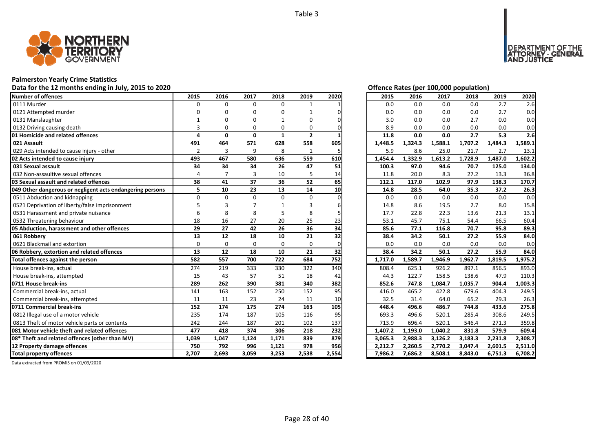

# **Palmerston Yearly Crime Statistics**

Data for the 12 months ending in July, 2015 to 2020 *Data for the 12 months ending in July, 2015 to 2020 Offence Rates (per 100,000 population)* 

| Number of offences                                        | 2015           | 2016         | 2017         | 2018         | 2019           | 2020  | 2015    | 2016    | 2017    | 2018    | 2019    | 2020    |
|-----------------------------------------------------------|----------------|--------------|--------------|--------------|----------------|-------|---------|---------|---------|---------|---------|---------|
| 0111 Murder                                               | $\Omega$       | $\Omega$     | $\Omega$     | 0            | $\mathbf{1}$   |       | 0.0     | 0.0     | 0.0     | 0.0     | 2.7     | 2.6     |
| 0121 Attempted murder                                     |                |              | O            | ŋ            |                |       | 0.0     | 0.0     | 0.0     | 0.0     | 2.7     | 0.0     |
| 0131 Manslaughter                                         |                |              | O            |              | O              |       | 3.0     | 0.0     | 0.0     | 2.7     | 0.0     | 0.0     |
| 0132 Driving causing death                                | 3              | $\Omega$     | O            | 0            | 0              |       | 8.9     | 0.0     | 0.0     | 0.0     | 0.0     | 0.0     |
| 01 Homicide and related offences                          | 4              | $\mathbf{0}$ | $\mathbf{0}$ | $\mathbf{1}$ | $\overline{2}$ |       | 11.8    | 0.0     | 0.0     | 2.7     | 5.3     | 2.6     |
| 021 Assault                                               | 491            | 464          | 571          | 628          | 558            | 605   | 1,448.5 | 1,324.3 | 1,588.1 | 1,707.2 | 1,484.3 | 1,589.1 |
| 029 Acts intended to cause injury - other                 | $\overline{2}$ | 3            | 9            | 8            | $\mathbf{1}$   | 5     | 5.9     | 8.6     | 25.0    | 21.7    | 2.7     | 13.1    |
| 02 Acts intended to cause injury                          | 493            | 467          | 580          | 636          | 559            | 610   | 1,454.4 | 1,332.9 | 1,613.2 | 1,728.9 | 1,487.0 | 1,602.2 |
| 031 Sexual assault                                        | 34             | 34           | 34           | 26           | 47             | 51    | 100.3   | 97.0    | 94.6    | 70.7    | 125.0   | 134.0   |
| 032 Non-assaultive sexual offences                        | $\overline{4}$ |              | 3            | 10           | 5              | 14    | 11.8    | 20.0    | 8.3     | 27.2    | 13.3    | 36.8    |
| 03 Sexual assault and related offences                    | 38             | 41           | 37           | 36           | 52             | 65    | 112.1   | 117.0   | 102.9   | 97.9    | 138.3   | 170.7   |
| 049 Other dangerous or negligent acts endangering persons | 5              | 10           | 23           | 13           | 14             | 10    | 14.8    | 28.5    | 64.0    | 35.3    | 37.2    | 26.3    |
| 0511 Abduction and kidnapping                             | $\Omega$       | $\Omega$     | $\Omega$     | $\Omega$     | $\Omega$       |       | 0.0     | 0.0     | 0.0     | 0.0     | 0.0     | 0.0     |
| 0521 Deprivation of liberty/false imprisonment            |                |              |              |              |                |       | 14.8    | 8.6     | 19.5    | 2.7     | 8.0     | 15.8    |
| 0531 Harassment and private nuisance                      |                | 8            | 8            |              | 8              |       | 17.7    | 22.8    | 22.3    | 13.6    | 21.3    | 13.1    |
| 0532 Threatening behaviour                                | 18             | 16           | 27           | 20           | 25             | 23    | 53.1    | 45.7    | 75.1    | 54.4    | 66.5    | 60.4    |
| 05 Abduction, harassment and other offences               | 29             | 27           | 42           | 26           | 36             | 34    | 85.6    | 77.1    | 116.8   | 70.7    | 95.8    | 89.3    |
| 061 Robbery                                               | 13             | 12           | 18           | 10           | 21             | 32    | 38.4    | 34.2    | 50.1    | 27.2    | 55.9    | 84.0    |
| 0621 Blackmail and extortion                              | $\Omega$       | $\Omega$     | 0            | 0            | $\Omega$       |       | 0.0     | 0.0     | 0.0     | 0.0     | 0.0     | 0.0     |
| 06 Robbery, extortion and related offences                | 13             | 12           | 18           | 10           | 21             | 32    | 38.4    | 34.2    | 50.1    | 27.2    | 55.9    | 84.0    |
| Total offences against the person                         | 582            | 557          | 700          | 722          | 684            | 752   | 1,717.0 | 1,589.7 | 1,946.9 | 1,962.7 | 1,819.5 | 1,975.2 |
| House break-ins, actual                                   | 274            | 219          | 333          | 330          | 322            | 340   | 808.4   | 625.1   | 926.2   | 897.1   | 856.5   | 893.0   |
| House break-ins, attempted                                | 15             | 43           | 57           | 51           | 18             | 42    | 44.3    | 122.7   | 158.5   | 138.6   | 47.9    | 110.3   |
| 0711 House break-ins                                      | 289            | 262          | 390          | 381          | 340            | 382   | 852.6   | 747.8   | 1,084.7 | 1,035.7 | 904.4   | 1,003.3 |
| Commercial break-ins, actual                              | 141            | 163          | 152          | 250          | 152            | 95    | 416.0   | 465.2   | 422.8   | 679.6   | 404.3   | 249.5   |
| Commercial break-ins, attempted                           | 11             | 11           | 23           | 24           | 11             | 10    | 32.5    | 31.4    | 64.0    | 65.2    | 29.3    | 26.3    |
| 0711 Commercial break-ins                                 | 152            | 174          | 175          | 274          | 163            | 105   | 448.4   | 496.6   | 486.7   | 744.8   | 433.6   | 275.8   |
| 0812 Illegal use of a motor vehicle                       | 235            | 174          | 187          | 105          | 116            | 95    | 693.3   | 496.6   | 520.1   | 285.4   | 308.6   | 249.5   |
| 0813 Theft of motor vehicle parts or contents             | 242            | 244          | 187          | 201          | 102            | 137   | 713.9   | 696.4   | 520.1   | 546.4   | 271.3   | 359.8   |
| 081 Motor vehicle theft and related offences              | 477            | 418          | 374          | 306          | 218            | 232   | 1,407.2 | 1,193.0 | 1.040.2 | 831.8   | 579.9   | 609.4   |
| 08* Theft and related offences (other than MV)            | 1,039          | 1,047        | 1,124        | 1,171        | 839            | 879   | 3,065.3 | 2,988.3 | 3,126.2 | 3,183.3 | 2,231.8 | 2,308.7 |
| 12 Property damage offences                               | 750            | 792          | 996          | 1,121        | 978            | 956   | 2,212.7 | 2,260.5 | 2,770.2 | 3,047.4 | 2,601.5 | 2,511.0 |
| Total property offences                                   | 2,707          | 2,693        | 3,059        | 3,253        | 2,538          | 2,554 | 7,986.2 | 7,686.2 | 8,508.1 | 8,843.0 | 6,751.3 | 6,708.2 |

DEPARTMENT OF THE<br>ATTORNEY - GENERAL<br>AND JUSTICE

| 2015    | 2016    | 2017    | 2018    | 2019    | 2020    |
|---------|---------|---------|---------|---------|---------|
| 0.0     | 0.0     | 0.0     | 0.0     | 2.7     | 2.6     |
| 0.0     | 0.0     | 0.0     | 0.0     | 2.7     | 0.0     |
| 3.0     | 0.0     | 0.0     | 2.7     | 0.0     | 0.0     |
| 8.9     | 0.0     | 0.0     | 0.0     | 0.0     | 0.0     |
| 11.8    | 0.0     | 0.0     | 2.7     | 5.3     | 2.6     |
| 1,448.5 | 1,324.3 | 1,588.1 | 1,707.2 | 1,484.3 | 1,589.1 |
| 5.9     | 8.6     | 25.0    | 21.7    | 2.7     | 13.1    |
| 1,454.4 | 1,332.9 | 1,613.2 | 1,728.9 | 1,487.0 | 1,602.2 |
| 100.3   | 97.0    | 94.6    | 70.7    | 125.0   | 134.0   |
| 11.8    | 20.0    | 8.3     | 27.2    | 13.3    | 36.8    |
| 112.1   | 117.0   | 102.9   | 97.9    | 138.3   | 170.7   |
| 14.8    | 28.5    | 64.0    | 35.3    | 37.2    | 26.3    |
| 0.0     | 0.0     | 0.0     | 0.0     | 0.0     | 0.0     |
| 14.8    | 8.6     | 19.5    | 2.7     | 8.0     | 15.8    |
| 17.7    | 22.8    | 22.3    | 13.6    | 21.3    | 13.1    |
| 53.1    | 45.7    | 75.1    | 54.4    | 66.5    | 60.4    |
| 85.6    | 77.1    | 116.8   | 70.7    | 95.8    | 89.3    |
| 38.4    | 34.2    | 50.1    | 27.2    | 55.9    | 84.0    |
| 0.0     | $0.0\,$ | 0.0     | 0.0     | 0.0     | 0.0     |
| 38.4    | 34.2    | 50.1    | 27.2    | 55.9    | 84.0    |
| 1,717.0 | 1,589.7 | 1,946.9 | 1,962.7 | 1,819.5 | 1,975.2 |
| 808.4   | 625.1   | 926.2   | 897.1   | 856.5   | 893.0   |
| 44.3    | 122.7   | 158.5   | 138.6   | 47.9    | 110.3   |
| 852.6   | 747.8   | 1,084.7 | 1,035.7 | 904.4   | 1,003.3 |
| 416.0   | 465.2   | 422.8   | 679.6   | 404.3   | 249.5   |
| 32.5    | 31.4    | 64.0    | 65.2    | 29.3    | 26.3    |
| 448.4   | 496.6   | 486.7   | 744.8   | 433.6   | 275.8   |
| 693.3   | 496.6   | 520.1   | 285.4   | 308.6   | 249.5   |
| 713.9   | 696.4   | 520.1   | 546.4   | 271.3   | 359.8   |
| 1,407.2 | 1,193.0 | 1,040.2 | 831.8   | 579.9   | 609.4   |
| 3,065.3 | 2,988.3 | 3,126.2 | 3,183.3 | 2,231.8 | 2,308.7 |
| 2,212.7 | 2,260.5 | 2,770.2 | 3,047.4 | 2,601.5 | 2,511.0 |
| 7,986.2 | 7,686.2 | 8,508.1 | 8,843.0 | 6,751.3 | 6,708.2 |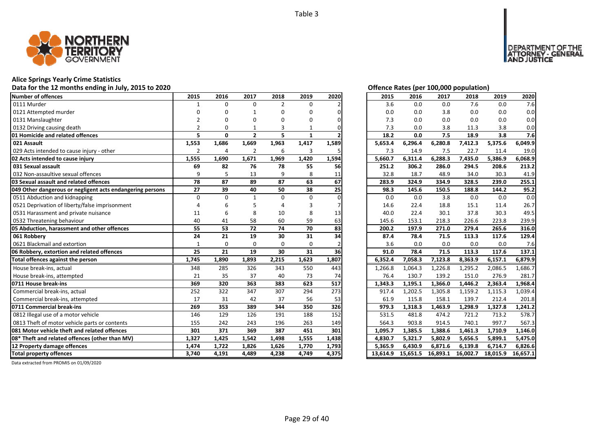

### **Alice Springs Yearly Crime Statistics**

### **Data for the 12 months ending in July, 2015 to 2020 Offence Rates (per 100,000 population)**

| <b>Number of offences</b>                                 | 2015           | 2016           | 2017           | 2018           | 2019         | 2020  | 2015     | 2016     | 2017     | 2018     | 2019     | 2020     |
|-----------------------------------------------------------|----------------|----------------|----------------|----------------|--------------|-------|----------|----------|----------|----------|----------|----------|
| 0111 Murder                                               | 1              | $\Omega$       | $\Omega$       | $\overline{2}$ | $\Omega$     |       | 3.6      | 0.0      | 0.0      | 7.6      | 0.0      | 7.6      |
| 0121 Attempted murder                                     | O              | O              |                |                |              |       | 0.0      | 0.0      | 3.8      | 0.0      | 0.0      | 0.0      |
| 0131 Manslaughter                                         | $\mathcal{P}$  | O              | n              |                | ŋ            |       | 7.3      | 0.0      | 0.0      | 0.0      | 0.0      | 0.0      |
| 0132 Driving causing death                                | $\mathfrak{p}$ | $\Omega$       |                | 3              |              |       | 7.3      | 0.0      | 3.8      | 11.3     | 3.8      | 0.0      |
| 01 Homicide and related offences                          | 5              | $\mathbf{0}$   | $\overline{2}$ | 5              | $\mathbf{1}$ |       | 18.2     | 0.0      | 7.5      | 18.9     | 3.8      | 7.6      |
| 021 Assault                                               | 1,553          | 1,686          | 1,669          | 1,963          | 1,417        | 1,589 | 5,653.4  | 6,296.4  | 6,280.8  | 7,412.3  | 5,375.6  | 6,049.9  |
| 029 Acts intended to cause injury - other                 | $\overline{2}$ | $\overline{4}$ | 2              | 6              | 3            |       | 7.3      | 14.9     | 7.5      | 22.7     | 11.4     | 19.0     |
| 02 Acts intended to cause injury                          | 1,555          | 1,690          | 1,671          | 1,969          | 1,420        | 1,594 | 5,660.7  | 6,311.4  | 6,288.3  | 7,435.0  | 5,386.9  | 6.068.9  |
| 031 Sexual assault                                        | 69             | 82             | 76             | 78             | 55           | 56    | 251.2    | 306.2    | 286.0    | 294.5    | 208.6    | 213.2    |
| 032 Non-assaultive sexual offences                        | 9              | 5              | 13             | 9              | 8            | 11    | 32.8     | 18.7     | 48.9     | 34.0     | 30.3     | 41.9     |
| 03 Sexual assault and related offences                    | 78             | 87             | 89             | 87             | 63           | 67    | 283.9    | 324.9    | 334.9    | 328.5    | 239.0    | 255.1    |
| 049 Other dangerous or negligent acts endangering persons | 27             | 39             | 40             | 50             | 38           | 25    | 98.3     | 145.6    | 150.5    | 188.8    | 144.2    | 95.2     |
| 0511 Abduction and kidnapping                             | $\Omega$       | $\Omega$       | $\mathbf{1}$   | $\Omega$       | $\Omega$     |       | 0.0      | 0.0      | 3.8      | 0.0      | 0.0      | 0.0      |
| 0521 Deprivation of liberty/false imprisonment            | Δ              |                |                |                |              |       | 14.6     | 22.4     | 18.8     | 15.1     | 11.4     | 26.7     |
| 0531 Harassment and private nuisance                      | 11             | 6              | 8              | 10             | 8            | 13    | 40.0     | 22.4     | 30.1     | 37.8     | 30.3     | 49.5     |
| 0532 Threatening behaviour                                | 40             | 41             | 58             | 60             | 59           | 63    | 145.6    | 153.1    | 218.3    | 226.6    | 223.8    | 239.9    |
| 05 Abduction, harassment and other offences               | 55             | 53             | 72             | 74             | 70           | 83    | 200.2    | 197.9    | 271.0    | 279.4    | 265.6    | 316.0    |
| 061 Robbery                                               | 24             | 21             | 19             | 30             | 31           | 34    | 87.4     | 78.4     | 71.5     | 113.3    | 117.6    | 129.4    |
| 0621 Blackmail and extortion                              | $\mathbf{1}$   | $\Omega$       | $\Omega$       | $\Omega$       | $\Omega$     |       | 3.6      | 0.0      | 0.0      | 0.0      | 0.0      | 7.6      |
| 06 Robbery, extortion and related offences                | 25             | 21             | 19             | 30             | 31           | 36    | 91.0     | 78.4     | 71.5     | 113.3    | 117.6    | 137.1    |
| Total offences against the person                         | 1,745          | 1,890          | 1,893          | 2,215          | 1,623        | 1,807 | 6,352.4  | 7,058.3  | 7,123.8  | 8,363.9  | 6,157.1  | 6,879.9  |
| House break-ins, actual                                   | 348            | 285            | 326            | 343            | 550          | 443   | 1,266.8  | 1,064.3  | 1,226.8  | 1,295.2  | 2,086.5  | 1,686.7  |
| House break-ins, attempted                                | 21             | 35             | 37             | 40             | 73           | 74    | 76.4     | 130.7    | 139.2    | 151.0    | 276.9    | 281.7    |
| 0711 House break-ins                                      | 369            | 320            | 363            | 383            | 623          | 517   | 1,343.3  | 1,195.1  | 1,366.0  | 1,446.2  | 2,363.4  | 1,968.4  |
| Commercial break-ins, actual                              | 252            | 322            | 347            | 307            | 294          | 273   | 917.4    | 1,202.5  | 1,305.8  | 1,159.2  | 1,115.3  | 1,039.4  |
| Commercial break-ins, attempted                           | 17             | 31             | 42             | 37             | 56           | 53    | 61.9     | 115.8    | 158.1    | 139.7    | 212.4    | 201.8    |
| 0711 Commercial break-ins                                 | 269            | 353            | 389            | 344            | 350          | 326   | 979.3    | 1,318.3  | 1,463.9  | 1,298.9  | 1,327.8  | 1,241.2  |
| 0812 Illegal use of a motor vehicle                       | 146            | 129            | 126            | 191            | 188          | 152   | 531.5    | 481.8    | 474.2    | 721.2    | 713.2    | 578.7    |
| 0813 Theft of motor vehicle parts or contents             | 155            | 242            | 243            | 196            | 263          | 149   | 564.3    | 903.8    | 914.5    | 740.1    | 997.7    | 567.3    |
| 081 Motor vehicle theft and related offences              | 301            | 371            | 369            | 387            | 451          | 301   | 1,095.7  | 1,385.5  | 1,388.6  | 1,461.3  | 1,710.9  | 1,146.0  |
| 08* Theft and related offences (other than MV)            | 1,327          | 1,425          | 1,542          | 1,498          | 1,555        | 1,438 | 4,830.7  | 5,321.7  | 5,802.9  | 5,656.5  | 5,899.1  | 5,475.0  |
| 12 Property damage offences                               | 1,474          | 1,722          | 1,826          | 1,626          | 1,770        | 1,793 | 5,365.9  | 6,430.9  | 6,871.6  | 6,139.8  | 6,714.7  | 6,826.6  |
| <b>Total property offences</b>                            | 3,740          | 4,191          | 4,489          | 4,238          | 4,749        | 4,375 | 13,614.9 | 15,651.5 | 16,893.1 | 16,002.7 | 18,015.9 | 16,657.1 |

DEPARTMENT OF THE<br>ATTORNEY - GENERAL<br>AND JUSTICE

| 2015     | 2016     | 2017     | 2018     | 2019     | 2020     |
|----------|----------|----------|----------|----------|----------|
| 3.6      | 0.0      | 0.0      | 7.6      | 0.0      | 7.6      |
| 0.0      | 0.0      | 3.8      | 0.0      | 0.0      | 0.0      |
| 7.3      | 0.0      | 0.0      | 0.0      | 0.0      | 0.0      |
| 7.3      | 0.0      | 3.8      | 11.3     | 3.8      | 0.0      |
| 18.2     | 0.0      | 7.5      | 18.9     | 3.8      | 7.6      |
| 5,653.4  | 6,296.4  | 6,280.8  | 7,412.3  | 5,375.6  | 6,049.9  |
| 7.3      | 14.9     | 7.5      | 22.7     | 11.4     | 19.0     |
| 5,660.7  | 6,311.4  | 6,288.3  | 7,435.0  | 5,386.9  | 6,068.9  |
| 251.2    | 306.2    | 286.0    | 294.5    | 208.6    | 213.2    |
| 32.8     | 18.7     | 48.9     | 34.0     | 30.3     | 41.9     |
| 283.9    | 324.9    | 334.9    | 328.5    | 239.0    | 255.1    |
| 98.3     | 145.6    | 150.5    | 188.8    | 144.2    | 95.2     |
| 0.0      | 0.0      | 3.8      | 0.0      | 0.0      | 0.0      |
| 14.6     | 22.4     | 18.8     | 15.1     | 11.4     | 26.7     |
| 40.0     | 22.4     | 30.1     | 37.8     | 30.3     | 49.5     |
| 145.6    | 153.1    | 218.3    | 226.6    | 223.8    | 239.9    |
| 200.2    | 197.9    | 271.0    | 279.4    | 265.6    | 316.0    |
| 87.4     | 78.4     | 71.5     | 113.3    | 117.6    | 129.4    |
| 3.6      | 0.0      | 0.0      | 0.0      | 0.0      | 7.6      |
| 91.0     | 78.4     | 71.5     | 113.3    | 117.6    | 137.1    |
| 6,352.4  | 7,058.3  | 7,123.8  | 8,363.9  | 6,157.1  | 6,879.9  |
| 1,266.8  | 1,064.3  | 1,226.8  | 1,295.2  | 2,086.5  | 1,686.7  |
| 76.4     | 130.7    | 139.2    | 151.0    | 276.9    | 281.7    |
| 1,343.3  | 1,195.1  | 1,366.0  | 1,446.2  | 2,363.4  | 1,968.4  |
| 917.4    | 1,202.5  | 1,305.8  | 1,159.2  | 1,115.3  | 1,039.4  |
| 61.9     | 115.8    | 158.1    | 139.7    | 212.4    | 201.8    |
| 979.3    | 1,318.3  | 1,463.9  | 1,298.9  | 1,327.8  | 1,241.2  |
| 531.5    | 481.8    | 474.2    | 721.2    | 713.2    | 578.7    |
| 564.3    | 903.8    | 914.5    | 740.1    | 997.7    | 567.3    |
| 1,095.7  | 1,385.5  | 1,388.6  | 1,461.3  | 1,710.9  | 1,146.0  |
| 4,830.7  | 5,321.7  | 5,802.9  | 5,656.5  | 5,899.1  | 5,475.0  |
| 5,365.9  | 6,430.9  | 6,871.6  | 6,139.8  | 6,714.7  | 6,826.6  |
| 13,614.9 | 15,651.5 | 16,893.1 | 16,002.7 | 18,015.9 | 16,657.1 |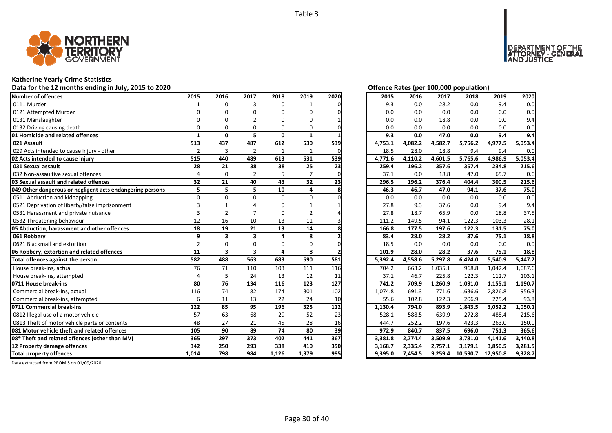

# **Katherine Yearly Crime Statistics**

# Data for the 12 months ending in July, 2015 to 2020<br> **Data for the 12 months ending in July, 2015 to 2020**

| <b>Number of offences</b>                                 | 2015           | 2016                    | 2017                    | 2018     | 2019     | 2020 | 2015    | 2016    | 2017    | 2018     | 2019     | 2020    |
|-----------------------------------------------------------|----------------|-------------------------|-------------------------|----------|----------|------|---------|---------|---------|----------|----------|---------|
| 0111 Murder                                               |                | $\Omega$                | 3                       | $\Omega$ | 1        |      | 9.3     | 0.0     | 28.2    | 0.0      | 9.4      | 0.0     |
| 0121 Attempted Murder                                     | n              |                         |                         | n        | O        |      | 0.0     | 0.0     | 0.0     | 0.0      | 0.0      | 0.0     |
| 0131 Manslaughter                                         |                |                         |                         |          | U        |      | 0.0     | 0.0     | 18.8    | 0.0      | 0.0      | 9.4     |
| 0132 Driving causing death                                | $\Omega$       |                         | $\Omega$                | 0        | O        |      | 0.0     | 0.0     | 0.0     | 0.0      | 0.0      | 0.0     |
| 01 Homicide and related offences                          | 1              | $\mathbf{0}$            | 5                       | 0        | 1        |      | 9.3     | 0.0     | 47.0    | 0.0      | 9.4      | 9.4     |
| 021 Assault                                               | 513            | 437                     | 487                     | 612      | 530      | 539  | 4,753.1 | 4,082.2 | 4,582.7 | 5,756.2  | 4,977.5  | 5,053.4 |
| 029 Acts intended to cause injury - other                 | $\overline{2}$ | 3                       | $\overline{2}$          | 1        | 1        | O    | 18.5    | 28.0    | 18.8    | 9.4      | 9.4      | 0.0     |
| 02 Acts intended to cause injury                          | 515            | 440                     | 489                     | 613      | 531      | 539  | 4,771.6 | 4,110.2 | 4,601.5 | 5,765.6  | 4,986.9  | 5,053.4 |
| 031 Sexual assault                                        | 28             | 21                      | 38                      | 38       | 25       | 23   | 259.4   | 196.2   | 357.6   | 357.4    | 234.8    | 215.6   |
| 032 Non-assaultive sexual offences                        | 4              | 0                       |                         |          |          |      | 37.1    | 0.0     | 18.8    | 47.0     | 65.7     | 0.0     |
| 03 Sexual assault and related offences                    | 32             | 21                      | 40                      | 43       | 32       | 23   | 296.5   | 196.2   | 376.4   | 404.4    | 300.5    | 215.6   |
| 049 Other dangerous or negligent acts endangering persons | 5              | 5                       | 5                       | 10       | 4        |      | 46.3    | 46.7    | 47.0    | 94.1     | 37.6     | 75.0    |
| 0511 Abduction and kidnapping                             | $\Omega$       | $\Omega$                | $\Omega$                | $\Omega$ | $\Omega$ |      | 0.0     | 0.0     | 0.0     | 0.0      | 0.0      | 0.0     |
| 0521 Deprivation of liberty/false imprisonment            |                |                         |                         |          |          |      | 27.8    | 9.3     | 37.6    | 0.0      | 9.4      | 9.4     |
| 0531 Harassment and private nuisance                      | 3              | $\overline{2}$          |                         | $\Omega$ | 2        |      | 27.8    | 18.7    | 65.9    | 0.0      | 18.8     | 37.5    |
| 0532 Threatening behaviour                                | 12             | 16                      | 10                      | 13       | 11       |      | 111.2   | 149.5   | 94.1    | 122.3    | 103.3    | 28.1    |
| 05 Abduction, harassment and other offences               | 18             | 19                      | 21                      | 13       | 14       |      | 166.8   | 177.5   | 197.6   | 122.3    | 131.5    | 75.0    |
| 061 Robbery                                               | 9              | 3                       | 3                       | $\Delta$ | 8        |      | 83.4    | 28.0    | 28.2    | 37.6     | 75.1     | 18.8    |
| 0621 Blackmail and extortion                              | $\overline{2}$ | $\Omega$                | $\Omega$                | $\Omega$ | $\Omega$ |      | 18.5    | 0.0     | 0.0     | 0.0      | 0.0      | 0.0     |
| 06 Robbery, extortion and related offences                | 11             | $\overline{\mathbf{3}}$ | $\overline{\mathbf{3}}$ | 4        | 8        |      | 101.9   | 28.0    | 28.2    | 37.6     | 75.1     | 18.8    |
| Total offences against the person                         | 582            | 488                     | 563                     | 683      | 590      | 581  | 5,392.4 | 4,558.6 | 5,297.8 | 6,424.0  | 5,540.9  | 5,447.2 |
| House break-ins, actual                                   | 76             | 71                      | 110                     | 103      | 111      | 116  | 704.2   | 663.2   | 1,035.1 | 968.8    | 1,042.4  | 1,087.6 |
| House break-ins, attempted                                | 4              | 5                       | 24                      | 13       | 12       | 11   | 37.1    | 46.7    | 225.8   | 122.3    | 112.7    | 103.1   |
| 0711 House break-ins                                      | 80             | 76                      | 134                     | 116      | 123      | 127  | 741.2   | 709.9   | 1,260.9 | 1,091.0  | 1,155.1  | 1,190.7 |
| Commercial break-ins, actual                              | 116            | 74                      | 82                      | 174      | 301      | 102  | 1,074.8 | 691.3   | 771.6   | 1,636.6  | 2,826.8  | 956.3   |
| Commercial break-ins, attempted                           | 6              | 11                      | 13                      | 22       | 24       | 10   | 55.6    | 102.8   | 122.3   | 206.9    | 225.4    | 93.8    |
| 0711 Commercial break-ins                                 | 122            | 85                      | 95                      | 196      | 325      | 112  | 1,130.4 | 794.0   | 893.9   | 1,843.5  | 3,052.2  | 1,050.1 |
| 0812 Illegal use of a motor vehicle                       | 57             | 63                      | 68                      | 29       | 52       | 23   | 528.1   | 588.5   | 639.9   | 272.8    | 488.4    | 215.6   |
| 0813 Theft of motor vehicle parts or contents             | 48             | 27                      | 21                      | 45       | 28       | 16   | 444.7   | 252.2   | 197.6   | 423.3    | 263.0    | 150.0   |
| 081 Motor vehicle theft and related offences              | 105            | 90                      | 89                      | 74       | 80       | 39   | 972.9   | 840.7   | 837.5   | 696.0    | 751.3    | 365.6   |
| 08* Theft and related offences (other than MV)            | 365            | 297                     | 373                     | 402      | 441      | 367  | 3,381.8 | 2,774.4 | 3,509.9 | 3,781.0  | 4,141.6  | 3,440.8 |
| 12 Property damage offences                               | 342            | 250                     | 293                     | 338      | 410      | 350  | 3,168.7 | 2,335.4 | 2,757.1 | 3,179.1  | 3,850.5  | 3,281.5 |
| <b>Total property offences</b>                            | 1,014          | 798                     | 984                     | 1,126    | 1,379    | 995  | 9,395.0 | 7,454.5 | 9,259.4 | 10,590.7 | 12,950.8 | 9,328.7 |

DEPARTMENT OF THE<br>ATTORNEY - GENERAL ÜSTICE

| 2015    | 2016    | 2017    | 2018     | 2019     | 2020    |
|---------|---------|---------|----------|----------|---------|
| 9.3     | 0.0     | 28.2    | 0.0      | 9.4      | 0.0     |
| 0.0     | 0.0     | 0.0     | 0.0      | 0.0      | 0.0     |
| 0.0     | 0.0     | 18.8    | 0.0      | 0.0      | 9.4     |
| 0.0     | 0.0     | 0.0     | 0.0      | 0.0      | 0.0     |
| 9.3     | 0.0     | 47.0    | 0.0      | 9.4      | 9.4     |
| 4,753.1 | 4,082.2 | 4,582.7 | 5,756.2  | 4,977.5  | 5,053.4 |
| 18.5    | 28.0    | 18.8    | 9.4      | 9.4      | 0.0     |
| 4,771.6 | 4,110.2 | 4,601.5 | 5,765.6  | 4,986.9  | 5,053.4 |
| 259.4   | 196.2   | 357.6   | 357.4    | 234.8    | 215.6   |
| 37.1    | 0.0     | 18.8    | 47.0     | 65.7     | 0.0     |
| 296.5   | 196.2   | 376.4   | 404.4    | 300.5    | 215.6   |
| 46.3    | 46.7    | 47.0    | 94.1     | 37.6     | 75.0    |
| 0.0     | 0.0     | 0.0     | 0.0      | 0.0      | 0.0     |
| 27.8    | 9.3     | 37.6    | 0.0      | 9.4      | 9.4     |
| 27.8    | 18.7    | 65.9    | 0.0      | 18.8     | 37.5    |
| 111.2   | 149.5   | 94.1    | 122.3    | 103.3    | 28.1    |
| 166.8   | 177.5   | 197.6   | 122.3    | 131.5    | 75.0    |
| 83.4    | 28.0    | 28.2    | 37.6     | 75.1     | 18.8    |
| 18.5    | 0.0     | 0.0     | 0.0      | 0.0      | 0.0     |
| 101.9   | 28.0    | 28.2    | 37.6     | 75.1     | 18.8    |
| 5,392.4 | 4,558.6 | 5,297.8 | 6,424.0  | 5,540.9  | 5,447.2 |
| 704.2   | 663.2   | 1,035.1 | 968.8    | 1,042.4  | 1,087.6 |
| 37.1    | 46.7    | 225.8   | 122.3    | 112.7    | 103.1   |
| 741.2   | 709.9   | 1,260.9 | 1,091.0  | 1,155.1  | 1,190.7 |
| 1,074.8 | 691.3   | 771.6   | 1,636.6  | 2,826.8  | 956.3   |
| 55.6    | 102.8   | 122.3   | 206.9    | 225.4    | 93.8    |
| 1,130.4 | 794.0   | 893.9   | 1,843.5  | 3,052.2  | 1,050.1 |
| 528.1   | 588.5   | 639.9   | 272.8    | 488.4    | 215.6   |
| 444.7   | 252.2   | 197.6   | 423.3    | 263.0    | 150.0   |
| 972.9   | 840.7   | 837.5   | 696.0    | 751.3    | 365.6   |
| 3,381.8 | 2,774.4 | 3,509.9 | 3,781.0  | 4,141.6  | 3,440.8 |
| 3,168.7 | 2,335.4 | 2,757.1 | 3,179.1  | 3,850.5  | 3,281.5 |
| 9,395.0 | 7,454.5 | 9,259.4 | 10,590.7 | 12,950.8 | 9,328.7 |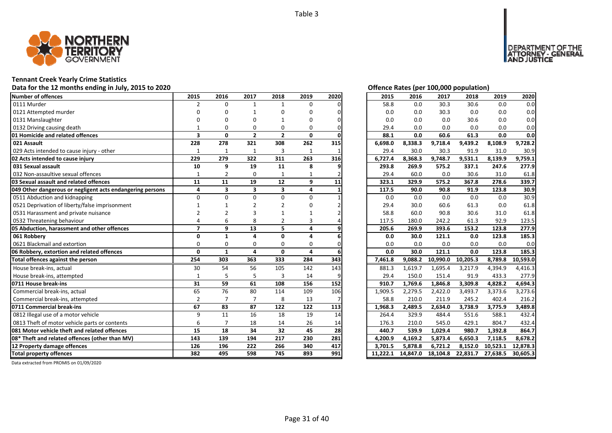

### **Tennant Creek Yearly Crime Statistics**

### **Data for the 12 months ending in July, 2015 to 2020 Offence Rates (per 100,000 population)**

| Number of offences                                        | 2015                    | 2016                    | 2017                    | 2018                    | 2019         | 2020 | 2015     | 2016     | 2017     | 2018     | 2019     | 2020     |
|-----------------------------------------------------------|-------------------------|-------------------------|-------------------------|-------------------------|--------------|------|----------|----------|----------|----------|----------|----------|
| 0111 Murder                                               | 2                       | $\Omega$                | $\mathbf{1}$            | $\mathbf{1}$            | $\Omega$     |      | 58.8     | 0.0      | 30.3     | 30.6     | 0.0      | 0.0      |
| 0121 Attempted murder                                     |                         |                         |                         | n                       | U            |      | 0.0      | 0.0      | 30.3     | 0.0      | 0.0      | 0.0      |
| 0131 Manslaughter                                         |                         |                         |                         |                         | በ            |      | 0.0      | 0.0      | 0.0      | 30.6     | 0.0      | 0.0      |
| 0132 Driving causing death                                |                         | O                       | $\Omega$                | $\Omega$                | 0            |      | 29.4     | 0.0      | 0.0      | 0.0      | 0.0      | 0.0      |
| 01 Homicide and related offences                          | $\overline{\mathbf{3}}$ | $\mathbf{0}$            | $\overline{2}$          | $\overline{2}$          | 0            |      | 88.1     | 0.0      | 60.6     | 61.3     | 0.0      | 0.0      |
| 021 Assault                                               | 228                     | 278                     | 321                     | 308                     | 262          | 315  | 6,698.0  | 8,338.3  | 9,718.4  | 9,439.2  | 8,108.9  | 9,728.2  |
| 029 Acts intended to cause injury - other                 | 1                       | $\mathbf{1}$            | $\mathbf{1}$            | 3                       | $\mathbf{1}$ |      | 29.4     | 30.0     | 30.3     | 91.9     | 31.0     | 30.9     |
| 02 Acts intended to cause injury                          | 229                     | 279                     | 322                     | 311                     | 263          | 316  | 6,727.4  | 8,368.3  | 9,748.7  | 9,531.1  | 8,139.9  | 9,759.1  |
| 031 Sexual assault                                        | 10                      | 9                       | 19                      | 11                      | 8            |      | 293.8    | 269.9    | 575.2    | 337.1    | 247.6    | 277.9    |
| 032 Non-assaultive sexual offences                        | $\mathbf{1}$            | $\overline{2}$          | 0                       | $\mathbf{1}$            |              |      | 29.4     | 60.0     | 0.0      | 30.6     | 31.0     | 61.8     |
| 03 Sexual assault and related offences                    | 11                      | 11                      | 19                      | 12                      | 9            | 11   | 323.1    | 329.9    | 575.2    | 367.8    | 278.6    | 339.7    |
| 049 Other dangerous or negligent acts endangering persons | 4                       | $\overline{\mathbf{3}}$ | $\overline{\mathbf{3}}$ | $\overline{\mathbf{3}}$ | 4            |      | 117.5    | 90.0     | 90.8     | 91.9     | 123.8    | 30.9     |
| 0511 Abduction and kidnapping                             | $\Omega$                | $\Omega$                | $\Omega$                | $\Omega$                | $\Omega$     |      | 0.0      | 0.0      | 0.0      | 0.0      | 0.0      | 30.9     |
| 0521 Deprivation of liberty/false imprisonment            |                         |                         |                         |                         | n            |      | 29.4     | 30.0     | 60.6     | 61.3     | 0.0      | 61.8     |
| 0531 Harassment and private nuisance                      |                         |                         |                         |                         |              |      | 58.8     | 60.0     | 90.8     | 30.6     | 31.0     | 61.8     |
| 0532 Threatening behaviour                                |                         | 6                       | 8                       | $\overline{2}$          |              |      | 117.5    | 180.0    | 242.2    | 61.3     | 92.9     | 123.5    |
| 05 Abduction, harassment and other offences               | $\overline{ }$          | 9                       | 13                      | 5                       | 4            |      | 205.6    | 269.9    | 393.6    | 153.2    | 123.8    | 277.9    |
| 061 Robberv                                               | $\Omega$                | 1                       | $\Delta$                | $\Omega$                | 4            |      | 0.0      | 30.0     | 121.1    | 0.0      | 123.8    | 185.3    |
| 0621 Blackmail and extortion                              | $\Omega$                | $\Omega$                | $\Omega$                | $\Omega$                | $\Omega$     | U    | 0.0      | 0.0      | 0.0      | 0.0      | 0.0      | 0.0      |
| 06 Robbery, extortion and related offences                | $\mathbf 0$             | $\mathbf{1}$            | 4                       | $\mathbf{0}$            | 4            |      | 0.0      | 30.0     | 121.1    | 0.0      | 123.8    | 185.3    |
| Total offences against the person                         | 254                     | 303                     | 363                     | 333                     | 284          | 343  | 7,461.8  | 9,088.2  | 10,990.0 | 10,205.3 | 8,789.8  | 10,593.0 |
| House break-ins, actual                                   | 30                      | 54                      | 56                      | 105                     | 142          | 143  | 881.3    | 1,619.7  | 1,695.4  | 3,217.9  | 4,394.9  | 4,416.3  |
| House break-ins, attempted                                | $\mathbf{1}$            | 5                       | 5                       | $\overline{3}$          | 14           |      | 29.4     | 150.0    | 151.4    | 91.9     | 433.3    | 277.9    |
| 0711 House break-ins                                      | 31                      | 59                      | 61                      | 108                     | 156          | 152  | 910.7    | 1,769.6  | 1,846.8  | 3,309.8  | 4,828.2  | 4,694.3  |
| Commercial break-ins, actual                              | 65                      | 76                      | 80                      | 114                     | 109          | 106  | 1,909.5  | 2,279.5  | 2,422.0  | 3,493.7  | 3,373.6  | 3,273.6  |
| Commercial break-ins, attempted                           | $\overline{2}$          |                         | $\overline{7}$          | 8                       | 13           |      | 58.8     | 210.0    | 211.9    | 245.2    | 402.4    | 216.2    |
| 0711 Commercial break-ins                                 | 67                      | 83                      | 87                      | 122                     | 122          | 113  | 1,968.3  | 2,489.5  | 2.634.0  | 3,738.9  | 3,775.9  | 3.489.8  |
| 0812 Illegal use of a motor vehicle                       | 9                       | 11                      | 16                      | 18                      | 19           | 14   | 264.4    | 329.9    | 484.4    | 551.6    | 588.1    | 432.4    |
| 0813 Theft of motor vehicle parts or contents             | 6                       | $\overline{7}$          | 18                      | 14                      | 26           | 14   | 176.3    | 210.0    | 545.0    | 429.1    | 804.7    | 432.4    |
| 081 Motor vehicle theft and related offences              | 15                      | 18                      | 34                      | 32                      | 45           | 28   | 440.7    | 539.9    | 1,029.4  | 980.7    | 1,392.8  | 864.7    |
| 08* Theft and related offences (other than MV)            | 143                     | 139                     | 194                     | 217                     | 230          | 281  | 4,200.9  | 4,169.2  | 5,873.4  | 6,650.3  | 7,118.5  | 8,678.2  |
| 12 Property damage offences                               | 126                     | 196                     | 222                     | 266                     | 340          | 417  | 3.701.5  | 5.878.8  | 6,721.2  | 8,152.0  | 10,523.1 | 12,878.3 |
| <b>Total property offences</b>                            | 382                     | 495                     | 598                     | 745                     | 893          | 991  | 11,222.1 | 14,847.0 | 18,104.8 | 22,831.7 | 27,638.5 | 30,605.3 |

DEPARTMENT OF THE<br>ATTORNEY - GENERAL ÜSTICE

| 2015     | 2016     | 2017     | 2018     | 2019     | 2020     |
|----------|----------|----------|----------|----------|----------|
| 58.8     | 0.0      | 30.3     | 30.6     | 0.0      | 0.0      |
| 0.0      | 0.0      | 30.3     | 0.0      | 0.0      | 0.0      |
| 0.0      | 0.0      | 0.0      | 30.6     | 0.0      | 0.0      |
| 29.4     | 0.0      | 0.0      | 0.0      | 0.0      | 0.0      |
| 88.1     | 0.0      | 60.6     | 61.3     | 0.0      | 0.0      |
| 6,698.0  | 8,338.3  | 9,718.4  | 9,439.2  | 8,108.9  | 9,728.2  |
| 29.4     | 30.0     | 30.3     | 91.9     | 31.0     | 30.9     |
| 6,727.4  | 8,368.3  | 9,748.7  | 9,531.1  | 8,139.9  | 9,759.1  |
| 293.8    | 269.9    | 575.2    | 337.1    | 247.6    | 277.9    |
| 29.4     | 60.0     | 0.0      | 30.6     | 31.0     | 61.8     |
| 323.1    | 329.9    | 575.2    | 367.8    | 278.6    | 339.7    |
| 117.5    | 90.0     | 90.8     | 91.9     | 123.8    | 30.9     |
| 0.0      | 0.0      | 0.0      | 0.0      | 0.0      | 30.9     |
| 29.4     | 30.0     | 60.6     | 61.3     | 0.0      | 61.8     |
| 58.8     | 60.0     | 90.8     | 30.6     | 31.0     | 61.8     |
| 117.5    | 180.0    | 242.2    | 61.3     | 92.9     | 123.5    |
| 205.6    | 269.9    | 393.6    | 153.2    | 123.8    | 277.9    |
| 0.0      | 30.0     | 121.1    | 0.0      | 123.8    | 185.3    |
| 0.0      | 0.0      | 0.0      | 0.0      | 0.0      | 0.0      |
| 0.0      | 30.0     | 121.1    | 0.0      | 123.8    | 185.3    |
| 7,461.8  | 9,088.2  | 10,990.0 | 10,205.3 | 8,789.8  | 10,593.0 |
| 881.3    | 1,619.7  | 1,695.4  | 3,217.9  | 4,394.9  | 4,416.3  |
| 29.4     | 150.0    | 151.4    | 91.9     | 433.3    | 277.9    |
| 910.7    | 1,769.6  | 1,846.8  | 3,309.8  | 4,828.2  | 4,694.3  |
| 1,909.5  | 2,279.5  | 2,422.0  | 3,493.7  | 3,373.6  | 3,273.6  |
| 58.8     | 210.0    | 211.9    | 245.2    | 402.4    | 216.2    |
| 1,968.3  | 2,489.5  | 2,634.0  | 3,738.9  | 3,775.9  | 3,489.8  |
| 264.4    | 329.9    | 484.4    | 551.6    | 588.1    | 432.4    |
| 176.3    | 210.0    | 545.0    | 429.1    | 804.7    | 432.4    |
| 440.7    | 539.9    | 1,029.4  | 980.7    | 1,392.8  | 864.7    |
| 4,200.9  | 4,169.2  | 5,873.4  | 6,650.3  | 7,118.5  | 8,678.2  |
| 3,701.5  | 5,878.8  | 6,721.2  | 8,152.0  | 10,523.1 | 12,878.3 |
| 11,222.1 | 14,847.0 | 18,104.8 | 22,831.7 | 27,638.5 | 30,605.3 |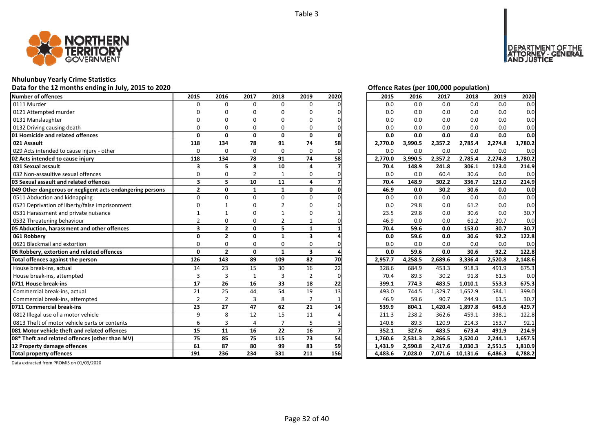

### **Nhulunbuy Yearly Crime Statistics**

### **Data for the 12 months ending in July, 2015 to 2020 Offence Rates (per 100,000 population)**

| Number of offences                                        | 2015                    | 2016           | 2017         | 2018           | 2019                    | 2020 | 2015    | 2016    | 2017    | 2018     | 2019    | 2020    |
|-----------------------------------------------------------|-------------------------|----------------|--------------|----------------|-------------------------|------|---------|---------|---------|----------|---------|---------|
| 0111 Murder                                               | O                       | $\Omega$       | $\Omega$     | 0              | $\Omega$                |      | 0.0     | 0.0     | 0.0     | 0.0      | 0.0     | 0.0     |
| 0121 Attempted murder                                     |                         |                | ŋ            | O              | U                       |      | 0.0     | 0.0     | 0.0     | 0.0      | 0.0     | 0.0     |
| 0131 Manslaughter                                         |                         |                |              |                | n                       |      | 0.0     | 0.0     | 0.0     | 0.0      | 0.0     | 0.0     |
| 0132 Driving causing death                                |                         | O              | O            | $\Omega$       | O                       |      | 0.0     | 0.0     | 0.0     | 0.0      | 0.0     | 0.0     |
| 01 Homicide and related offences                          | $\Omega$                | $\mathbf{0}$   | $\mathbf{0}$ | $\mathbf{0}$   | 0                       | U    | 0.0     | 0.0     | 0.0     | 0.0      | 0.0     | 0.0     |
| 021 Assault                                               | 118                     | 134            | 78           | 91             | 74                      | 58   | 2,770.0 | 3,990.5 | 2,357.2 | 2,785.4  | 2,274.8 | 1,780.2 |
| 029 Acts intended to cause injury - other                 | $\Omega$                | $\Omega$       | 0            | 0              | 0                       | ი    | 0.0     | 0.0     | 0.0     | 0.0      | 0.0     | 0.0     |
| 02 Acts intended to cause injury                          | 118                     | 134            | 78           | 91             | 74                      | 58   | 2,770.0 | 3,990.5 | 2,357.2 | 2,785.4  | 2,274.8 | 1,780.2 |
| 031 Sexual assault                                        | 3                       | 5              | 8            | 10             | 4                       |      | 70.4    | 148.9   | 241.8   | 306.1    | 123.0   | 214.9   |
| 032 Non-assaultive sexual offences                        | $\Omega$                | O              | 2            | 1              | 0                       |      | 0.0     | 0.0     | 60.4    | 30.6     | 0.0     | 0.0     |
| 03 Sexual assault and related offences                    | $\overline{\mathbf{3}}$ | 5              | 10           | 11             | 4                       |      | 70.4    | 148.9   | 302.2   | 336.7    | 123.0   | 214.9   |
| 049 Other dangerous or negligent acts endangering persons | $\mathbf{2}$            | 0              | $\mathbf{1}$ | $\mathbf{1}$   | 0                       |      | 46.9    | 0.0     | 30.2    | 30.6     | 0.0     | 0.0     |
| 0511 Abduction and kidnapping                             | $\Omega$                | $\Omega$       | $\Omega$     | $\Omega$       | $\Omega$                |      | 0.0     | 0.0     | 0.0     | 0.0      | 0.0     | 0.0     |
| 0521 Deprivation of liberty/false imprisonment            |                         |                |              |                | n                       |      | 0.0     | 29.8    | 0.0     | 61.2     | 0.0     | 0.0     |
| 0531 Harassment and private nuisance                      |                         |                |              |                |                         |      | 23.5    | 29.8    | 0.0     | 30.6     | 0.0     | 30.7    |
| 0532 Threatening behaviour                                |                         | O              | O            | 2              |                         |      | 46.9    | 0.0     | 0.0     | 61.2     | 30.7    | 0.0     |
| 05 Abduction, harassment and other offences               | $\overline{\mathbf{3}}$ | $\mathbf{2}$   | $\mathbf{0}$ | 5              | 1                       |      | 70.4    | 59.6    | 0.0     | 153.0    | 30.7    | 30.7    |
| 061 Robbery                                               | $\Omega$                | $\overline{2}$ | 0            | $\mathbf{1}$   | 3                       |      | 0.0     | 59.6    | 0.0     | 30.6     | 92.2    | 122.8   |
| 0621 Blackmail and extortion                              | O                       | $\Omega$       | $\Omega$     | $\Omega$       | $\Omega$                |      | 0.0     | 0.0     | 0.0     | 0.0      | 0.0     | 0.0     |
| 06 Robbery, extortion and related offences                | $\mathbf{0}$            | $\overline{2}$ | $\mathbf{0}$ | $\mathbf{1}$   | $\overline{\mathbf{3}}$ |      | 0.0     | 59.6    | 0.0     | 30.6     | 92.2    | 122.8   |
| Total offences against the person                         | 126                     | 143            | 89           | 109            | 82                      | 70   | 2,957.7 | 4,258.5 | 2,689.6 | 3,336.4  | 2,520.8 | 2,148.6 |
| House break-ins, actual                                   | 14                      | 23             | 15           | 30             | 16                      | 22   | 328.6   | 684.9   | 453.3   | 918.3    | 491.9   | 675.3   |
| House break-ins, attempted                                | 3                       | 3              | $\mathbf{1}$ | 3              | $\overline{2}$          |      | 70.4    | 89.3    | 30.2    | 91.8     | 61.5    | 0.0     |
| 0711 House break-ins                                      | 17                      | 26             | 16           | 33             | 18                      | 22   | 399.1   | 774.3   | 483.5   | 1,010.1  | 553.3   | 675.3   |
| Commercial break-ins, actual                              | 21                      | 25             | 44           | 54             | 19                      | 13   | 493.0   | 744.5   | 1,329.7 | 1,652.9  | 584.1   | 399.0   |
| Commercial break-ins, attempted                           | $\overline{2}$          | $\overline{2}$ | 3            | 8              | $\overline{2}$          |      | 46.9    | 59.6    | 90.7    | 244.9    | 61.5    | 30.7    |
| 0711 Commercial break-ins                                 | 23                      | 27             | 47           | 62             | 21                      | 14   | 539.9   | 804.1   | 1.420.4 | 1,897.8  | 645.6   | 429.7   |
| 0812 Illegal use of a motor vehicle                       | $\mathbf{q}$            | 8              | 12           | 15             | 11                      |      | 211.3   | 238.2   | 362.6   | 459.1    | 338.1   | 122.8   |
| 0813 Theft of motor vehicle parts or contents             | 6                       | 3              | 4            | $\overline{7}$ | 5                       |      | 140.8   | 89.3    | 120.9   | 214.3    | 153.7   | 92.1    |
| <b>1081 Motor vehicle theft and related offences</b>      | 15                      | 11             | 16           | 22             | 16                      |      | 352.1   | 327.6   | 483.5   | 673.4    | 491.9   | 214.9   |
| 08* Theft and related offences (other than MV)            | 75                      | 85             | 75           | 115            | 73                      | 54   | 1,760.6 | 2,531.3 | 2,266.5 | 3,520.0  | 2,244.1 | 1,657.5 |
| 12 Property damage offences                               | 61                      | 87             | 80           | 99             | 83                      | 59   | 1,431.9 | 2,590.8 | 2,417.6 | 3,030.3  | 2,551.5 | 1,810.9 |
| <b>Total property offences</b>                            | 191                     | 236            | 234          | 331            | 211                     | 156  | 4,483.6 | 7,028.0 | 7,071.6 | 10,131.6 | 6,486.3 | 4,788.2 |

DEPARTMENT OF THE<br>ATTORNEY - GENERAL ÜŠTICE

| 2015    | 2016    | 2017    | 2018     | 2019    | 2020    |
|---------|---------|---------|----------|---------|---------|
| 0.0     | 0.0     | 0.0     | 0.0      | 0.0     | 0.0     |
| 0.0     | 0.0     | 0.0     | 0.0      | 0.0     | 0.0     |
| 0.0     | 0.0     | 0.0     | 0.0      | 0.0     | 0.0     |
| 0.0     | 0.0     | 0.0     | 0.0      | 0.0     | 0.0     |
| 0.0     | 0.0     | 0.0     | 0.0      | 0.0     | 0.0     |
| 2,770.0 | 3,990.5 | 2,357.2 | 2,785.4  | 2,274.8 | 1,780.2 |
| 0.0     | 0.0     | 0.0     | 0.0      | 0.0     | 0.0     |
| 2,770.0 | 3,990.5 | 2,357.2 | 2,785.4  | 2,274.8 | 1,780.2 |
| 70.4    | 148.9   | 241.8   | 306.1    | 123.0   | 214.9   |
| 0.0     | 0.0     | 60.4    | 30.6     | 0.0     | 0.0     |
| 70.4    | 148.9   | 302.2   | 336.7    | 123.0   | 214.9   |
| 46.9    | 0.0     | 30.2    | 30.6     | 0.0     | 0.0     |
| 0.0     | 0.0     | 0.0     | 0.0      | 0.0     | 0.0     |
| 0.0     | 29.8    | 0.0     | 61.2     | 0.0     | 0.0     |
| 23.5    | 29.8    | 0.0     | 30.6     | 0.0     | 30.7    |
| 46.9    | 0.0     | 0.0     | 61.2     | 30.7    | 0.0     |
| 70.4    | 59.6    | 0.0     | 153.0    | 30.7    | 30.7    |
| 0.0     | 59.6    | 0.0     | 30.6     | 92.2    | 122.8   |
| 0.0     | 0.0     | 0.0     | 0.0      | 0.0     | 0.0     |
| 0.0     | 59.6    | 0.0     | 30.6     | 92.2    | 122.8   |
| 2,957.7 | 4,258.5 | 2,689.6 | 3,336.4  | 2,520.8 | 2,148.6 |
| 328.6   | 684.9   | 453.3   | 918.3    | 491.9   | 675.3   |
| 70.4    | 89.3    | 30.2    | 91.8     | 61.5    | 0.0     |
| 399.1   | 774.3   | 483.5   | 1,010.1  | 553.3   | 675.3   |
| 493.0   | 744.5   | 1,329.7 | 1,652.9  | 584.1   | 399.0   |
| 46.9    | 59.6    | 90.7    | 244.9    | 61.5    | 30.7    |
| 539.9   | 804.1   | 1,420.4 | 1,897.8  | 645.6   | 429.7   |
| 211.3   | 238.2   | 362.6   | 459.1    | 338.1   | 122.8   |
| 140.8   | 89.3    | 120.9   | 214.3    | 153.7   | 92.1    |
| 352.1   | 327.6   | 483.5   | 673.4    | 491.9   | 214.9   |
| 1,760.6 | 2,531.3 | 2,266.5 | 3,520.0  | 2,244.1 | 1,657.5 |
| 1,431.9 | 2,590.8 | 2,417.6 | 3,030.3  | 2,551.5 | 1,810.9 |
| 4,483.6 | 7,028.0 | 7,071.6 | 10,131.6 | 6,486.3 | 4,788.2 |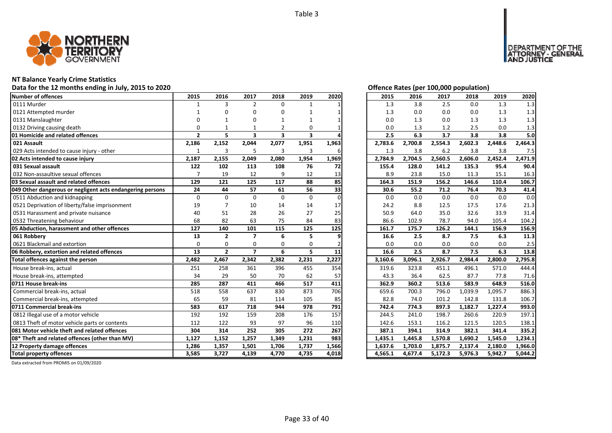

# **NT Balance Yearly Crime Statistics**

# Data for the 12 months ending in July, 2015 to 2020 *Data for the 12 months ending in July, 2015 to 2020 Offence Rates (per 100,000 population)*

| Number of offences                                        | 2015           | 2016           | 2017                    | 2018                    | 2019                    | 2020  | 2015    | 2016    | 2017    | 2018    | 2019    | 2020    |
|-----------------------------------------------------------|----------------|----------------|-------------------------|-------------------------|-------------------------|-------|---------|---------|---------|---------|---------|---------|
| 0111 Murder                                               | 1              | 3              | $\overline{2}$          | 0                       |                         |       | 1.3     | 3.8     | 2.5     | 0.0     | 1.3     | 1.3     |
| 0121 Attempted murder                                     |                |                | O                       | O                       |                         |       | 1.3     | 0.0     | 0.0     | 0.0     | 1.3     | 1.3     |
| 0131 Manslaughter                                         |                |                | ŋ                       |                         |                         |       | 0.0     | 1.3     | 0.0     | 1.3     | 1.3     | 1.3     |
| 0132 Driving causing death                                | $\Omega$       |                |                         |                         | 0                       |       | 0.0     | 1.3     | 1.2     | 2.5     | 0.0     | 1.3     |
| 01 Homicide and related offences                          | $\overline{2}$ | 5              | $\overline{\mathbf{3}}$ | $\overline{\mathbf{3}}$ | $\overline{\mathbf{3}}$ |       | 2.5     | 6.3     | 3.7     | 3.8     | 3.8     | 5.0     |
| 021 Assault                                               | 2,186          | 2,152          | 2,044                   | 2,077                   | 1,951                   | 1,963 | 2,783.6 | 2,700.8 | 2,554.3 | 2,602.3 | 2,448.6 | 2,464.3 |
| 029 Acts intended to cause injury - other                 | 1              | 3              | 5                       | 3                       | 3                       | 6     | 1.3     | 3.8     | 6.2     | 3.8     | 3.8     | 7.5     |
| 02 Acts intended to cause injury                          | 2,187          | 2,155          | 2,049                   | 2,080                   | 1,954                   | 1,969 | 2,784.9 | 2,704.5 | 2,560.5 | 2,606.0 | 2,452.4 | 2,471.9 |
| 031 Sexual assault                                        | 122            | 102            | 113                     | 108                     | 76                      | 72    | 155.4   | 128.0   | 141.2   | 135.3   | 95.4    | 90.4    |
| 032 Non-assaultive sexual offences                        |                | 19             | 12                      | 9                       | 12                      | 13    | 8.9     | 23.8    | 15.0    | 11.3    | 15.1    | 16.3    |
| 03 Sexual assault and related offences                    | 129            | 121            | 125                     | 117                     | 88                      | 85    | 164.3   | 151.9   | 156.2   | 146.6   | 110.4   | 106.7   |
| 049 Other dangerous or negligent acts endangering persons | 24             | 44             | 57                      | 61                      | 56                      | 33    | 30.6    | 55.2    | 71.2    | 76.4    | 70.3    | 41.4    |
| 0511 Abduction and kidnapping                             | $\Omega$       | $\Omega$       | $\Omega$                | $\Omega$                | $\Omega$                | 0     | 0.0     | 0.0     | 0.0     | 0.0     | 0.0     | 0.0     |
| 0521 Deprivation of liberty/false imprisonment            | 19             |                | 10                      | 14                      | 14                      | 17    | 24.2    | 8.8     | 12.5    | 17.5    | 17.6    | 21.3    |
| 0531 Harassment and private nuisance                      | 40             | 51             | 28                      | 26                      | 27                      | 25    | 50.9    | 64.0    | 35.0    | 32.6    | 33.9    | 31.4    |
| 0532 Threatening behaviour                                | 68             | 82             | 63                      | 75                      | 84                      | 83    | 86.6    | 102.9   | 78.7    | 94.0    | 105.4   | 104.2   |
| 05 Abduction, harassment and other offences               | 127            | 140            | 101                     | 115                     | 125                     | 125   | 161.7   | 175.7   | 126.2   | 144.1   | 156.9   | 156.9   |
| 061 Robbery                                               | 13             | $\overline{2}$ | $\overline{\mathbf{z}}$ | 6                       | 5                       |       | 16.6    | 2.5     | 8.7     | 7.5     | 6.3     | 11.3    |
| 0621 Blackmail and extortion                              | $\Omega$       | $\Omega$       | $\Omega$                | $\Omega$                | $\Omega$                |       | 0.0     | 0.0     | 0.0     | 0.0     | 0.0     | 2.5     |
| 06 Robbery, extortion and related offences                | 13             | $\overline{2}$ | $\overline{7}$          | 6                       | 5                       | 11    | 16.6    | 2.5     | 8.7     | 7.5     | 6.3     | 13.8    |
| Total offences against the person                         | 2,482          | 2,467          | 2,342                   | 2,382                   | 2,231                   | 2,227 | 3,160.6 | 3,096.1 | 2,926.7 | 2,984.4 | 2,800.0 | 2,795.8 |
| House break-ins, actual                                   | 251            | 258            | 361                     | 396                     | 455                     | 354   | 319.6   | 323.8   | 451.1   | 496.1   | 571.0   | 444.4   |
| House break-ins, attempted                                | 34             | 29             | 50                      | 70                      | 62                      | 57    | 43.3    | 36.4    | 62.5    | 87.7    | 77.8    | 71.6    |
| 0711 House break-ins                                      | 285            | 287            | 411                     | 466                     | 517                     | 411   | 362.9   | 360.2   | 513.6   | 583.9   | 648.9   | 516.0   |
| Commercial break-ins, actual                              | 518            | 558            | 637                     | 830                     | 873                     | 706   | 659.6   | 700.3   | 796.0   | 1,039.9 | 1,095.7 | 886.3   |
| Commercial break-ins, attempted                           | 65             | 59             | 81                      | 114                     | 105                     | 85    | 82.8    | 74.0    | 101.2   | 142.8   | 131.8   | 106.7   |
| 0711 Commercial break-ins                                 | 583            | 617            | 718                     | 944                     | 978                     | 791   | 742.4   | 774.3   | 897.3   | 1,182.7 | 1,227.4 | 993.0   |
| 0812 Illegal use of a motor vehicle                       | 192            | 192            | 159                     | 208                     | 176                     | 157   | 244.5   | 241.0   | 198.7   | 260.6   | 220.9   | 197.1   |
| 0813 Theft of motor vehicle parts or contents             | 112            | 122            | 93                      | 97                      | 96                      | 110   | 142.6   | 153.1   | 116.2   | 121.5   | 120.5   | 138.1   |
| 081 Motor vehicle theft and related offences              | 304            | 314            | 252                     | 305                     | 272                     | 267   | 387.1   | 394.1   | 314.9   | 382.1   | 341.4   | 335.2   |
| 08* Theft and related offences (other than MV)            | 1,127          | 1,152          | 1,257                   | 1,349                   | 1,231                   | 983   | 1,435.1 | 1,445.8 | 1,570.8 | 1,690.2 | 1,545.0 | 1,234.1 |
| 12 Property damage offences                               | 1,286          | 1,357          | 1,501                   | 1,706                   | 1,737                   | 1,566 | 1,637.6 | 1,703.0 | 1,875.7 | 2,137.4 | 2,180.0 | 1,966.0 |
| <b>Total property offences</b>                            | 3,585          | 3,727          | 4,139                   | 4,770                   | 4,735                   | 4,018 | 4,565.1 | 4,677.4 | 5,172.3 | 5,976.3 | 5,942.7 | 5,044.2 |

DEPARTMENT OF THE<br>ATTORNEY - GENERAL<br>AND JUSTICE

| 2015    | 2016    | 2017    | 2018    | 2019    | 2020    |
|---------|---------|---------|---------|---------|---------|
| 1.3     | 3.8     | 2.5     | 0.0     | 1.3     | 1.3     |
| 1.3     | 0.0     | 0.0     | 0.0     | 1.3     | 1.3     |
| 0.0     | 1.3     | 0.0     | 1.3     | 1.3     | 1.3     |
| 0.0     | 1.3     | 1.2     | 2.5     | 0.0     | 1.3     |
| 2.5     | 6.3     | 3.7     | 3.8     | 3.8     | 5.0     |
| 2,783.6 | 2,700.8 | 2,554.3 | 2,602.3 | 2,448.6 | 2,464.3 |
| 1.3     | 3.8     | 6.2     | 3.8     | 3.8     | 7.5     |
| 2,784.9 | 2,704.5 | 2,560.5 | 2,606.0 | 2,452.4 | 2,471.9 |
| 155.4   | 128.0   | 141.2   | 135.3   | 95.4    | 90.4    |
| 8.9     | 23.8    | 15.0    | 11.3    | 15.1    | 16.3    |
| 164.3   | 151.9   | 156.2   | 146.6   | 110.4   | 106.7   |
| 30.6    | 55.2    | 71.2    | 76.4    | 70.3    | 41.4    |
| 0.0     | 0.0     | 0.0     | 0.0     | 0.0     | 0.0     |
| 24.2    | 8.8     | 12.5    | 17.5    | 17.6    | 21.3    |
| 50.9    | 64.0    | 35.0    | 32.6    | 33.9    | 31.4    |
| 86.6    | 102.9   | 78.7    | 94.0    | 105.4   | 104.2   |
| 161.7   | 175.7   | 126.2   | 144.1   | 156.9   | 156.9   |
| 16.6    | 2.5     | 8.7     | 7.5     | 6.3     | 11.3    |
| 0.0     | 0.0     | 0.0     | 0.0     | 0.0     | 2.5     |
| 16.6    | 2.5     | 8.7     | 7.5     | 6.3     | 13.8    |
| 3,160.6 | 3,096.1 | 2,926.7 | 2,984.4 | 2,800.0 | 2,795.8 |
| 319.6   | 323.8   | 451.1   | 496.1   | 571.0   | 444.4   |
| 43.3    | 36.4    | 62.5    | 87.7    | 77.8    | 71.6    |
| 362.9   | 360.2   | 513.6   | 583.9   | 648.9   | 516.0   |
| 659.6   | 700.3   | 796.0   | 1,039.9 | 1,095.7 | 886.3   |
| 82.8    | 74.0    | 101.2   | 142.8   | 131.8   | 106.7   |
| 742.4   | 774.3   | 897.3   | 1,182.7 | 1,227.4 | 993.0   |
| 244.5   | 241.0   | 198.7   | 260.6   | 220.9   | 197.1   |
| 142.6   | 153.1   | 116.2   | 121.5   | 120.5   | 138.1   |
| 387.1   | 394.1   | 314.9   | 382.1   | 341.4   | 335.2   |
| 1,435.1 | 1,445.8 | 1,570.8 | 1,690.2 | 1,545.0 | 1,234.1 |
| 1,637.6 | 1,703.0 | 1,875.7 | 2,137.4 | 2,180.0 | 1,966.0 |
| 4,565.1 | 4,677.4 | 5,172.3 | 5,976.3 | 5,942.7 | 5,044.2 |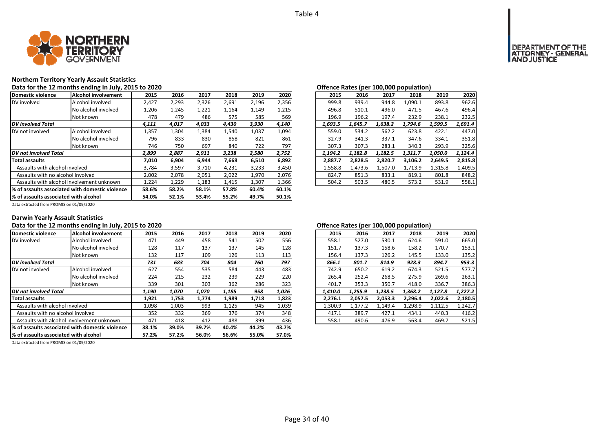

# **Northern Territory Yearly Assault Statistics**

Data for the 12 months ending in July, 2015 to 2020 *Data for the U.S. Community Community Community Community Community Community Community Community Community Community Community Community Community Community Community* 

| Domestic violence                     | Alcohol involvement                              | 2015  | 2016  | 2017  | 2018  | 2019  | 2020  | 2015    | 2016    | 2017    | 2018    | 2019    | 2020    |
|---------------------------------------|--------------------------------------------------|-------|-------|-------|-------|-------|-------|---------|---------|---------|---------|---------|---------|
| DV involved                           | Alcohol involved                                 | 2,427 | 2,293 | 2,326 | 2,691 | 2,196 | 2,356 | 999.8   | 939.4   | 944.8   | 1,090.1 | 893.8   | 962.6   |
|                                       | No alcohol involved                              | 1,206 | 1,245 | 1,221 | 1,164 | 1,149 | 1,215 | 496.8   | 510.1   | 496.0   | 471.5   | 467.6   | 496.4   |
|                                       | Not known                                        | 478   | 479   | 486   | 575   | 585   | 569   | 196.9   | 196.2   | 197.4   | 232.9   | 238.1   | 232.5   |
| <b>DV</b> involved Total              |                                                  | 4,111 | 4,017 | 4,033 | 4,430 | 3,930 | 4,140 | 1,693.5 | 1,645.7 | 1,638.2 | 1,794.6 | 1,599.5 | 1,691.4 |
| DV not involved                       | Alcohol involved                                 | 1,357 | 1,304 | 1,384 | 1,540 | 1,037 | 1,094 | 559.0   | 534.2   | 562.2   | 623.8   | 422.1   | 447.0   |
|                                       | No alcohol involved                              | 796   | 833   | 830   | 858   | 821   | 861   | 327.9   | 341.3   | 337.1   | 347.6   | 334.1   | 351.8   |
|                                       | Not known                                        | 746   | 750   | 697   | 840   | 722   | 797   | 307.3   | 307.3   | 283.1   | 340.3   | 293.9   | 325.6   |
| DV not involved Total                 |                                                  | 2,899 | 2,887 | 2,911 | 3,238 | 2,580 | 2,752 | 1,194.2 | 1,182.8 | 1,182.5 | 1,311.7 | 1,050.0 | 1,124.4 |
| <b>Total assaults</b>                 |                                                  | 7,010 | 6,904 | 6,944 | 7,668 | 6,510 | 6,892 | 2.887.7 | 2,828.5 | 2.820.7 | 3,106.2 | 2,649.5 | 2,815.8 |
| Assaults with alcohol involved        |                                                  | 3,784 | 3,597 | 3,710 | 4,231 | 3,233 | 3,450 | 1,558.8 | 1,473.6 | 1,507.0 | 1,713.9 | 1,315.8 | 1,409.5 |
| Assaults with no alcohol involved     |                                                  | 2,002 | 2,078 | 2,051 | 2,022 | 1,970 | 2,076 | 824.7   | 851.3   | 833.1   | 819.1   | 801.8   | 848.2   |
|                                       | Assaults with alcohol involvement unknown        | 1,224 | 1,229 | 1,183 | 1,415 | 1,307 | 1,366 | 504.2   | 503.5   | 480.5   | 573.2   | 531.9   | 558.1   |
|                                       | 1% of assaults associated with domestic violence | 58.6% | 58.2% | 58.1% | 57.8% | 60.4% | 60.1% |         |         |         |         |         |         |
| % of assaults associated with alcohol |                                                  | 54.0% | 52.1% | 53.4% | 55.2% | 49.7% | 50.1% |         |         |         |         |         |         |

| יטווכוונכ וזמנכט נפכו |         |         |         |                    |
|-----------------------|---------|---------|---------|--------------------|
| 2016                  | 2017    | 2018    | 2019    | 2020               |
| 939.4                 | 944.8   | 1.090.1 | 893.8   | 962.6              |
| 510.1                 | 496.0   | 471.5   | 467.6   | 496.4              |
| 196.2                 | 197.4   | 232.9   | 238.1   | 232.5              |
| 1.645.7               | 1.638.2 | 1.794.6 | 1.599.5 | 1.691.4            |
| 534.2                 | 562.2   | 623.8   | 422.1   | 447.0              |
| 341.3                 | 337.1   | 347.6   | 334.1   | 351.8              |
| 307.3                 | 283.1   | 340.3   | 293.9   | 325.6              |
| 1.182.8               | 1.182.5 | 1.311.7 | 1,050.0 | 1,124.4            |
| 2,828.5               | 2,820.7 | 3,106.2 | 2,649.5 | 2,815.8            |
| 1.473.6               | 1,507.0 | 1,713.9 | 1,315.8 | 1,409.5            |
| 851.3                 | 833.1   | 819.1   | 801.8   | 848.2              |
| 503.5                 | 480.5   | 573.2   | 531.9   | 558.1              |
|                       |         |         |         | TAA'YAA KARAIGUULI |

Data extracted from PROMIS on 01/09/2020

# **Darwin Yearly Assault Statistics**

# Data for the 12 months ending in July, 2015 to 2020<br> **Data for the 12 months ending in July, 2015 to 2020**

| Domestic violence                     | Alcohol involvement                              | 2015  | 2016  | 2017  | 2018  | 2019  | 2020  | 2015    | 2016    | 2017    | 2018    | 2019    | 2020    |
|---------------------------------------|--------------------------------------------------|-------|-------|-------|-------|-------|-------|---------|---------|---------|---------|---------|---------|
| DV involved                           | Alcohol involved                                 | 471   | 449   | 458   | 541   | 502   | 556   | 558.1   | 527.0   | 530.1   | 624.6   | 591.0   | 665.0   |
|                                       | No alcohol involved                              | 128   | 117   | 137   | 137   | 145   | 128   | 151.7   | 137.3   | 158.6   | 158.2   | 170.7   | 153.1   |
|                                       | Not known                                        | 132   | 117   | 109   | 126   | 113   | 113   | 156.4   | 137.3   | 126.2   | 145.5   | 133.0   | 135.2   |
| <b>DV</b> involved Total              |                                                  | 731   | 683   | 704   | 804   | 760   | 797   | 866.1   | 801.7   | 814.9   | 928.3   | 894.7   | 953.3   |
| DV not involved                       | Alcohol involved                                 | 627   | 554   | 535   | 584   | 443   | 483   | 742.9   | 650.2   | 619.2   | 674.3   | 521.5   | 577.7   |
|                                       | No alcohol involved                              | 224   | 215   | 232   | 239   | 229   | 220   | 265.4   | 252.4   | 268.5   | 275.9   | 269.6   | 263.1   |
|                                       | Not known                                        | 339   | 301   | 303   | 362   | 286   | 323   | 401.7   | 353.3   | 350.7   | 418.0   | 336.7   | 386.3   |
| DV not involved Total                 |                                                  | 1,190 | 1,070 | 1,070 | 1,185 | 958   | 1,026 | 1.410.0 | 1,255.9 | 1,238.5 | 1,368.2 | 1,127.8 | 1,227.2 |
| <b>Total assaults</b>                 |                                                  | 1,921 | 1,753 | 1,774 | 1,989 | 1,718 | 1,823 | 2,276.1 | 2,057.5 | 2.053.3 | 2,296.4 | 2.022.6 | 2,180.5 |
| Assaults with alcohol involved        |                                                  | 1,098 | 1,003 | 993   | 1,125 | 945   | 1,039 | 1,300.9 | 1,177.2 | 1,149.4 | 1,298.9 | 1,112.5 | 1,242.7 |
| Assaults with no alcohol involved     |                                                  | 352   | 332   | 369   | 376   | 374   | 348   | 417.1   | 389.7   | 427.1   | 434.1   | 440.3   | 416.2   |
|                                       | Assaults with alcohol involvement unknown        | 471   | 418   | 412   | 488   | 399   | 436   | 558.1   | 490.6   | 476.9   | 563.4   | 469.7   | 521.5   |
|                                       | 1% of assaults associated with domestic violence | 38.1% | 39.0% | 39.7% | 40.4% | 44.2% | 43.7% |         |         |         |         |         |         |
| % of assaults associated with alcohol |                                                  | 57.2% | 57.2% | 56.0% | 56.6% | 55.0% | 57.0% |         |         |         |         |         |         |
|                                       |                                                  |       |       |       |       |       |       |         |         |         |         |         |         |

Data extracted from PROMIS on 01/09/2020

| 2016    | 2017    | 2018    | 2019    | 2020    |
|---------|---------|---------|---------|---------|
| 527.0   | 530.1   | 624.6   | 591.0   | 665.0   |
| 137.3   | 158.6   | 158.2   | 170.7   | 153.1   |
| 137.3   | 126.2   | 145.5   | 133.0   | 135.2   |
| 801.7   | 814.9   | 928.3   | 894.7   | 953.3   |
| 650.2   | 619.2   | 674.3   | 521.5   | 577.7   |
| 252.4   | 268.5   | 275.9   | 269.6   | 263.1   |
| 353.3   | 350.7   | 418.0   | 336.7   | 386.3   |
| 1,255.9 | 1,238.5 | 1,368.2 | 1,127.8 | 1,227.2 |
| 2.057.5 | 2.053.3 | 2.296.4 | 2.022.6 | 2.180.5 |
| 1,177.2 | 1.149.4 | 1.298.9 | 1,112.5 | 1,242.7 |
| 389.7   | 427.1   | 434.1   | 440.3   | 416.2   |
| 490.6   | 476.9   | 563.4   | 469.7   | 521.5   |
|         |         |         |         |         |

# **OF THE**<br>GENERAL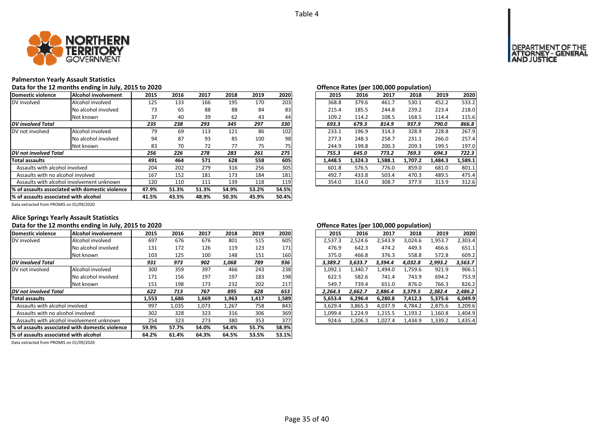

# **Palmerston Yearly Assault Statistics**

# Data for the 12 months ending in July, 2015 to 2020 *Data for the U.S. Community Community Community Community Community Community Community Community Community Community Community Community Community Community Community*

| Domestic violence                     | Alcohol involvement                              | 2015  | 2016  | 2017  | 2018  | 2019  | 2020  | 2015    | 2016    | 2017    | 2018    | 2019    | 2020    |
|---------------------------------------|--------------------------------------------------|-------|-------|-------|-------|-------|-------|---------|---------|---------|---------|---------|---------|
| DV involved                           | Alcohol involved                                 | 125   | 133   | 166   | 195   | 170   | 203   | 368.8   | 379.6   | 461.7   | 530.1   | 452.2   | 533.2   |
|                                       | No alcohol involved                              | 73    | 65    | 88    | 88    | 84    | 83    | 215.4   | 185.5   | 244.8   | 239.2   | 223.4   | 218.0   |
|                                       | Not known                                        | 37    | 40    | 39    | 62    | 43    | 44    | 109.2   | 114.2   | 108.5   | 168.5   | 114.4   | 115.6   |
| <b>DV</b> involved Total              |                                                  | 235   | 238   | 293   | 345   | 297   | 330   | 693.3   | 679.3   | 814.9   | 937.9   | 790.0   | 866.8   |
| DV not involved                       | Alcohol involved                                 | 79    | 69    | 113   | 121   | 86    | 102   | 233.1   | 196.9   | 314.3   | 328.9   | 228.8   | 267.9   |
|                                       | No alcohol involved                              | 94    | 87    | 93    | 85    | 100   | 98    | 277.3   | 248.3   | 258.7   | 231.1   | 266.0   | 257.4   |
|                                       | Not known                                        | 83    | 70    | 72    | 77    | 75    | 75    | 244.9   | 199.8   | 200.3   | 209.3   | 199.5   | 197.0   |
| DV not involved Total                 |                                                  | 256   | 226   | 278   | 283   | 261   | 275   | 755.3   | 645.0   | 773.2   | 769.3   | 694.3   | 722.3   |
| <b>Total assaults</b>                 |                                                  | 491   | 464   | 571   | 628   | 558   | 605   | 1,448.5 | 1,324.3 | 1,588.1 | 1,707.2 | 1,484.3 | 1,589.1 |
| Assaults with alcohol involved        |                                                  | 204   | 202   | 279   | 316   | 256   | 305   | 601.8   | 576.5   | 776.0   | 859.0   | 681.0   | 801.1   |
| Assaults with no alcohol involved     |                                                  | 167   | 152   | 181   | 173   | 184   | 181   | 492.7   | 433.8   | 503.4   | 470.3   | 489.5   | 475.4   |
|                                       | Assaults with alcohol involvement unknown        | 120   | 110   | 111   | 139   | 118   | 119   | 354.0   | 314.0   | 308.7   | 377.9   | 313.9   | 312.6   |
|                                       | 1% of assaults associated with domestic violence | 47.9% | 51.3% | 51.3% | 54.9% | 53.2% | 54.5% |         |         |         |         |         |         |
| % of assaults associated with alcohol |                                                  | 41.5% | 43.5% | 48.9% | 50.3% | 45.9% | 50.4% |         |         |         |         |         |         |

|                 |      |      |      |      |      |         | $\mathbf{r}$ |         |         |         |         |
|-----------------|------|------|------|------|------|---------|--------------|---------|---------|---------|---------|
| 5               | 2016 | 2017 | 2018 | 2019 | 2020 | 2015    | 2016         | 2017    | 2018    | 2019    | 2020    |
| :5              | 133  | 166  | 195  | 170  | 203  | 368.8   | 379.6        | 461.7   | 530.1   | 452.2   | 533.2   |
| '3              | 65   | 88   | 88   | 84   | 83   | 215.4   | 185.5        | 244.8   | 239.2   | 223.4   | 218.0   |
| 17              | 40   | 39   | 62   | 43   | 44   | 109.2   | 114.2        | 108.5   | 168.5   | 114.4   | 115.6   |
| 5               | 238  | 293  | 345  | 297  | 330  | 693.3   | 679.3        | 814.9   | 937.9   | 790.0   | 866.8   |
| 7g              | 69   | 113  | 121  | 86   | 102  | 233.1   | 196.9        | 314.3   | 328.9   | 228.8   | 267.9   |
| 14              | 87   | 93   | 85   | 100  | 98   | 277.3   | 248.3        | 258.7   | 231.1   | 266.0   | 257.4   |
| ١З              | 70   | 72   | 77   | 75   | 75   | 244.9   | 199.8        | 200.3   | 209.3   | 199.5   | 197.0   |
| 6               | 226  | 278  | 283  | 261  | 275  | 755.3   | 645.0        | 773.2   | 769.3   | 694.3   | 722.3   |
| $1\phantom{.0}$ | 464  | 571  | 628  | 558  | 605  | 1.448.5 | 1.324.3      | 1.588.1 | 1.707.2 | 1.484.3 | 1,589.1 |
| 14              | 202  | 279  | 316  | 256  | 305  | 601.8   | 576.5        | 776.0   | 859.0   | 681.0   | 801.1   |
|                 | 152  | 181  | 173  | 184  | 181  | 492.7   | 433.8        | 503.4   | 470.3   | 489.5   | 475.4   |
| 0؛              | 110  | 111  | 139  | 118  | 119  | 354.0   | 314.0        | 308.7   | 377.9   | 313.9   | 312.6   |
|                 |      |      |      |      |      |         |              |         |         |         |         |

Data extracted from PROMIS on 01/09/2020

# **Alice Springs Yearly Assault Statistics**

# Data for the 12 months ending in July, 2015 to 2020 *Data for the 12 months ending in July, 2015 to 2020 Offence Rates (per 100,000 population)*

| Domestic violence                     | Alcohol involvement                             | 2015  | 2016  | 2017  | 2018  | 2019  | 2020  | 2015    | 2016    | 2017    | 2018    | 2019    | 2020    |
|---------------------------------------|-------------------------------------------------|-------|-------|-------|-------|-------|-------|---------|---------|---------|---------|---------|---------|
| DV involved                           | Alcohol involved                                | 697   | 676   | 676   | 801   | 515   | 605   | 2,537.3 | 2,524.6 | 2,543.9 | 3,024.6 | 1,953.7 | 2,303.4 |
|                                       | No alcohol involved                             | 131   | 172   | 126   | 119   | 123   | 171   | 476.9   | 642.3   | 474.2   | 449.3   | 466.6   | 651.1   |
|                                       | Not known                                       | 103   | 125   | 100   | 148   | 151   | 160   | 375.0   | 466.8   | 376.3   | 558.8   | 572.8   | 609.2   |
| <b>DV</b> involved Total              |                                                 | 931   | 973   | 902   | 1,068 | 789   | 936   | 3,389.2 | 3,633.7 | 3,394.4 | 4,032.8 | 2,993.2 | 3,563.7 |
| DV not involved                       | Alcohol involved                                | 300   | 359   | 397   | 466   | 243   | 238   | 1,092.1 | 1,340.7 | 1,494.0 | 1,759.6 | 921.9   | 906.1   |
|                                       | No alcohol involved                             | 171   | 156   | 197   | 197   | 183   | 198   | 622.5   | 582.6   | 741.4   | 743.9   | 694.2   | 753.9   |
|                                       | Not known                                       | 151   | 198   | 173   | 232   | 202   | 217   | 549.7   | 739.4   | 651.0   | 876.0   | 766.3   | 826.2   |
| DV not involved Total                 |                                                 | 622   | 713   | 767   | 895   | 628   | 653   | 2.264.3 | 2.662.7 | 2.886.4 | 3,379.5 | 2,382.4 | 2,486.2 |
| <b>Total assaults</b>                 |                                                 | 1,553 | 1,686 | 1,669 | 1,963 | 1,417 | 1,589 | 5,653.4 | 6,296.4 | 6,280.8 | 7,412.3 | 5,375.6 | 6,049.9 |
| Assaults with alcohol involved        |                                                 | 997   | 1,035 | 1,073 | 1,267 | 758   | 843   | 3,629.4 | 3,865.3 | 4,037.9 | 4,784.2 | 2,875.6 | 3,209.6 |
| Assaults with no alcohol involved     |                                                 | 302   | 328   | 323   | 316   | 306   | 369   | 1,099.4 | 1,224.9 | 1,215.5 | 1,193.2 | 1,160.8 | 1,404.9 |
|                                       | Assaults with alcohol involvement unknown       | 254   | 323   | 273   | 380   | 353   | 377   | 924.6   | 1,206.3 | 1,027.4 | 1,434.9 | 1,339.2 | 1,435.4 |
|                                       | % of assaults associated with domestic violence | 59.9% | 57.7% | 54.0% | 54.4% | 55.7% | 58.9% |         |         |         |         |         |         |
| % of assaults associated with alcohol |                                                 | 64.2% | 61.4% | 64.3% | 64.5% | 53.5% | 53.1% |         |         |         |         |         |         |

| 2015    | 2016    | 2017    | 2018    | 2019    | 2020    |
|---------|---------|---------|---------|---------|---------|
| 2,537.3 | 2,524.6 | 2,543.9 | 3,024.6 | 1,953.7 | 2,303.4 |
| 476.9   | 642.3   | 474.2   | 449.3   | 466.6   | 651.1   |
| 375.0   | 466.8   | 376.3   | 558.8   | 572.8   | 609.2   |
| 3.389.2 | 3.633.7 | 3.394.4 | 4.032.8 | 2,993.2 | 3,563.7 |
| 1,092.1 | 1,340.7 | 1,494.0 | 1,759.6 | 921.9   | 906.1   |
| 622.5   | 582.6   | 741.4   | 743.9   | 694.2   | 753.9   |
| 549.7   | 739.4   | 651.0   | 876.0   | 766.3   | 826.2   |
| 2,264.3 | 2,662.7 | 2,886.4 | 3,379.5 | 2,382.4 | 2,486.2 |
| 5.653.4 | 6.296.4 | 6.280.8 | 7.412.3 | 5.375.6 | 6,049.9 |
| 3,629.4 | 3,865.3 | 4.037.9 | 4,784.2 | 2,875.6 | 3,209.6 |
| 1.099.4 | 1,224.9 | 1,215.5 | 1,193.2 | 1,160.8 | 1,404.9 |
| 924.6   | 1,206.3 | 1,027.4 | 1,434.9 | 1,339.2 | 1,435.4 |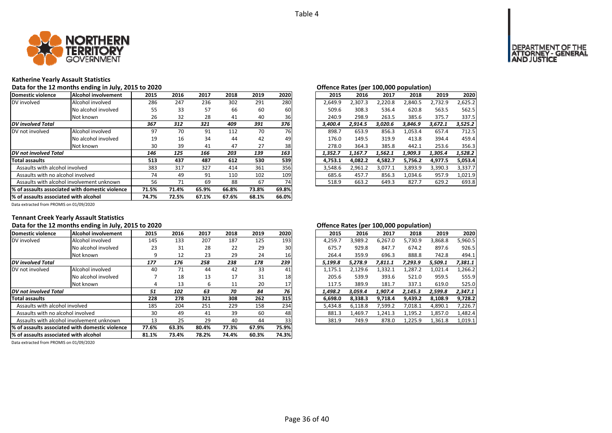

# **Katherine Yearly Assault Statistics** Data for the 12 months ending in July, 2015 to 2020 *Data for the U.S. Community Community Community Community Community Community Community Community Community Community Community Community Community Community Community*

| Domestic violence                      | Alcohol involvement                             | 2015  | 2016  | 2017  | 2018  | 2019  | 2020            | 2015    | 2016    | 2017    | 2018    | 2019    | 2020    |
|----------------------------------------|-------------------------------------------------|-------|-------|-------|-------|-------|-----------------|---------|---------|---------|---------|---------|---------|
| DV involved                            | Alcohol involved                                | 286   | 247   | 236   | 302   | 291   | 280             | 2,649.9 | 2.307.3 | 2.220.8 | 2,840.5 | 2,732.9 | 2,625.2 |
|                                        | No alcohol involved                             | 55    | 33    | 57    | 66    | 60    | 60              | 509.6   | 308.3   | 536.4   | 620.8   | 563.5   | 562.5   |
|                                        | Not known                                       | 26    | 32    | 28    | 41    | 40    | 36 <sup>1</sup> | 240.9   | 298.9   | 263.5   | 385.6   | 375.7   | 337.5   |
| <b>DV</b> involved Total               |                                                 | 367   | 312   | 321   | 409   | 391   | 376             | 3,400.4 | 2.914.5 | 3,020.6 | 3,846.9 | 3,672.1 | 3,525.2 |
| DV not involved                        | Alcohol involved                                | 97    | 70    | 91    | 112   | 70    | <b>76</b>       | 898.7   | 653.9   | 856.3   | 1.053.4 | 657.4   | 712.5   |
|                                        | No alcohol involved                             | 19    | 16    | 34    | 44    | 42    | 49              | 176.0   | 149.5   | 319.9   | 413.8   | 394.4   | 459.4   |
|                                        | Not known                                       | 30    | 39    | 41    | 47    | 27    | 38              | 278.0   | 364.3   | 385.8   | 442.1   | 253.6   | 356.3   |
| DV not involved Total                  |                                                 | 146   | 125   | 166   | 203   | 139   | 163             | 1,352.7 | 1,167.7 | 1,562.1 | 1,909.3 | 1,305.4 | 1,528.2 |
| <b>Total assaults</b>                  |                                                 | 513   | 437   | 487   | 612   | 530   | 539             | 4,753.1 | 4,082.2 | 4,582.7 | 5,756.2 | 4,977.5 | 5,053.4 |
| Assaults with alcohol involved         |                                                 | 383   | 317   | 327   | 414   | 361   | 356             | 3,548.6 | 2,961.2 | 3,077.1 | 3,893.9 | 3,390.3 | 3,337.7 |
| Assaults with no alcohol involved      |                                                 | 74    | 49    | 91    | 110   | 102   | 109             | 685.6   | 457.7   | 856.3   | 1.034.6 | 957.9   | 1,021.9 |
|                                        | Assaults with alcohol involvement unknown       | 56    | 71    | 69    | 88    | 67    | 74              | 518.9   | 663.2   | 649.3   | 827.7   | 629.2   | 693.8   |
|                                        | % of assaults associated with domestic violence | 71.5% | 71.4% | 65.9% | 66.8% | 73.8% | 69.8%           |         |         |         |         |         |         |
| l% of assaults associated with alcohol |                                                 | 74.7% | 72.5% | 67.1% | 67.6% | 68.1% | 66.0%           |         |         |         |         |         |         |

| . . |      |      |      |      |                 |         |         | Offered nates (per 100,000 population) |         |         |         |
|-----|------|------|------|------|-----------------|---------|---------|----------------------------------------|---------|---------|---------|
| 5   | 2016 | 2017 | 2018 | 2019 | 2020            | 2015    | 2016    | 2017                                   | 2018    | 2019    | 2020    |
| 36  | 247  | 236  | 302  | 291  | 280             | 2.649.9 | 2.307.3 | 2.220.8                                | 2.840.5 | 2.732.9 | 2,625.2 |
| 55  | 33   | 57   | 66   | 60   | 60              | 509.6   | 308.3   | 536.4                                  | 620.8   | 563.5   | 562.5   |
| :6  | 32   | 28   | 41   | 40   | 36 <sup>l</sup> | 240.9   | 298.9   | 263.5                                  | 385.6   | 375.7   | 337.5   |
| 7   | 312  | 321  | 409  | 391  | 376             | 3.400.4 | 2.914.5 | 3.020.6                                | 3.846.9 | 3.672.1 | 3,525.2 |
| 17  | 70   | 91   | 112  | 70   | <b>76</b>       | 898.7   | 653.9   | 856.3                                  | 1,053.4 | 657.4   | 712.5   |
| 9.  | 16   | 34   | 44   | 42   | 49              | 176.0   | 149.5   | 319.9                                  | 413.8   | 394.4   | 459.4   |
| ١Ο  | 39   | 41   | 47   | 27   | 38              | 278.0   | 364.3   | 385.8                                  | 442.1   | 253.6   | 356.3   |
| 6   | 125  | 166  | 203  | 139  | 163             | 1.352.7 | 1.167.7 | 1.562.1                                | 1.909.3 | 1.305.4 | 1.528.2 |
| 3   | 437  | 487  | 612  | 530  | 539             | 4.753.1 | 4.082.2 | 4.582.7                                | 5,756.2 | 4.977.5 | 5,053.4 |
| 33  | 317  | 327  | 414  | 361  | 356             | 3.548.6 | 2.961.2 | 3.077.1                                | 3.893.9 | 3.390.3 | 3.337.7 |
| 14  | 49   | 91   | 110  | 102  | 109             | 685.6   | 457.7   | 856.3                                  | 1,034.6 | 957.9   | 1,021.9 |
| 56  | 71   | 69   | 88   | 67   | 74              | 518.9   | 663.2   | 649.3                                  | 827.7   | 629.2   | 693.8   |
|     |      |      |      |      |                 |         |         |                                        |         |         |         |

Data extracted from PROMIS on 01/09/2020

# **Tennant Creek Yearly Assault Statistics**

# Data for the 12 months ending in July, 2015 to 2020<br> **Data for the 12 months ending in July, 2015 to 2020**

| Domestic violence                     | Alcohol involvement                             | 2015  | 2016  | 2017  | 2018  | 2019  | 2020  | 2015    | 2016    | 2017    | 2018    | 2019    | 2020    |
|---------------------------------------|-------------------------------------------------|-------|-------|-------|-------|-------|-------|---------|---------|---------|---------|---------|---------|
| DV involved                           | Alcohol involved                                | 145   | 133   | 207   | 187   | 125   | 193   | 4,259.7 | 3,989.2 | 6.267.0 | 5,730.9 | 3,868.8 | 5,960.5 |
|                                       | No alcohol involved                             | 23    | 31    | 28    | 22    | 29    | 30    | 675.7   | 929.8   | 847.7   | 674.2   | 897.6   | 926.5   |
|                                       | Not known                                       |       | 12    | 23    | 29    | 24    | 16    | 264.4   | 359.9   | 696.3   | 888.8   | 742.8   | 494.1   |
| <b>DV</b> involved Total              |                                                 | 177   | 176   | 258   | 238   | 178   | 239   | 5.199.8 | 5.278.9 | 7.811.1 | 7.293.9 | 5,509.1 | 7,381.1 |
| DV not involved                       | Alcohol involved                                | 40    | 71    | 44    | 42    | 33    | 41    | 1,175.1 | 2,129.6 | 1,332.1 | 1,287.2 | 1,021.4 | 1,266.2 |
|                                       | No alcohol involved                             |       | 18    | 13    | 17    | 31    | 18    | 205.6   | 539.9   | 393.6   | 521.0   | 959.5   | 555.9   |
|                                       | Not known                                       | 4     | 13    | b     | 11    | 20    | 17    | 117.5   | 389.9   | 181.7   | 337.1   | 619.0   | 525.0   |
| <b>DV</b> not involved Total          |                                                 | 51    | 102   | 63    | 70    | 84    | 76    | 1,498.2 | 3.059.4 | 1.907.4 | 2,145.3 | 2,599.8 | 2,347.1 |
| <b>Total assaults</b>                 |                                                 | 228   | 278   | 321   | 308   | 262   | 315   | 6,698.0 | 8,338.3 | 9,718.4 | 9,439.2 | 8.108.9 | 9,728.2 |
| Assaults with alcohol involved        |                                                 | 185   | 204   | 251   | 229   | 158   | 234   | 5,434.8 | 6,118.8 | 7,599.2 | 7,018.1 | 4,890.1 | 7,226.7 |
| Assaults with no alcohol involved     |                                                 | 30    | 49    | 41    | 39    | 60    | 48    | 881.3   | 1,469.7 | 1,241.3 | 1,195.2 | 1,857.0 | 1,482.4 |
|                                       | Assaults with alcohol involvement unknown       | 13    | 25    | 29    | 40    | 44    | 33    | 381.9   | 749.9   | 878.0   | 1,225.9 | 1,361.8 | 1,019.1 |
|                                       | % of assaults associated with domestic violence | 77.6% | 63.3% | 80.4% | 77.3% | 67.9% | 75.9% |         |         |         |         |         |         |
| % of assaults associated with alcohol |                                                 | 81.1% | 73.4% | 78.2% | 74.4% | 60.3% | 74.3% |         |         |         |         |         |         |

Data extracted from PROMIS on 01/09/2020

|     |      |      |      |      |           |         |         |         | . .     |         |         |
|-----|------|------|------|------|-----------|---------|---------|---------|---------|---------|---------|
| .5  | 2016 | 2017 | 2018 | 2019 | 2020      | 2015    | 2016    | 2017    | 2018    | 2019    | 2020    |
| ١5  | 133  | 207  | 187  | 125  | 193       | 4,259.7 | 3,989.2 | 6,267.0 | 5,730.9 | 3,868.8 | 5,960.5 |
| :3  | 31   | 28   | 22   | 29   | 30        | 675.7   | 929.8   | 847.7   | 674.2   | 897.6   | 926.5   |
| 9   | 12   | 23   | 29   | 24   | <b>16</b> | 264.4   | 359.9   | 696.3   | 888.8   | 742.8   | 494.1   |
| 7   | 176  | 258  | 238  | 178  | 239       | 5.199.8 | 5.278.9 | 7.811.1 | 7.293.9 | 5,509.1 | 7,381.1 |
| ŀ٥  | 71   | 44   | 42   | 33   | 41        | 1.175.1 | 2.129.6 | 1,332.1 | 1.287.2 | 1.021.4 | 1,266.2 |
| 7   | 18   | 13   | 17   | 31   | 18        | 205.6   | 539.9   | 393.6   | 521.0   | 959.5   | 555.9   |
| 4   | 13   | 6    | 11   | 20   | 17        | 117.5   | 389.9   | 181.7   | 337.1   | 619.0   | 525.0   |
|     | 102  | 63   | 70   | 84   | 76        | 1.498.2 | 3.059.4 | 1.907.4 | 2.145.3 | 2.599.8 | 2,347.1 |
| :8  | 278  | 321  | 308  | 262  | 315       | 6.698.0 | 8.338.3 | 9.718.4 | 9,439.2 | 8,108.9 | 9,728.2 |
| 35. | 204  | 251  | 229  | 158  | 234       | 5.434.8 | 6.118.8 | 7.599.2 | 7.018.1 | 4.890.1 | 7,226.7 |
| :0  | 49   | 41   | 39   | 60   | 48        | 881.3   | 1.469.7 | 1.241.3 | 1.195.2 | 1.857.0 | 1,482.4 |
| .3  | 25   | 29   | 40   | 44   | 33        | 381.9   | 749.9   | 878.0   | 1,225.9 | 1,361.8 | 1,019.1 |
|     |      |      |      |      |           |         |         |         |         |         |         |

# **OF THE**<br>GENERAL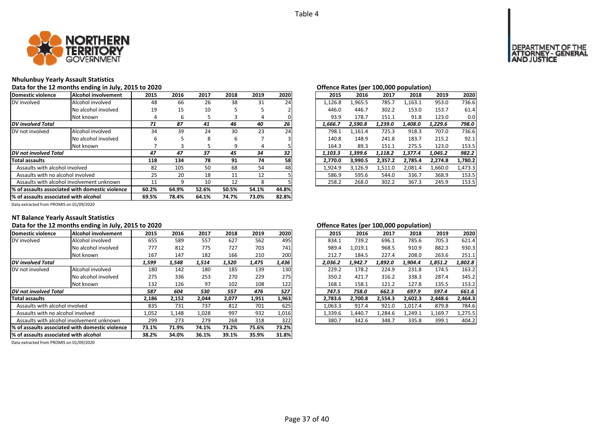

# **Nhulunbuy Yearly Assault Statistics**

# Data for the 12 months ending in July, 2015 to 2020<br> **Data for the 12 months ending in July, 2015 to 2020**

| Domestic violence                         | lAlcohol involvement                             | 2015  | 2016  | 2017  | 2018  | 2019  | 2020  | 2015    | 2016    | 2017    | 2018    | 2019    | 2020    |
|-------------------------------------------|--------------------------------------------------|-------|-------|-------|-------|-------|-------|---------|---------|---------|---------|---------|---------|
| DV involved                               | Alcohol involved                                 | 48    | 66    | 26    | 38    | 31    | 24    | 1.126.8 | 1.965.5 | 785.7   | 1,163.1 | 953.0   | 736.6   |
|                                           | No alcohol involved                              | 19    | 15    | 10    |       |       |       | 446.0   | 446.7   | 302.2   | 153.0   | 153.7   | 61.4    |
|                                           | Not known                                        | 4     | b     |       | 3     | 4     |       | 93.9    | 178.7   | 151.1   | 91.8    | 123.0   | 0.0     |
| <b>DV</b> involved Total                  |                                                  | 71    | 87    | 41    | 46    | 40    | 26    | 1.666.7 | 2.590.8 | 1.239.0 | 1.408.0 | 1.229.6 | 798.0   |
| DV not involved                           | Alcohol involved                                 | 34    | 39    | 24    | 30    | 23    | 24    | 798.1   | 1,161.4 | 725.3   | 918.3   | 707.0   | 736.6   |
|                                           | No alcohol involved                              |       |       | 8     | 6     |       |       | 140.8   | 148.9   | 241.8   | 183.7   | 215.2   | 92.1    |
|                                           | Not known                                        |       |       |       | 9     | 4     |       | 164.3   | 89.3    | 151.1   | 275.5   | 123.0   | 153.5   |
| DV not involved Total                     |                                                  | 47    | 47    | 37    | 45    | 34    | 32    | 1.103.3 | 1.399.6 | 1.118.2 | 1.377.4 | 1.045.2 | 982.2   |
| <b>Total assaults</b>                     |                                                  | 118   | 134   | 78    | 91    | 74    | 58    | 2.770.0 | 3.990.5 | 2.357.2 | 2,785.4 | 2.274.8 | 1,780.2 |
| Assaults with alcohol involved            |                                                  | 82    | 105   | 50    | 68    | 54    | 48    | 1,924.9 | 3,126.9 | 1,511.0 | 2,081.4 | 1,660.0 | 1,473.3 |
| Assaults with no alcohol involved         |                                                  | 25    | 20    | 18    | 11    | 12    |       | 586.9   | 595.6   | 544.0   | 336.7   | 368.9   | 153.5   |
| Assaults with alcohol involvement unknown |                                                  | 11    | q     | 10    | 12    | 8     |       | 258.2   | 268.0   | 302.2   | 367.3   | 245.9   | 153.5   |
|                                           | 1% of assaults associated with domestic violence | 60.2% | 64.9% | 52.6% | 50.5% | 54.1% | 44.8% |         |         |         |         |         |         |
| % of assaults associated with alcohol     | 69.5%                                            | 78.4% | 64.1% | 74.7% | 73.0% | 82.8% |       |         |         |         |         |         |         |

| . . |      |      |      |      |      |         |         | Onenee hates (per 100,000 population) |         |         |         |
|-----|------|------|------|------|------|---------|---------|---------------------------------------|---------|---------|---------|
| 5   | 2016 | 2017 | 2018 | 2019 | 2020 | 2015    | 2016    | 2017                                  | 2018    | 2019    | 2020    |
| ١8  | 66   | 26   | 38   | 31   | 24   | 1,126.8 | 1,965.5 | 785.7                                 | 1,163.1 | 953.0   | 736.6   |
| 9.  | 15   | 10   | 5    | 5    |      | 446.0   | 446.7   | 302.2                                 | 153.0   | 153.7   | 61.4    |
| 4   | 6    | 5    | 3    | 4    |      | 93.9    | 178.7   | 151.1                                 | 91.8    | 123.0   | 0.0     |
|     | 87   | 41   | 46   | 40   | 26   | 1.666.7 | 2.590.8 | 1.239.0                               | 1.408.0 | 1.229.6 | 798.0   |
| 14  | 39   | 24   | 30   | 23   | 24   | 798.1   | 1,161.4 | 725.3                                 | 918.3   | 707.0   | 736.6   |
| 6   | 5    | 8    | 6    |      | 3    | 140.8   | 148.9   | 241.8                                 | 183.7   | 215.2   | 92.1    |
| 7   | 3    | 5    | 9    | 4    |      | 164.3   | 89.3    | 151.1                                 | 275.5   | 123.0   | 153.5   |
|     | 47   | 37   | 45   | 34   | 32   | 1.103.3 | 1.399.6 | 1.118.2                               | 1,377.4 | 1.045.2 | 982.2   |
| 8   | 134  | 78   | 91   | 74   | 58   | 2.770.0 | 3,990.5 | 2,357.2                               | 2.785.4 | 2,274.8 | 1,780.2 |
| :2  | 105  | 50   | 68   | 54   | 48   | 1.924.9 | 3.126.9 | 1,511.0                               | 2.081.4 | 1,660.0 | 1.473.3 |
| :5  | 20   | 18   | 11   | 12   |      | 586.9   | 595.6   | 544.0                                 | 336.7   | 368.9   | 153.5   |
|     | 9    | 10   | 12   | 8    |      | 258.2   | 268.0   | 302.2                                 | 367.3   | 245.9   | 153.5   |
|     |      |      |      |      |      |         |         |                                       |         |         |         |

Data extracted from PROMIS on 01/09/2020

# **NT Balance Yearly Assault Statistics**

# Data for the 12 months ending in July, 2015 to 2020<br> **Data for the 12 months ending in July, 2015 to 2020**

| Domestic violence                               | Alcohol involvement                       | 2015  | 2016  | 2017  | 2018  | 2019  | 2020  | 2015    | 2016    | 2017    | 2018    | 2019    | 2020    |
|-------------------------------------------------|-------------------------------------------|-------|-------|-------|-------|-------|-------|---------|---------|---------|---------|---------|---------|
| DV involved                                     | Alcohol involved                          | 655   | 589   | 557   | 627   | 562   | 495   | 834.1   | 739.2   | 696.1   | 785.6   | 705.3   | 621.4   |
|                                                 | No alcohol involved                       | 777   | 812   | 775   | 727   | 703   | 741   | 989.4   | 1.019.1 | 968.5   | 910.9   | 882.3   | 930.3   |
|                                                 | Not known                                 | 167   | 147   | 182   | 166   | 210   | 200   | 212.7   | 184.5   | 227.4   | 208.0   | 263.6   | 251.1   |
| DV involved Total                               |                                           | 1,599 | 1,548 | 1.514 | 1,520 | 1,475 | 1,436 | 2.036.2 | 1.942.7 | 1,892.0 | 1.904.4 | 1,851.2 | 1,802.8 |
| DV not involved                                 | Alcohol involved                          | 180   | 142   | 180   | 185   | 139   | 130   | 229.2   | 178.2   | 224.9   | 231.8   | 174.5   | 163.2   |
|                                                 | No alcohol involved                       | 275   | 336   | 253   | 270   | 229   | 275   | 350.2   | 421.7   | 316.2   | 338.3   | 287.4   | 345.2   |
|                                                 | Not known                                 | 132   | 126   | 97    | 102   | 108   | 122   | 168.1   | 158.1   | 121.2   | 127.8   | 135.5   | 153.2   |
| DV not involved Total                           |                                           | 587   | 604   | 530   | 557   | 476   | 527   | 747.5   | 758.0   | 662.3   | 697.9   | 597.4   | 661.6   |
| <b>Total assaults</b>                           |                                           | 2,186 | 2.152 | 2.044 | 2.077 | 1,951 | 1,963 | 2.783.6 | 2.700.8 | 2.554.3 | 2.602.3 | 2.448.6 | 2.464.3 |
| Assaults with alcohol involved                  |                                           | 835   | 731   | 737   | 812   | 701   | 625   | 1,063.3 | 917.4   | 921.0   | 1,017.4 | 879.8   | 784.6   |
| Assaults with no alcohol involved               |                                           | 1,052 | 1,148 | 1,028 | 997   | 932   | 1,016 | 1,339.6 | 1.440.7 | 1,284.6 | 1,249.1 | 1,169.7 | 1,275.5 |
|                                                 | Assaults with alcohol involvement unknown | 299   | 273   | 279   | 268   | 318   | 322   | 380.7   | 342.6   | 348.7   | 335.8   | 399.1   | 404.2   |
| % of assaults associated with domestic violence | 73.1%                                     | 71.9% | 74.1% | 73.2% | 75.6% | 73.2% |       |         |         |         |         |         |         |
| % of assaults associated with alcohol           | 38.2%                                     | 34.0% | 36.1% | 39.1% | 35.9% | 31.8% |       |         |         |         |         |         |         |

| 5           | 2016  | 2017  | 2018  | 2019  | 2020  | 2015    | 2016    | 2017    | 2018    | 2019    | 2020    |
|-------------|-------|-------|-------|-------|-------|---------|---------|---------|---------|---------|---------|
| $5^{\circ}$ | 589   | 557   | 627   | 562   | 495   | 834.1   | 739.2   | 696.1   | 785.6   | 705.3   | 621.4   |
| 7           | 812   | 775   | 727   | 703   | 741   | 989.4   | 1.019.1 | 968.5   | 910.9   | 882.3   | 930.3   |
| 57          | 147   | 182   | 166   | 210   | 200   | 212.7   | 184.5   | 227.4   | 208.0   | 263.6   | 251.1   |
| 9           | 1,548 | 1,514 | 1,520 | 1,475 | 1,436 | 2.036.2 | 1.942.7 | 1.892.0 | 1.904.4 | 1,851.2 | 1,802.8 |
| 80          | 142   | 180   | 185   | 139   | 130   | 229.2   | 178.2   | 224.9   | 231.8   | 174.5   | 163.2   |
| '5          | 336   | 253   | 270   | 229   | 275   | 350.2   | 421.7   | 316.2   | 338.3   | 287.4   | 345.2   |
| 2١          | 126   | 97    | 102   | 108   | 122   | 168.1   | 158.1   | 121.2   | 127.8   | 135.5   | 153.2   |
| 7           | 604   | 530   | 557   | 476   | 527   | 747.5   | 758.0   | 662.3   | 697.9   | 597.4   | 661.6   |
| 6           | 2,152 | 2.044 | 2,077 | 1,951 | 1,963 | 2.783.6 | 2,700.8 | 2,554.3 | 2,602.3 | 2.448.6 | 2,464.3 |
| 15          | 731   | 737   | 812   | 701   | 625   | 1.063.3 | 917.4   | 921.0   | 1.017.4 | 879.8   | 784.6   |
| 2١          | 1.148 | 1.028 | 997   | 932   | 1,016 | 1.339.6 | 1.440.7 | 1.284.6 | 1.249.1 | 1.169.7 | 1,275.5 |
| 9           | 273   | 279   | 268   | 318   | 322   | 380.7   | 342.6   | 348.7   | 335.8   | 399.1   | 404.2   |
|             |       |       |       |       |       |         |         |         |         |         |         |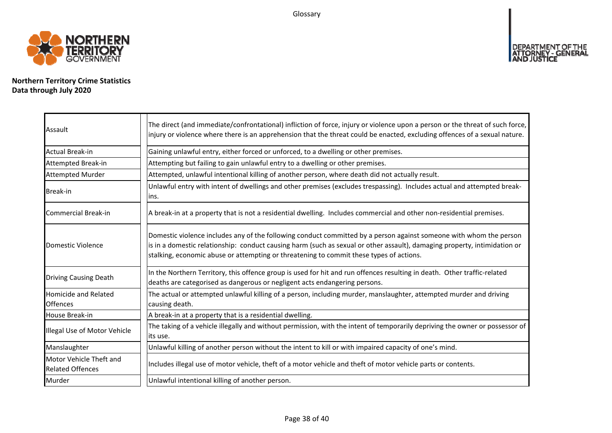Glossary



**Northern Territory Crime Statistics Data through July 2020**

| Assault                                            | The direct (and immediate/confrontational) infliction of force, injury or violence upon a person or the threat of such force,<br>injury or violence where there is an apprehension that the threat could be enacted, excluding offences of a sexual nature.                                                                                |
|----------------------------------------------------|--------------------------------------------------------------------------------------------------------------------------------------------------------------------------------------------------------------------------------------------------------------------------------------------------------------------------------------------|
| Actual Break-in                                    | Gaining unlawful entry, either forced or unforced, to a dwelling or other premises.                                                                                                                                                                                                                                                        |
| Attempted Break-in                                 | Attempting but failing to gain unlawful entry to a dwelling or other premises.                                                                                                                                                                                                                                                             |
| <b>Attempted Murder</b>                            | Attempted, unlawful intentional killing of another person, where death did not actually result.                                                                                                                                                                                                                                            |
| Break-in                                           | Unlawful entry with intent of dwellings and other premises (excludes trespassing). Includes actual and attempted break-<br>lins.                                                                                                                                                                                                           |
| Commercial Break-in                                | A break-in at a property that is not a residential dwelling. Includes commercial and other non-residential premises.                                                                                                                                                                                                                       |
| Domestic Violence                                  | Domestic violence includes any of the following conduct committed by a person against someone with whom the person<br>is in a domestic relationship: conduct causing harm (such as sexual or other assault), damaging property, intimidation or<br>stalking, economic abuse or attempting or threatening to commit these types of actions. |
| <b>Driving Causing Death</b>                       | In the Northern Territory, this offence group is used for hit and run offences resulting in death. Other traffic-related<br>deaths are categorised as dangerous or negligent acts endangering persons.                                                                                                                                     |
| <b>Homicide and Related</b><br><b>Offences</b>     | The actual or attempted unlawful killing of a person, including murder, manslaughter, attempted murder and driving<br>causing death.                                                                                                                                                                                                       |
| House Break-in                                     | A break-in at a property that is a residential dwelling.                                                                                                                                                                                                                                                                                   |
| Illegal Use of Motor Vehicle                       | The taking of a vehicle illegally and without permission, with the intent of temporarily depriving the owner or possessor of<br>lits use.                                                                                                                                                                                                  |
| Manslaughter                                       | Unlawful killing of another person without the intent to kill or with impaired capacity of one's mind.                                                                                                                                                                                                                                     |
| Motor Vehicle Theft and<br><b>Related Offences</b> | Includes illegal use of motor vehicle, theft of a motor vehicle and theft of motor vehicle parts or contents.                                                                                                                                                                                                                              |
| Murder                                             | Unlawful intentional killing of another person.                                                                                                                                                                                                                                                                                            |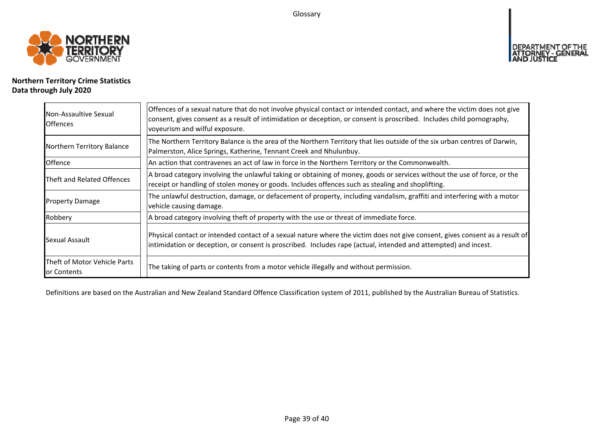Glossary



# **Northern Territory Crime Statistics Data through July 2020**

| Non-Assaultive Sexual<br><b>Offences</b>    | Offences of a sexual nature that do not involve physical contact or intended contact, and where the victim does not give<br>consent, gives consent as a result of intimidation or deception, or consent is proscribed. Includes child pornography,<br>voyeurism and wilful exposure. |
|---------------------------------------------|--------------------------------------------------------------------------------------------------------------------------------------------------------------------------------------------------------------------------------------------------------------------------------------|
| Northern Territory Balance                  | The Northern Territory Balance is the area of the Northern Territory that lies outside of the six urban centres of Darwin,<br>Palmerston, Alice Springs, Katherine, Tennant Creek and Nhulunbuy.                                                                                     |
| Offence                                     | An action that contravenes an act of law in force in the Northern Territory or the Commonwealth.                                                                                                                                                                                     |
| Theft and Related Offences                  | A broad category involving the unlawful taking or obtaining of money, goods or services without the use of force, or the<br>receipt or handling of stolen money or goods. Includes offences such as stealing and shoplifting.                                                        |
| <b>Property Damage</b>                      | The unlawful destruction, damage, or defacement of property, including vandalism, graffiti and interfering with a motor<br>vehicle causing damage.                                                                                                                                   |
| Robbery                                     | A broad category involving theft of property with the use or threat of immediate force.                                                                                                                                                                                              |
| Sexual Assault                              | Physical contact or intended contact of a sexual nature where the victim does not give consent, gives consent as a result of<br>intimidation or deception, or consent is proscribed. Includes rape (actual, intended and attempted) and incest.                                      |
| Theft of Motor Vehicle Parts<br>or Contents | The taking of parts or contents from a motor vehicle illegally and without permission.                                                                                                                                                                                               |

Definitions are based on the Australian and New Zealand Standard Offence Classification system of 2011, published by the Australian Bureau of Statistics.